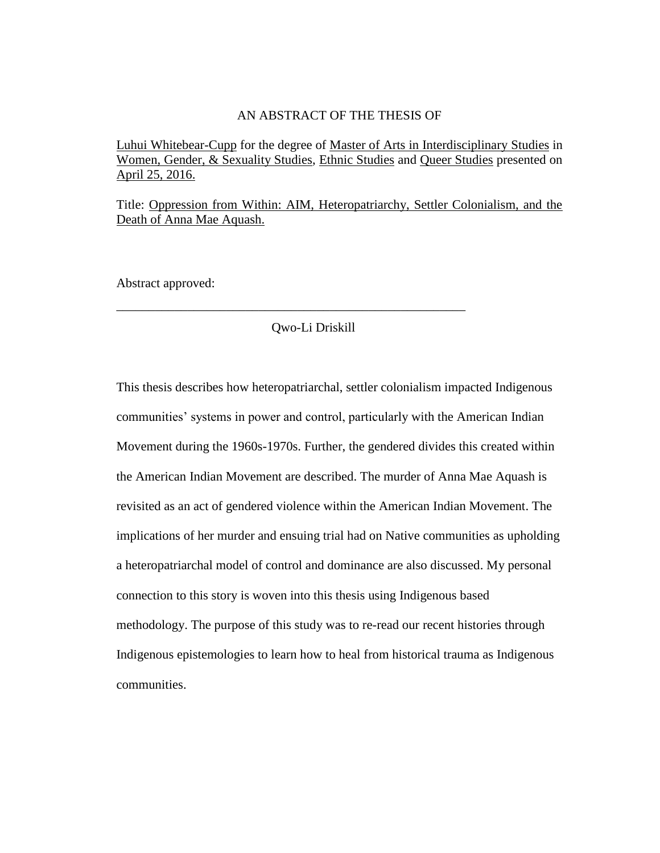### AN ABSTRACT OF THE THESIS OF

Luhui Whitebear-Cupp for the degree of Master of Arts in Interdisciplinary Studies in Women, Gender, & Sexuality Studies, Ethnic Studies and Queer Studies presented on April 25, 2016.

Title: Oppression from Within: AIM, Heteropatriarchy, Settler Colonialism, and the Death of Anna Mae Aquash.

Abstract approved:

### Qwo-Li Driskill

\_\_\_\_\_\_\_\_\_\_\_\_\_\_\_\_\_\_\_\_\_\_\_\_\_\_\_\_\_\_\_\_\_\_\_\_\_\_\_\_\_\_\_\_\_\_\_\_\_\_\_\_\_\_

This thesis describes how heteropatriarchal, settler colonialism impacted Indigenous communities' systems in power and control, particularly with the American Indian Movement during the 1960s-1970s. Further, the gendered divides this created within the American Indian Movement are described. The murder of Anna Mae Aquash is revisited as an act of gendered violence within the American Indian Movement. The implications of her murder and ensuing trial had on Native communities as upholding a heteropatriarchal model of control and dominance are also discussed. My personal connection to this story is woven into this thesis using Indigenous based methodology. The purpose of this study was to re-read our recent histories through Indigenous epistemologies to learn how to heal from historical trauma as Indigenous communities.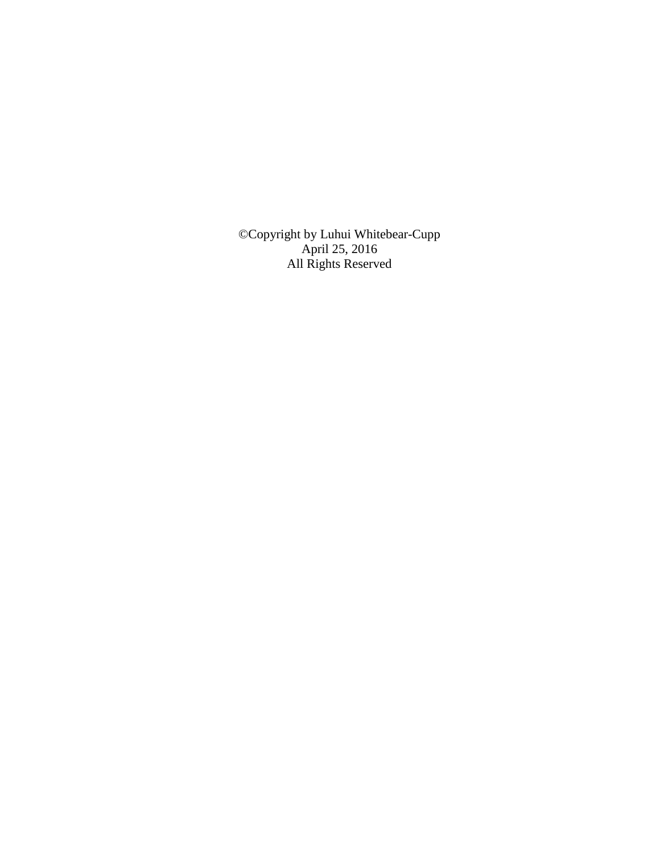©Copyright by Luhui Whitebear-Cupp April 25, 2016 All Rights Reserved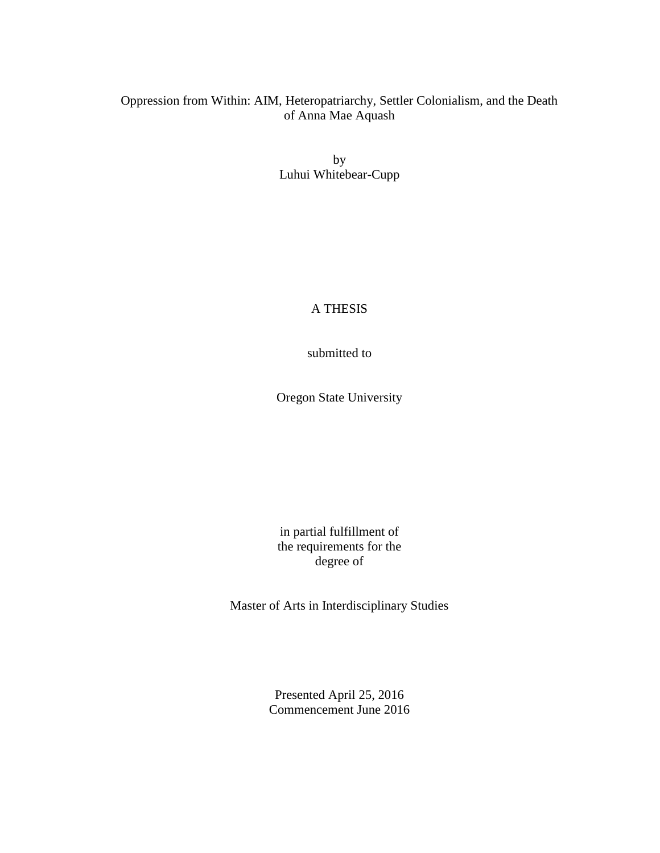# Oppression from Within: AIM, Heteropatriarchy, Settler Colonialism, and the Death of Anna Mae Aquash

by Luhui Whitebear-Cupp

A THESIS

submitted to

Oregon State University

in partial fulfillment of the requirements for the degree of

Master of Arts in Interdisciplinary Studies

Presented April 25, 2016 Commencement June 2016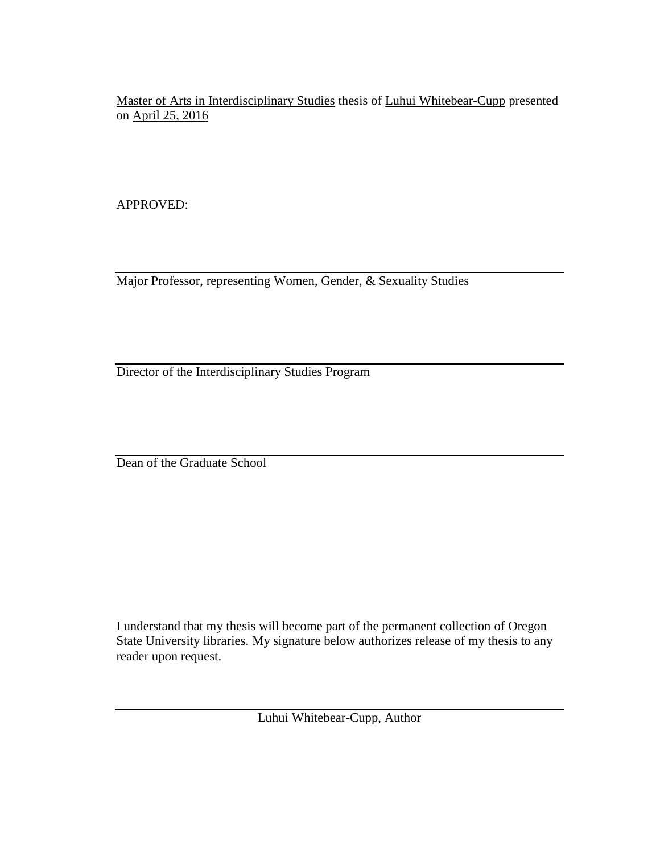Master of Arts in Interdisciplinary Studies thesis of Luhui Whitebear-Cupp presented on April 25, 2016

APPROVED:

Major Professor, representing Women, Gender, & Sexuality Studies

Director of the Interdisciplinary Studies Program

Dean of the Graduate School

I understand that my thesis will become part of the permanent collection of Oregon State University libraries. My signature below authorizes release of my thesis to any reader upon request.

Luhui Whitebear-Cupp, Author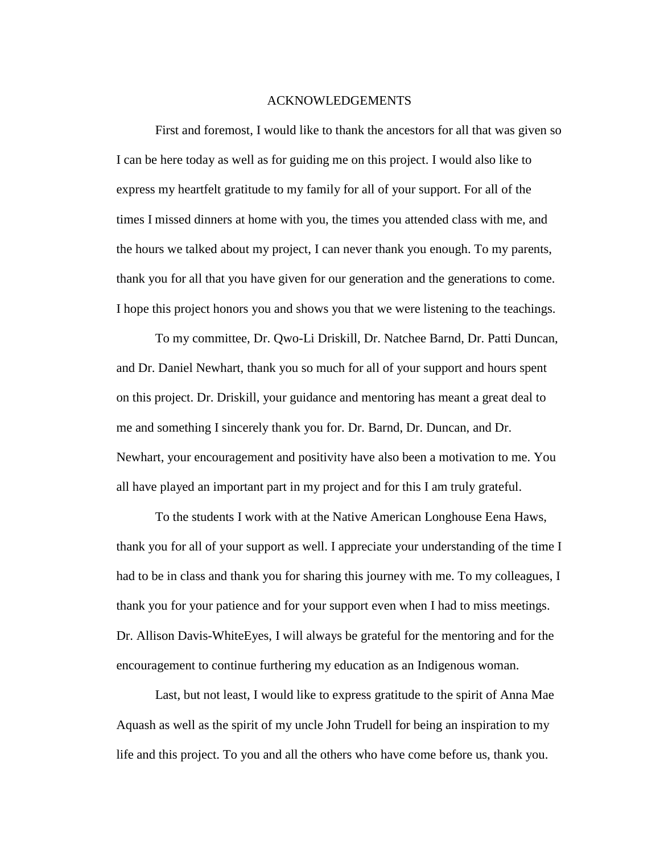### ACKNOWLEDGEMENTS

First and foremost, I would like to thank the ancestors for all that was given so I can be here today as well as for guiding me on this project. I would also like to express my heartfelt gratitude to my family for all of your support. For all of the times I missed dinners at home with you, the times you attended class with me, and the hours we talked about my project, I can never thank you enough. To my parents, thank you for all that you have given for our generation and the generations to come. I hope this project honors you and shows you that we were listening to the teachings.

To my committee, Dr. Qwo-Li Driskill, Dr. Natchee Barnd, Dr. Patti Duncan, and Dr. Daniel Newhart, thank you so much for all of your support and hours spent on this project. Dr. Driskill, your guidance and mentoring has meant a great deal to me and something I sincerely thank you for. Dr. Barnd, Dr. Duncan, and Dr. Newhart, your encouragement and positivity have also been a motivation to me. You all have played an important part in my project and for this I am truly grateful.

To the students I work with at the Native American Longhouse Eena Haws, thank you for all of your support as well. I appreciate your understanding of the time I had to be in class and thank you for sharing this journey with me. To my colleagues, I thank you for your patience and for your support even when I had to miss meetings. Dr. Allison Davis-WhiteEyes, I will always be grateful for the mentoring and for the encouragement to continue furthering my education as an Indigenous woman.

Last, but not least, I would like to express gratitude to the spirit of Anna Mae Aquash as well as the spirit of my uncle John Trudell for being an inspiration to my life and this project. To you and all the others who have come before us, thank you.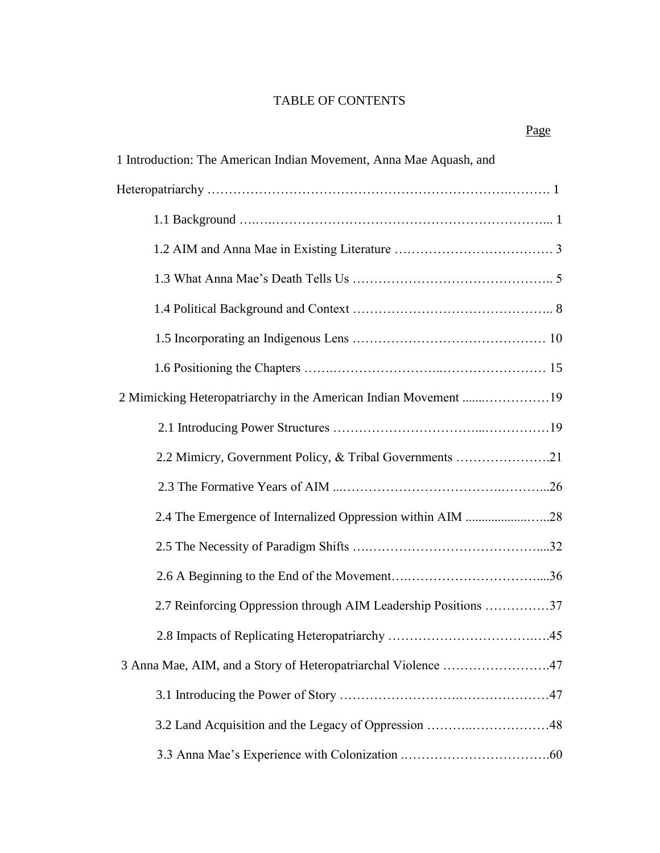# TABLE OF CONTENTS

| 1 Introduction: The American Indian Movement, Anna Mae Aquash, and |  |  |  |
|--------------------------------------------------------------------|--|--|--|
|                                                                    |  |  |  |
|                                                                    |  |  |  |
|                                                                    |  |  |  |
|                                                                    |  |  |  |
|                                                                    |  |  |  |
|                                                                    |  |  |  |
|                                                                    |  |  |  |
|                                                                    |  |  |  |
|                                                                    |  |  |  |
| 2.2 Mimicry, Government Policy, & Tribal Governments 21            |  |  |  |
|                                                                    |  |  |  |
| 2.4 The Emergence of Internalized Oppression within AIM 28         |  |  |  |
|                                                                    |  |  |  |
|                                                                    |  |  |  |
| 2.7 Reinforcing Oppression through AIM Leadership Positions 37     |  |  |  |
|                                                                    |  |  |  |
| 3 Anna Mae, AIM, and a Story of Heteropatriarchal Violence 47      |  |  |  |
|                                                                    |  |  |  |
|                                                                    |  |  |  |
|                                                                    |  |  |  |

# Page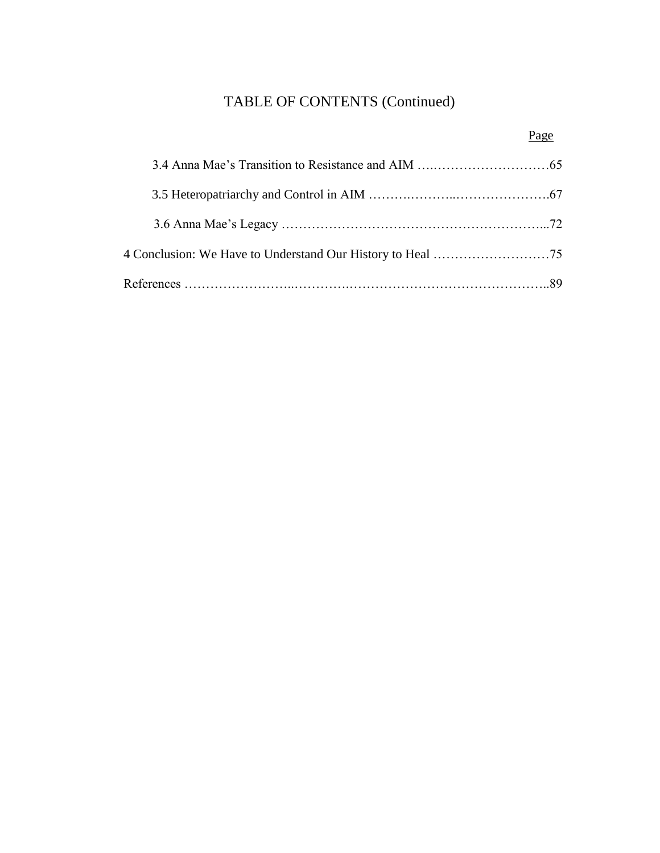# TABLE OF CONTENTS (Continued)

# Page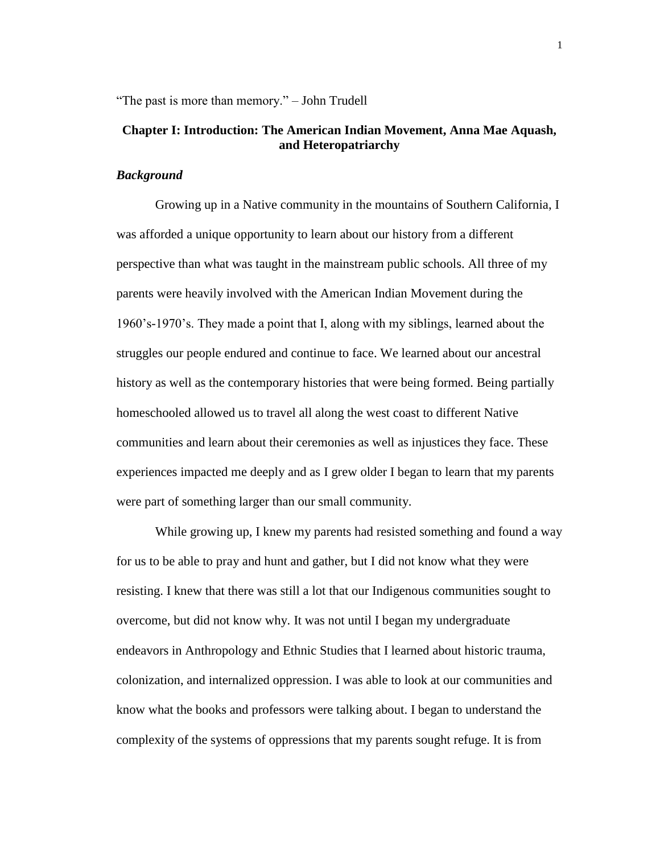"The past is more than memory." – John Trudell

## **Chapter I: Introduction: The American Indian Movement, Anna Mae Aquash, and Heteropatriarchy**

### *Background*

Growing up in a Native community in the mountains of Southern California, I was afforded a unique opportunity to learn about our history from a different perspective than what was taught in the mainstream public schools. All three of my parents were heavily involved with the American Indian Movement during the 1960's-1970's. They made a point that I, along with my siblings, learned about the struggles our people endured and continue to face. We learned about our ancestral history as well as the contemporary histories that were being formed. Being partially homeschooled allowed us to travel all along the west coast to different Native communities and learn about their ceremonies as well as injustices they face. These experiences impacted me deeply and as I grew older I began to learn that my parents were part of something larger than our small community.

While growing up, I knew my parents had resisted something and found a way for us to be able to pray and hunt and gather, but I did not know what they were resisting. I knew that there was still a lot that our Indigenous communities sought to overcome, but did not know why. It was not until I began my undergraduate endeavors in Anthropology and Ethnic Studies that I learned about historic trauma, colonization, and internalized oppression. I was able to look at our communities and know what the books and professors were talking about. I began to understand the complexity of the systems of oppressions that my parents sought refuge. It is from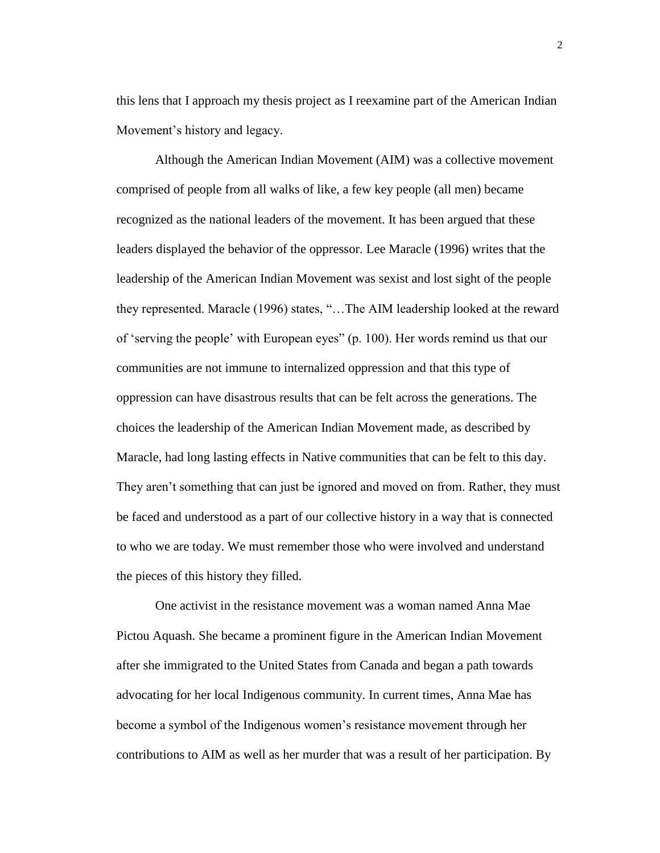this lens that I approach my thesis project as I reexamine part of the American Indian Movement's history and legacy.

Although the American Indian Movement (AIM) was a collective movement comprised of people from all walks of like, a few key people (all men) became recognized as the national leaders of the movement. It has been argued that these leaders displayed the behavior of the oppressor. Lee Maracle (1996) writes that the leadership of the American Indian Movement was sexist and lost sight of the people they represented. Maracle (1996) states, "…The AIM leadership looked at the reward of 'serving the people' with European eyes" (p. 100). Her words remind us that our communities are not immune to internalized oppression and that this type of oppression can have disastrous results that can be felt across the generations. The choices the leadership of the American Indian Movement made, as described by Maracle, had long lasting effects in Native communities that can be felt to this day. They aren't something that can just be ignored and moved on from. Rather, they must be faced and understood as a part of our collective history in a way that is connected to who we are today. We must remember those who were involved and understand the pieces of this history they filled.

One activist in the resistance movement was a woman named Anna Mae Pictou Aquash. She became a prominent figure in the American Indian Movement after she immigrated to the United States from Canada and began a path towards advocating for her local Indigenous community. In current times, Anna Mae has become a symbol of the Indigenous women's resistance movement through her contributions to AIM as well as her murder that was a result of her participation. By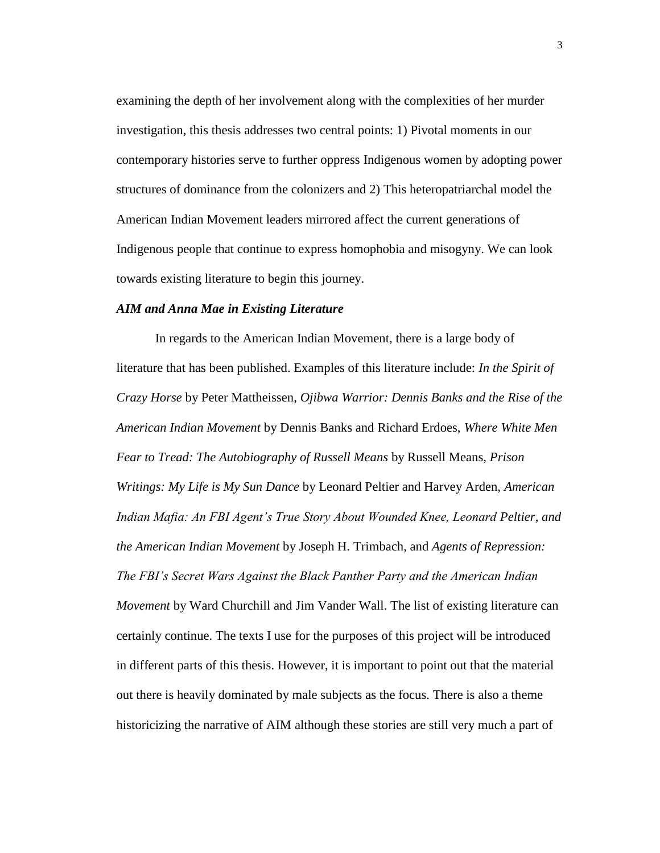examining the depth of her involvement along with the complexities of her murder investigation, this thesis addresses two central points: 1) Pivotal moments in our contemporary histories serve to further oppress Indigenous women by adopting power structures of dominance from the colonizers and 2) This heteropatriarchal model the American Indian Movement leaders mirrored affect the current generations of Indigenous people that continue to express homophobia and misogyny. We can look towards existing literature to begin this journey.

#### *AIM and Anna Mae in Existing Literature*

In regards to the American Indian Movement, there is a large body of literature that has been published. Examples of this literature include: *In the Spirit of Crazy Horse* by Peter Mattheissen, *Ojibwa Warrior: Dennis Banks and the Rise of the American Indian Movement* by Dennis Banks and Richard Erdoes, *Where White Men Fear to Tread: The Autobiography of Russell Means* by Russell Means, *Prison Writings: My Life is My Sun Dance* by Leonard Peltier and Harvey Arden, *American Indian Mafia: An FBI Agent's True Story About Wounded Knee, Leonard Peltier, and the American Indian Movement* by Joseph H. Trimbach, and *Agents of Repression: The FBI's Secret Wars Against the Black Panther Party and the American Indian Movement* by Ward Churchill and Jim Vander Wall. The list of existing literature can certainly continue. The texts I use for the purposes of this project will be introduced in different parts of this thesis. However, it is important to point out that the material out there is heavily dominated by male subjects as the focus. There is also a theme historicizing the narrative of AIM although these stories are still very much a part of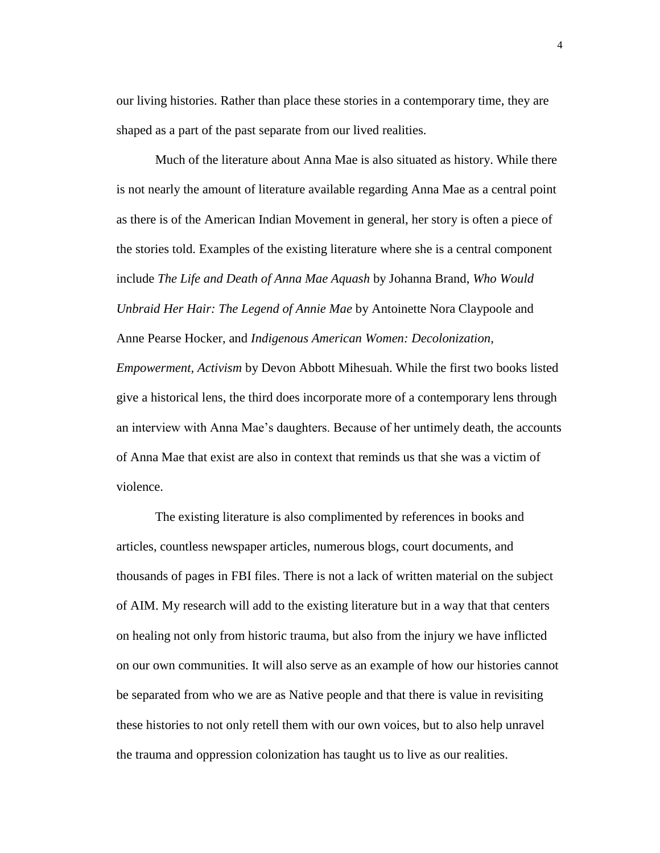our living histories. Rather than place these stories in a contemporary time, they are shaped as a part of the past separate from our lived realities.

Much of the literature about Anna Mae is also situated as history. While there is not nearly the amount of literature available regarding Anna Mae as a central point as there is of the American Indian Movement in general, her story is often a piece of the stories told. Examples of the existing literature where she is a central component include *The Life and Death of Anna Mae Aquash* by Johanna Brand, *Who Would Unbraid Her Hair: The Legend of Annie Mae* by Antoinette Nora Claypoole and Anne Pearse Hocker, and *Indigenous American Women: Decolonization, Empowerment, Activism* by Devon Abbott Mihesuah. While the first two books listed give a historical lens, the third does incorporate more of a contemporary lens through an interview with Anna Mae's daughters. Because of her untimely death, the accounts of Anna Mae that exist are also in context that reminds us that she was a victim of violence.

The existing literature is also complimented by references in books and articles, countless newspaper articles, numerous blogs, court documents, and thousands of pages in FBI files. There is not a lack of written material on the subject of AIM. My research will add to the existing literature but in a way that that centers on healing not only from historic trauma, but also from the injury we have inflicted on our own communities. It will also serve as an example of how our histories cannot be separated from who we are as Native people and that there is value in revisiting these histories to not only retell them with our own voices, but to also help unravel the trauma and oppression colonization has taught us to live as our realities.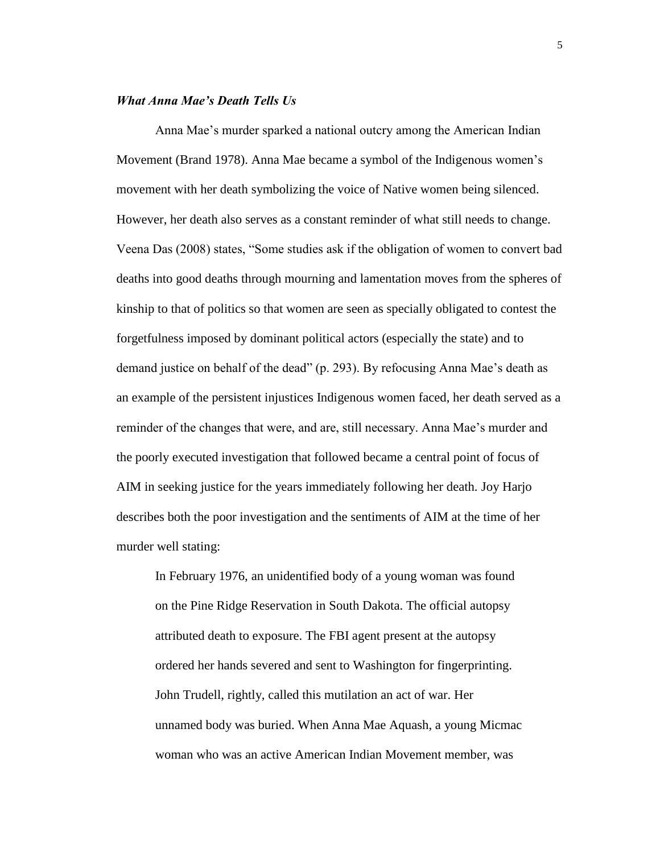## *What Anna Mae's Death Tells Us*

Anna Mae's murder sparked a national outcry among the American Indian Movement (Brand 1978). Anna Mae became a symbol of the Indigenous women's movement with her death symbolizing the voice of Native women being silenced. However, her death also serves as a constant reminder of what still needs to change. Veena Das (2008) states, "Some studies ask if the obligation of women to convert bad deaths into good deaths through mourning and lamentation moves from the spheres of kinship to that of politics so that women are seen as specially obligated to contest the forgetfulness imposed by dominant political actors (especially the state) and to demand justice on behalf of the dead" (p. 293). By refocusing Anna Mae's death as an example of the persistent injustices Indigenous women faced, her death served as a reminder of the changes that were, and are, still necessary. Anna Mae's murder and the poorly executed investigation that followed became a central point of focus of AIM in seeking justice for the years immediately following her death. Joy Harjo describes both the poor investigation and the sentiments of AIM at the time of her murder well stating:

In February 1976, an unidentified body of a young woman was found on the Pine Ridge Reservation in South Dakota. The official autopsy attributed death to exposure. The FBI agent present at the autopsy ordered her hands severed and sent to Washington for fingerprinting. John Trudell, rightly, called this mutilation an act of war. Her unnamed body was buried. When Anna Mae Aquash, a young Micmac woman who was an active American Indian Movement member, was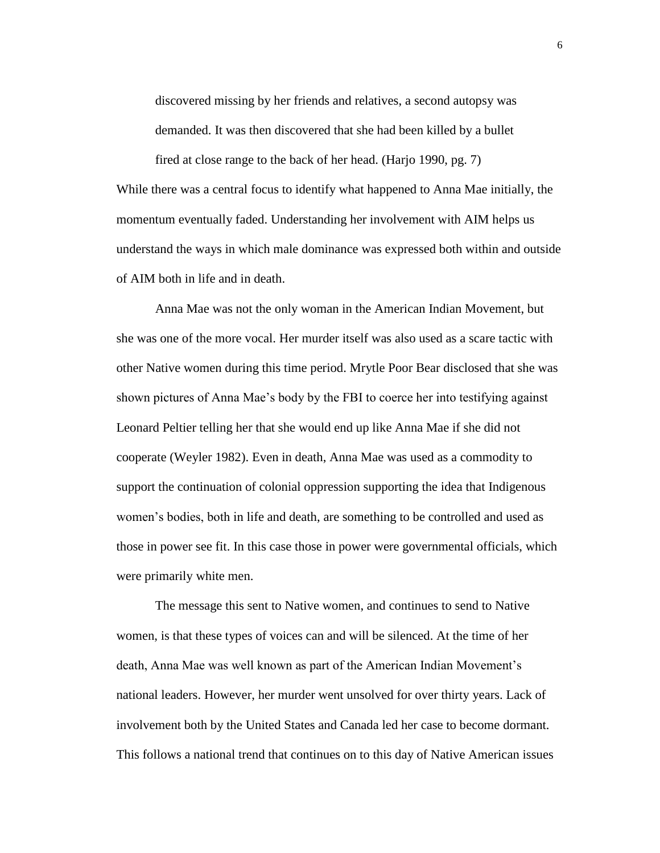discovered missing by her friends and relatives, a second autopsy was demanded. It was then discovered that she had been killed by a bullet

fired at close range to the back of her head. (Harjo 1990, pg. 7)

While there was a central focus to identify what happened to Anna Mae initially, the momentum eventually faded. Understanding her involvement with AIM helps us understand the ways in which male dominance was expressed both within and outside of AIM both in life and in death.

Anna Mae was not the only woman in the American Indian Movement, but she was one of the more vocal. Her murder itself was also used as a scare tactic with other Native women during this time period. Mrytle Poor Bear disclosed that she was shown pictures of Anna Mae's body by the FBI to coerce her into testifying against Leonard Peltier telling her that she would end up like Anna Mae if she did not cooperate (Weyler 1982). Even in death, Anna Mae was used as a commodity to support the continuation of colonial oppression supporting the idea that Indigenous women's bodies, both in life and death, are something to be controlled and used as those in power see fit. In this case those in power were governmental officials, which were primarily white men.

The message this sent to Native women, and continues to send to Native women, is that these types of voices can and will be silenced. At the time of her death, Anna Mae was well known as part of the American Indian Movement's national leaders. However, her murder went unsolved for over thirty years. Lack of involvement both by the United States and Canada led her case to become dormant. This follows a national trend that continues on to this day of Native American issues

6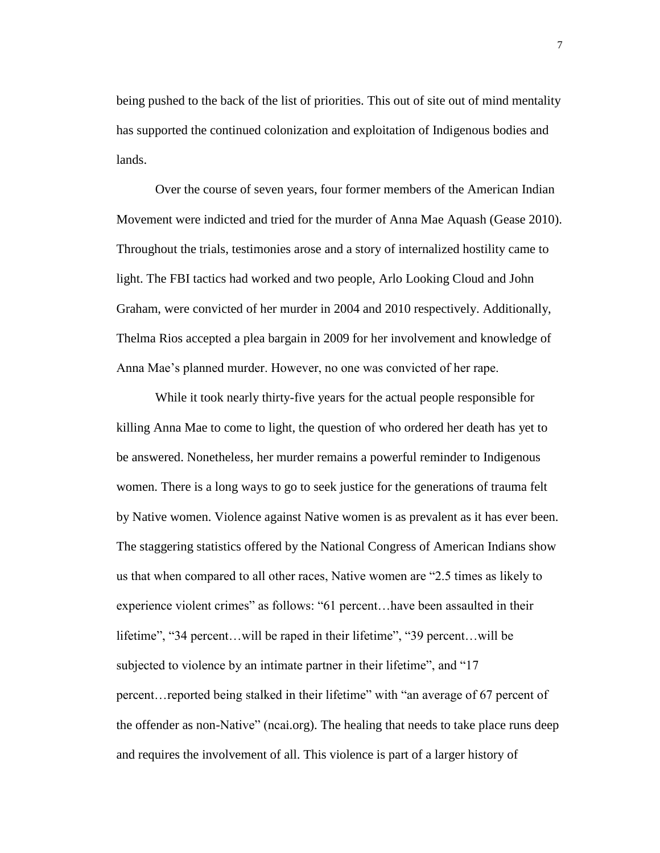being pushed to the back of the list of priorities. This out of site out of mind mentality has supported the continued colonization and exploitation of Indigenous bodies and lands.

Over the course of seven years, four former members of the American Indian Movement were indicted and tried for the murder of Anna Mae Aquash (Gease 2010). Throughout the trials, testimonies arose and a story of internalized hostility came to light. The FBI tactics had worked and two people, Arlo Looking Cloud and John Graham, were convicted of her murder in 2004 and 2010 respectively. Additionally, Thelma Rios accepted a plea bargain in 2009 for her involvement and knowledge of Anna Mae's planned murder. However, no one was convicted of her rape.

While it took nearly thirty-five years for the actual people responsible for killing Anna Mae to come to light, the question of who ordered her death has yet to be answered. Nonetheless, her murder remains a powerful reminder to Indigenous women. There is a long ways to go to seek justice for the generations of trauma felt by Native women. Violence against Native women is as prevalent as it has ever been. The staggering statistics offered by the National Congress of American Indians show us that when compared to all other races, Native women are "2.5 times as likely to experience violent crimes" as follows: "61 percent…have been assaulted in their lifetime", "34 percent…will be raped in their lifetime", "39 percent…will be subjected to violence by an intimate partner in their lifetime", and "17 percent…reported being stalked in their lifetime" with "an average of 67 percent of the offender as non-Native" (ncai.org). The healing that needs to take place runs deep and requires the involvement of all. This violence is part of a larger history of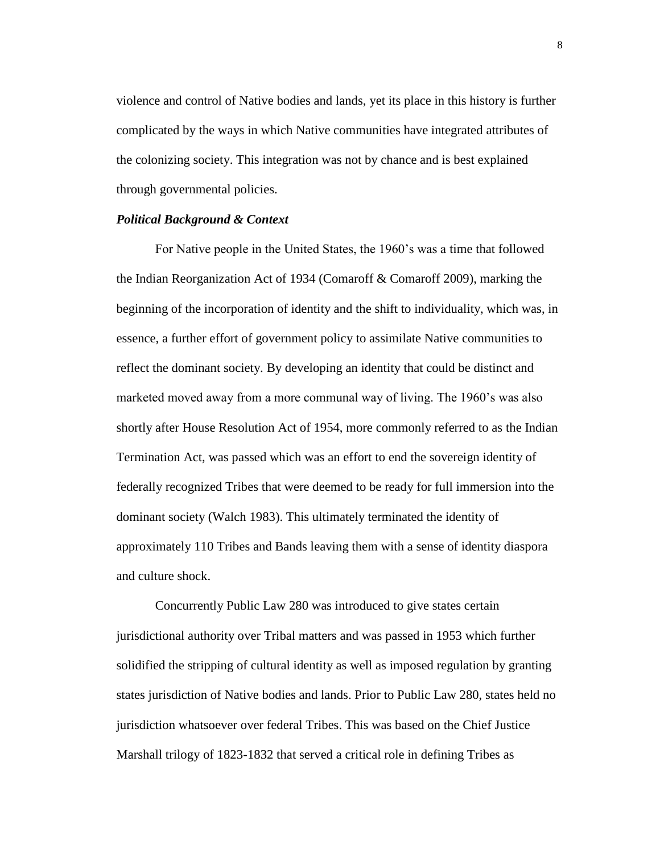violence and control of Native bodies and lands, yet its place in this history is further complicated by the ways in which Native communities have integrated attributes of the colonizing society. This integration was not by chance and is best explained through governmental policies.

#### *Political Background & Context*

For Native people in the United States, the 1960's was a time that followed the Indian Reorganization Act of 1934 (Comaroff & Comaroff 2009), marking the beginning of the incorporation of identity and the shift to individuality, which was, in essence, a further effort of government policy to assimilate Native communities to reflect the dominant society. By developing an identity that could be distinct and marketed moved away from a more communal way of living. The 1960's was also shortly after House Resolution Act of 1954, more commonly referred to as the Indian Termination Act, was passed which was an effort to end the sovereign identity of federally recognized Tribes that were deemed to be ready for full immersion into the dominant society (Walch 1983). This ultimately terminated the identity of approximately 110 Tribes and Bands leaving them with a sense of identity diaspora and culture shock.

Concurrently Public Law 280 was introduced to give states certain jurisdictional authority over Tribal matters and was passed in 1953 which further solidified the stripping of cultural identity as well as imposed regulation by granting states jurisdiction of Native bodies and lands. Prior to Public Law 280, states held no jurisdiction whatsoever over federal Tribes. This was based on the Chief Justice Marshall trilogy of 1823-1832 that served a critical role in defining Tribes as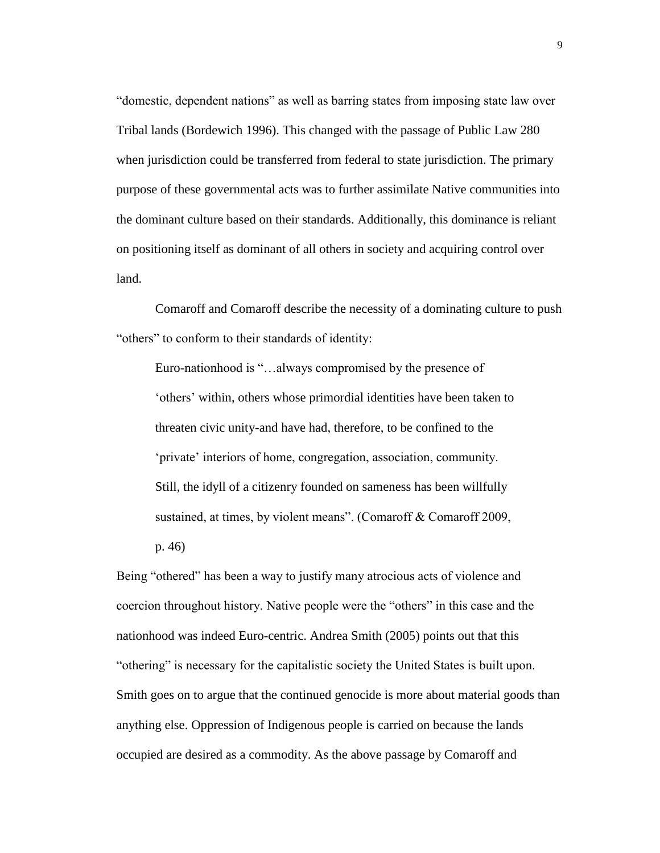"domestic, dependent nations" as well as barring states from imposing state law over Tribal lands (Bordewich 1996). This changed with the passage of Public Law 280 when jurisdiction could be transferred from federal to state jurisdiction. The primary purpose of these governmental acts was to further assimilate Native communities into the dominant culture based on their standards. Additionally, this dominance is reliant on positioning itself as dominant of all others in society and acquiring control over land.

Comaroff and Comaroff describe the necessity of a dominating culture to push "others" to conform to their standards of identity:

Euro-nationhood is "…always compromised by the presence of 'others' within, others whose primordial identities have been taken to threaten civic unity-and have had, therefore, to be confined to the 'private' interiors of home, congregation, association, community. Still, the idyll of a citizenry founded on sameness has been willfully sustained, at times, by violent means". (Comaroff & Comaroff 2009,

p. 46)

Being "othered" has been a way to justify many atrocious acts of violence and coercion throughout history. Native people were the "others" in this case and the nationhood was indeed Euro-centric. Andrea Smith (2005) points out that this "othering" is necessary for the capitalistic society the United States is built upon. Smith goes on to argue that the continued genocide is more about material goods than anything else. Oppression of Indigenous people is carried on because the lands occupied are desired as a commodity. As the above passage by Comaroff and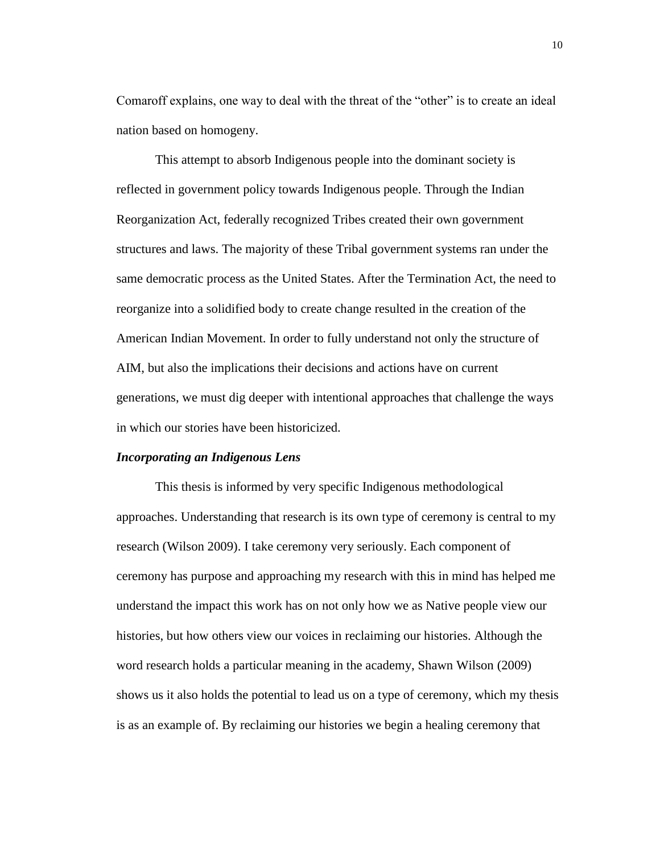Comaroff explains, one way to deal with the threat of the "other" is to create an ideal nation based on homogeny.

This attempt to absorb Indigenous people into the dominant society is reflected in government policy towards Indigenous people. Through the Indian Reorganization Act, federally recognized Tribes created their own government structures and laws. The majority of these Tribal government systems ran under the same democratic process as the United States. After the Termination Act, the need to reorganize into a solidified body to create change resulted in the creation of the American Indian Movement. In order to fully understand not only the structure of AIM, but also the implications their decisions and actions have on current generations, we must dig deeper with intentional approaches that challenge the ways in which our stories have been historicized.

### *Incorporating an Indigenous Lens*

This thesis is informed by very specific Indigenous methodological approaches. Understanding that research is its own type of ceremony is central to my research (Wilson 2009). I take ceremony very seriously. Each component of ceremony has purpose and approaching my research with this in mind has helped me understand the impact this work has on not only how we as Native people view our histories, but how others view our voices in reclaiming our histories. Although the word research holds a particular meaning in the academy, Shawn Wilson (2009) shows us it also holds the potential to lead us on a type of ceremony, which my thesis is as an example of. By reclaiming our histories we begin a healing ceremony that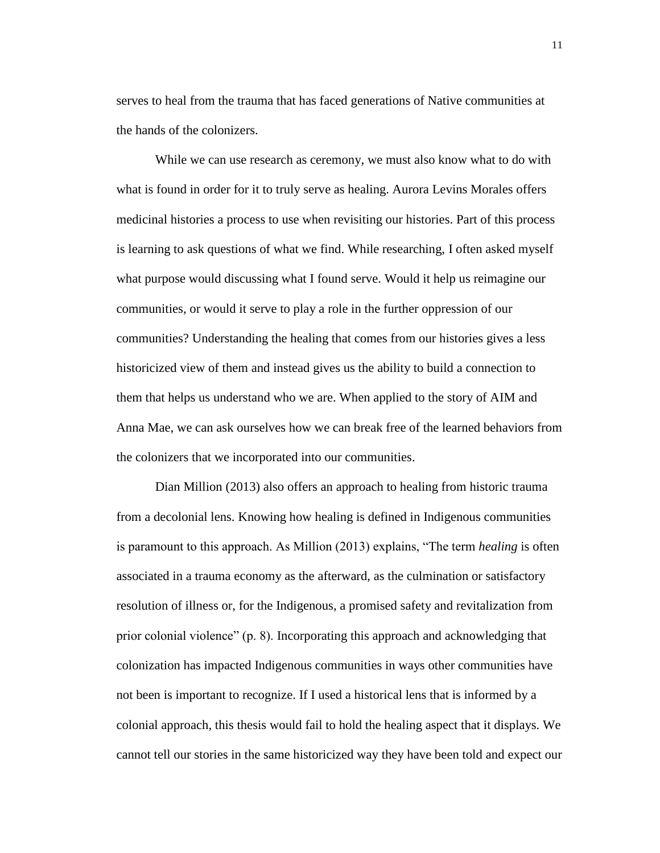serves to heal from the trauma that has faced generations of Native communities at the hands of the colonizers.

While we can use research as ceremony, we must also know what to do with what is found in order for it to truly serve as healing. Aurora Levins Morales offers medicinal histories a process to use when revisiting our histories. Part of this process is learning to ask questions of what we find. While researching, I often asked myself what purpose would discussing what I found serve. Would it help us reimagine our communities, or would it serve to play a role in the further oppression of our communities? Understanding the healing that comes from our histories gives a less historicized view of them and instead gives us the ability to build a connection to them that helps us understand who we are. When applied to the story of AIM and Anna Mae, we can ask ourselves how we can break free of the learned behaviors from the colonizers that we incorporated into our communities.

Dian Million (2013) also offers an approach to healing from historic trauma from a decolonial lens. Knowing how healing is defined in Indigenous communities is paramount to this approach. As Million (2013) explains, "The term *healing* is often associated in a trauma economy as the afterward, as the culmination or satisfactory resolution of illness or, for the Indigenous, a promised safety and revitalization from prior colonial violence" (p. 8). Incorporating this approach and acknowledging that colonization has impacted Indigenous communities in ways other communities have not been is important to recognize. If I used a historical lens that is informed by a colonial approach, this thesis would fail to hold the healing aspect that it displays. We cannot tell our stories in the same historicized way they have been told and expect our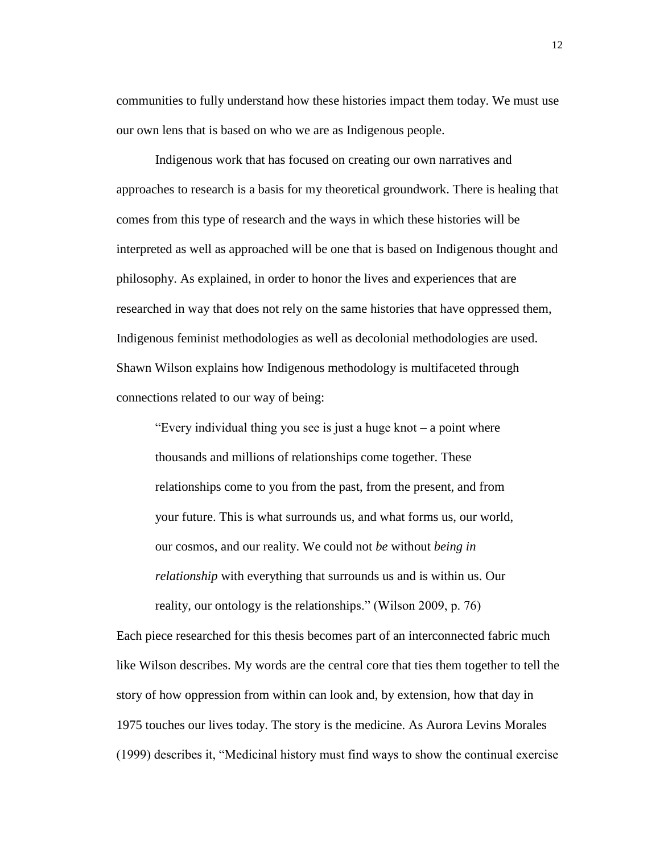communities to fully understand how these histories impact them today. We must use our own lens that is based on who we are as Indigenous people.

Indigenous work that has focused on creating our own narratives and approaches to research is a basis for my theoretical groundwork. There is healing that comes from this type of research and the ways in which these histories will be interpreted as well as approached will be one that is based on Indigenous thought and philosophy. As explained, in order to honor the lives and experiences that are researched in way that does not rely on the same histories that have oppressed them, Indigenous feminist methodologies as well as decolonial methodologies are used. Shawn Wilson explains how Indigenous methodology is multifaceted through connections related to our way of being:

"Every individual thing you see is just a huge knot – a point where thousands and millions of relationships come together. These relationships come to you from the past, from the present, and from your future. This is what surrounds us, and what forms us, our world, our cosmos, and our reality. We could not *be* without *being in relationship* with everything that surrounds us and is within us. Our reality, our ontology is the relationships." (Wilson 2009, p. 76)

Each piece researched for this thesis becomes part of an interconnected fabric much like Wilson describes. My words are the central core that ties them together to tell the story of how oppression from within can look and, by extension, how that day in 1975 touches our lives today. The story is the medicine. As Aurora Levins Morales (1999) describes it, "Medicinal history must find ways to show the continual exercise

12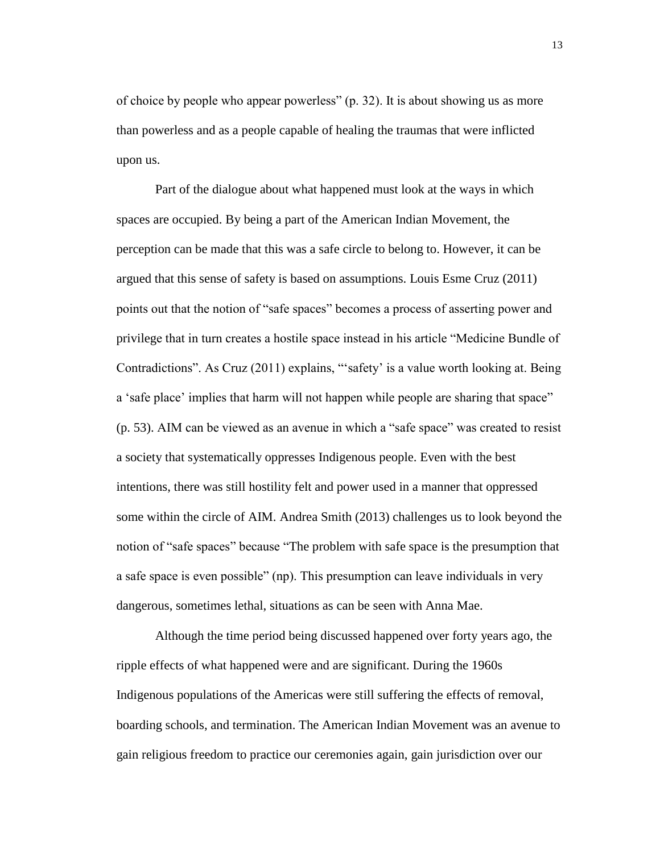of choice by people who appear powerless" (p. 32). It is about showing us as more than powerless and as a people capable of healing the traumas that were inflicted upon us.

Part of the dialogue about what happened must look at the ways in which spaces are occupied. By being a part of the American Indian Movement, the perception can be made that this was a safe circle to belong to. However, it can be argued that this sense of safety is based on assumptions. Louis Esme Cruz (2011) points out that the notion of "safe spaces" becomes a process of asserting power and privilege that in turn creates a hostile space instead in his article "Medicine Bundle of Contradictions". As Cruz (2011) explains, "'safety' is a value worth looking at. Being a 'safe place' implies that harm will not happen while people are sharing that space" (p. 53). AIM can be viewed as an avenue in which a "safe space" was created to resist a society that systematically oppresses Indigenous people. Even with the best intentions, there was still hostility felt and power used in a manner that oppressed some within the circle of AIM. Andrea Smith (2013) challenges us to look beyond the notion of "safe spaces" because "The problem with safe space is the presumption that a safe space is even possible" (np). This presumption can leave individuals in very dangerous, sometimes lethal, situations as can be seen with Anna Mae.

Although the time period being discussed happened over forty years ago, the ripple effects of what happened were and are significant. During the 1960s Indigenous populations of the Americas were still suffering the effects of removal, boarding schools, and termination. The American Indian Movement was an avenue to gain religious freedom to practice our ceremonies again, gain jurisdiction over our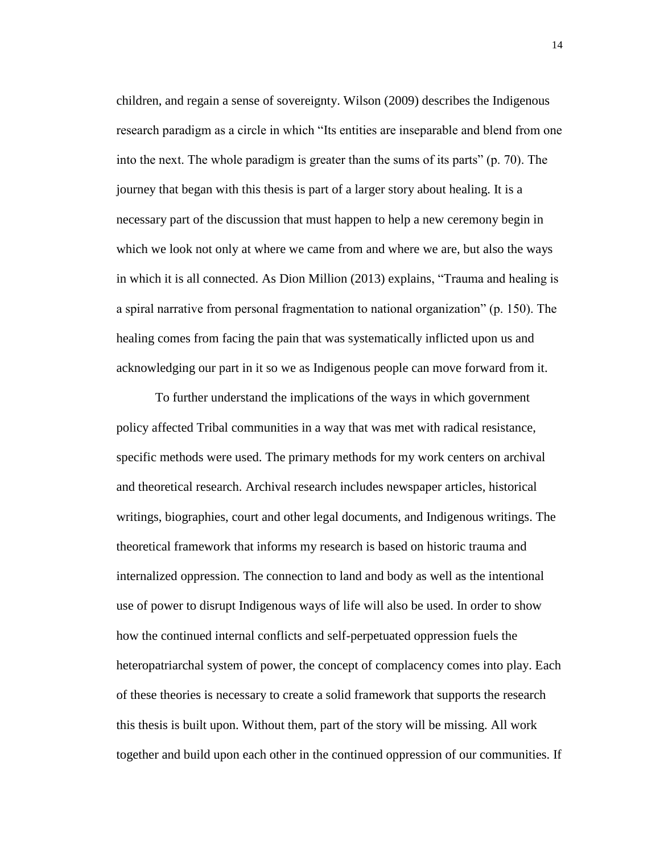children, and regain a sense of sovereignty. Wilson (2009) describes the Indigenous research paradigm as a circle in which "Its entities are inseparable and blend from one into the next. The whole paradigm is greater than the sums of its parts" (p. 70). The journey that began with this thesis is part of a larger story about healing. It is a necessary part of the discussion that must happen to help a new ceremony begin in which we look not only at where we came from and where we are, but also the ways in which it is all connected. As Dion Million (2013) explains, "Trauma and healing is a spiral narrative from personal fragmentation to national organization" (p. 150). The healing comes from facing the pain that was systematically inflicted upon us and acknowledging our part in it so we as Indigenous people can move forward from it.

To further understand the implications of the ways in which government policy affected Tribal communities in a way that was met with radical resistance, specific methods were used. The primary methods for my work centers on archival and theoretical research. Archival research includes newspaper articles, historical writings, biographies, court and other legal documents, and Indigenous writings. The theoretical framework that informs my research is based on historic trauma and internalized oppression. The connection to land and body as well as the intentional use of power to disrupt Indigenous ways of life will also be used. In order to show how the continued internal conflicts and self-perpetuated oppression fuels the heteropatriarchal system of power, the concept of complacency comes into play. Each of these theories is necessary to create a solid framework that supports the research this thesis is built upon. Without them, part of the story will be missing. All work together and build upon each other in the continued oppression of our communities. If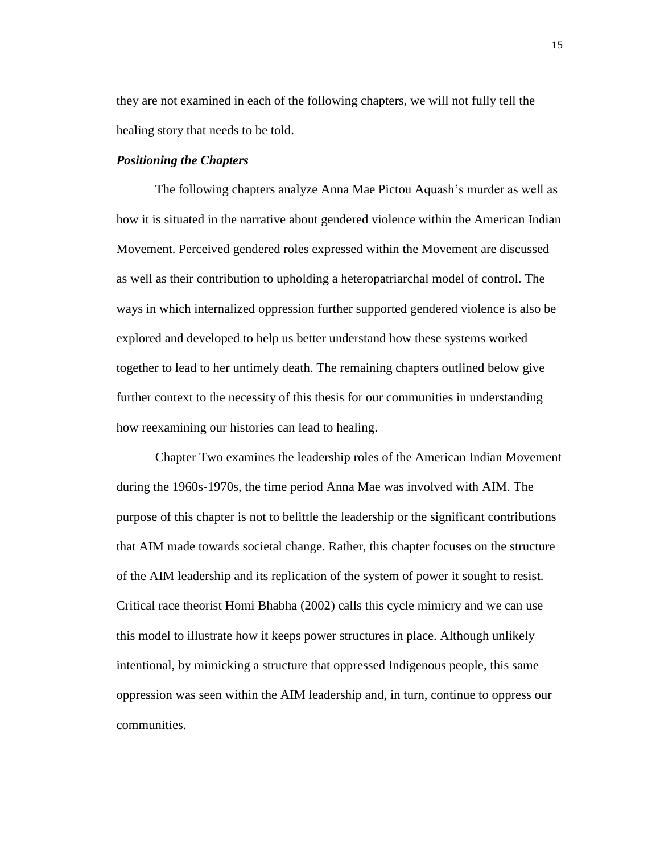they are not examined in each of the following chapters, we will not fully tell the healing story that needs to be told.

#### *Positioning the Chapters*

The following chapters analyze Anna Mae Pictou Aquash's murder as well as how it is situated in the narrative about gendered violence within the American Indian Movement. Perceived gendered roles expressed within the Movement are discussed as well as their contribution to upholding a heteropatriarchal model of control. The ways in which internalized oppression further supported gendered violence is also be explored and developed to help us better understand how these systems worked together to lead to her untimely death. The remaining chapters outlined below give further context to the necessity of this thesis for our communities in understanding how reexamining our histories can lead to healing.

Chapter Two examines the leadership roles of the American Indian Movement during the 1960s-1970s, the time period Anna Mae was involved with AIM. The purpose of this chapter is not to belittle the leadership or the significant contributions that AIM made towards societal change. Rather, this chapter focuses on the structure of the AIM leadership and its replication of the system of power it sought to resist. Critical race theorist Homi Bhabha (2002) calls this cycle mimicry and we can use this model to illustrate how it keeps power structures in place. Although unlikely intentional, by mimicking a structure that oppressed Indigenous people, this same oppression was seen within the AIM leadership and, in turn, continue to oppress our communities.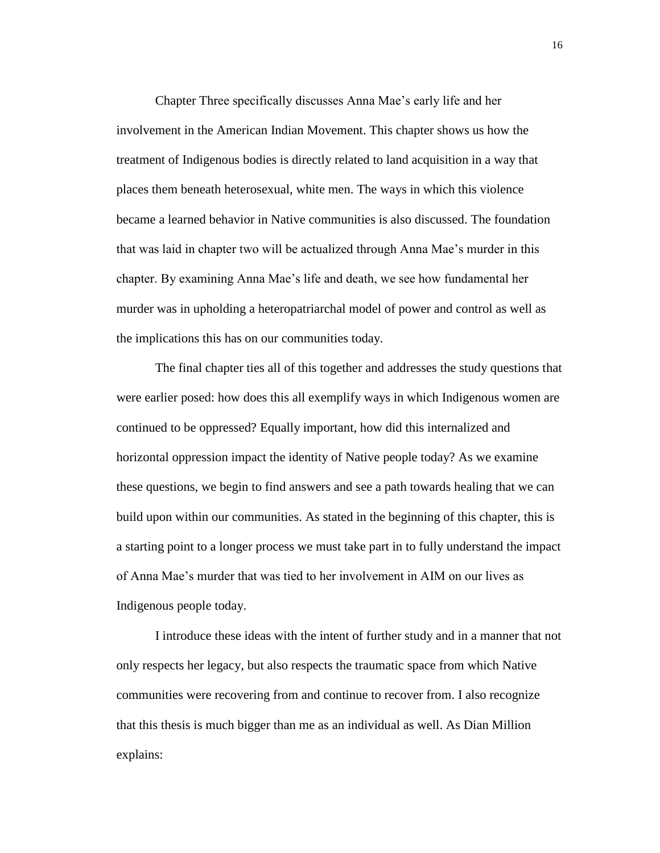Chapter Three specifically discusses Anna Mae's early life and her involvement in the American Indian Movement. This chapter shows us how the treatment of Indigenous bodies is directly related to land acquisition in a way that places them beneath heterosexual, white men. The ways in which this violence became a learned behavior in Native communities is also discussed. The foundation that was laid in chapter two will be actualized through Anna Mae's murder in this chapter. By examining Anna Mae's life and death, we see how fundamental her murder was in upholding a heteropatriarchal model of power and control as well as the implications this has on our communities today.

The final chapter ties all of this together and addresses the study questions that were earlier posed: how does this all exemplify ways in which Indigenous women are continued to be oppressed? Equally important, how did this internalized and horizontal oppression impact the identity of Native people today? As we examine these questions, we begin to find answers and see a path towards healing that we can build upon within our communities. As stated in the beginning of this chapter, this is a starting point to a longer process we must take part in to fully understand the impact of Anna Mae's murder that was tied to her involvement in AIM on our lives as Indigenous people today.

I introduce these ideas with the intent of further study and in a manner that not only respects her legacy, but also respects the traumatic space from which Native communities were recovering from and continue to recover from. I also recognize that this thesis is much bigger than me as an individual as well. As Dian Million explains: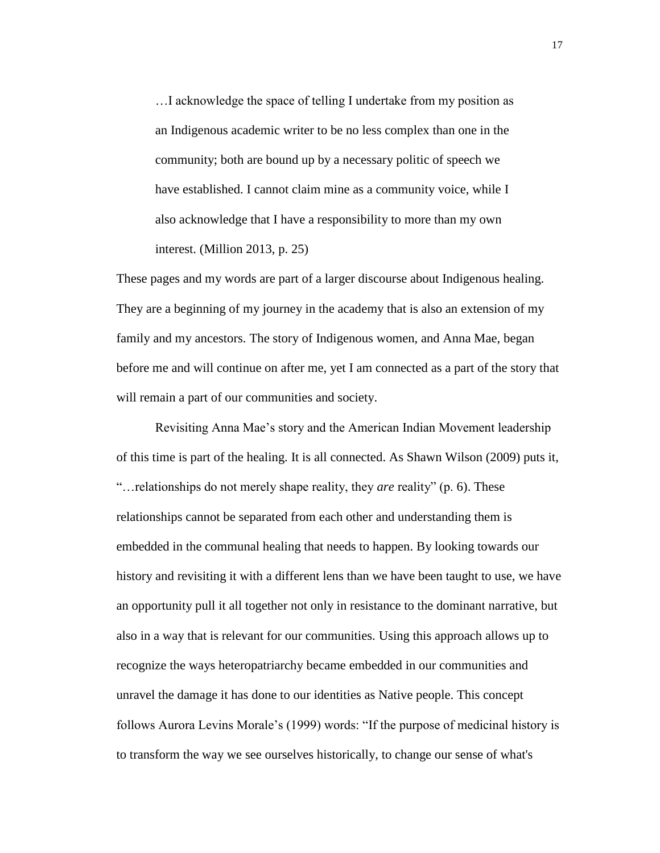…I acknowledge the space of telling I undertake from my position as an Indigenous academic writer to be no less complex than one in the community; both are bound up by a necessary politic of speech we have established. I cannot claim mine as a community voice, while I also acknowledge that I have a responsibility to more than my own interest. (Million 2013, p. 25)

These pages and my words are part of a larger discourse about Indigenous healing. They are a beginning of my journey in the academy that is also an extension of my family and my ancestors. The story of Indigenous women, and Anna Mae, began before me and will continue on after me, yet I am connected as a part of the story that will remain a part of our communities and society.

Revisiting Anna Mae's story and the American Indian Movement leadership of this time is part of the healing. It is all connected. As Shawn Wilson (2009) puts it, "…relationships do not merely shape reality, they *are* reality" (p. 6). These relationships cannot be separated from each other and understanding them is embedded in the communal healing that needs to happen. By looking towards our history and revisiting it with a different lens than we have been taught to use, we have an opportunity pull it all together not only in resistance to the dominant narrative, but also in a way that is relevant for our communities. Using this approach allows up to recognize the ways heteropatriarchy became embedded in our communities and unravel the damage it has done to our identities as Native people. This concept follows Aurora Levins Morale's (1999) words: "If the purpose of medicinal history is to transform the way we see ourselves historically, to change our sense of what's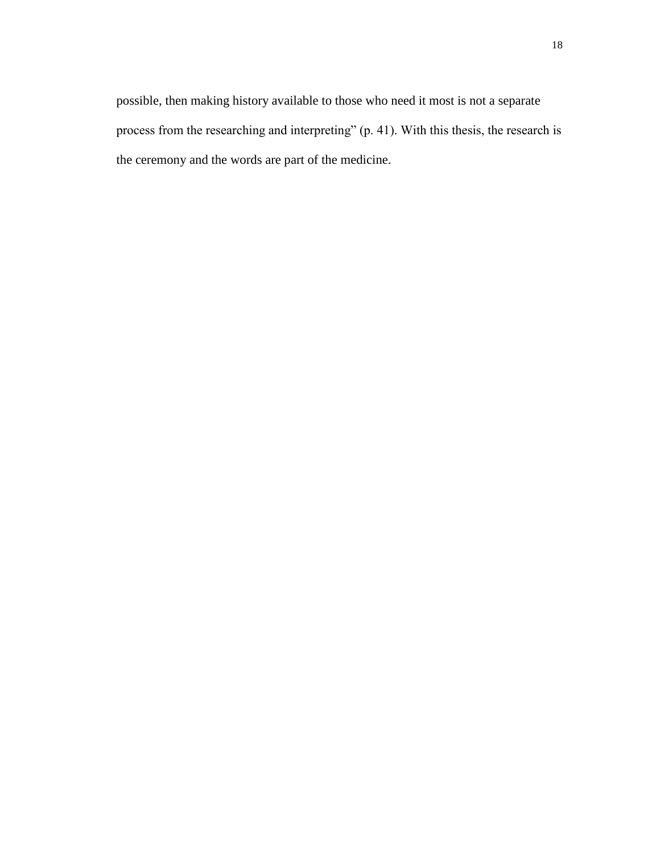possible, then making history available to those who need it most is not a separate process from the researching and interpreting" (p. 41). With this thesis, the research is the ceremony and the words are part of the medicine.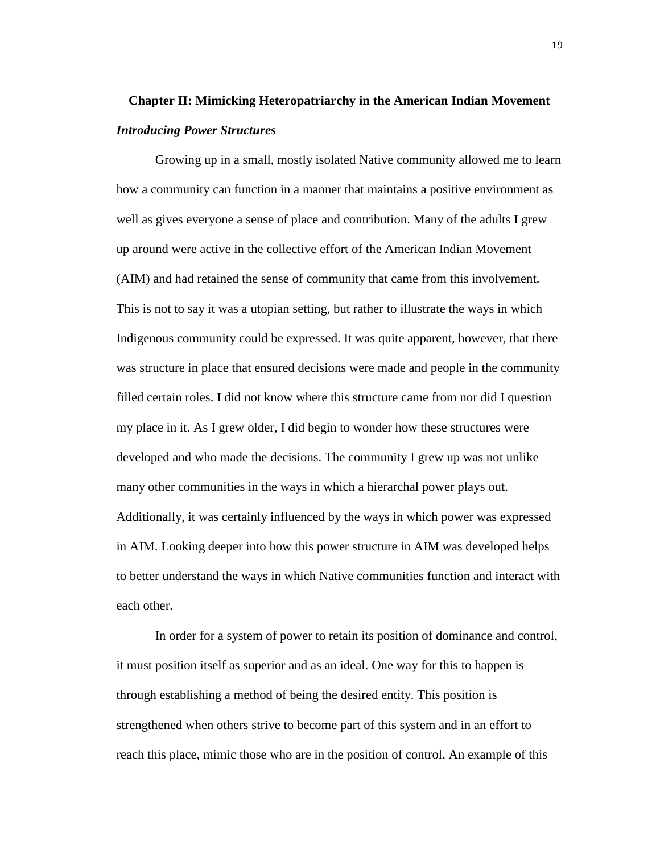# **Chapter II: Mimicking Heteropatriarchy in the American Indian Movement** *Introducing Power Structures*

Growing up in a small, mostly isolated Native community allowed me to learn how a community can function in a manner that maintains a positive environment as well as gives everyone a sense of place and contribution. Many of the adults I grew up around were active in the collective effort of the American Indian Movement (AIM) and had retained the sense of community that came from this involvement. This is not to say it was a utopian setting, but rather to illustrate the ways in which Indigenous community could be expressed. It was quite apparent, however, that there was structure in place that ensured decisions were made and people in the community filled certain roles. I did not know where this structure came from nor did I question my place in it. As I grew older, I did begin to wonder how these structures were developed and who made the decisions. The community I grew up was not unlike many other communities in the ways in which a hierarchal power plays out. Additionally, it was certainly influenced by the ways in which power was expressed in AIM. Looking deeper into how this power structure in AIM was developed helps to better understand the ways in which Native communities function and interact with each other.

In order for a system of power to retain its position of dominance and control, it must position itself as superior and as an ideal. One way for this to happen is through establishing a method of being the desired entity. This position is strengthened when others strive to become part of this system and in an effort to reach this place, mimic those who are in the position of control. An example of this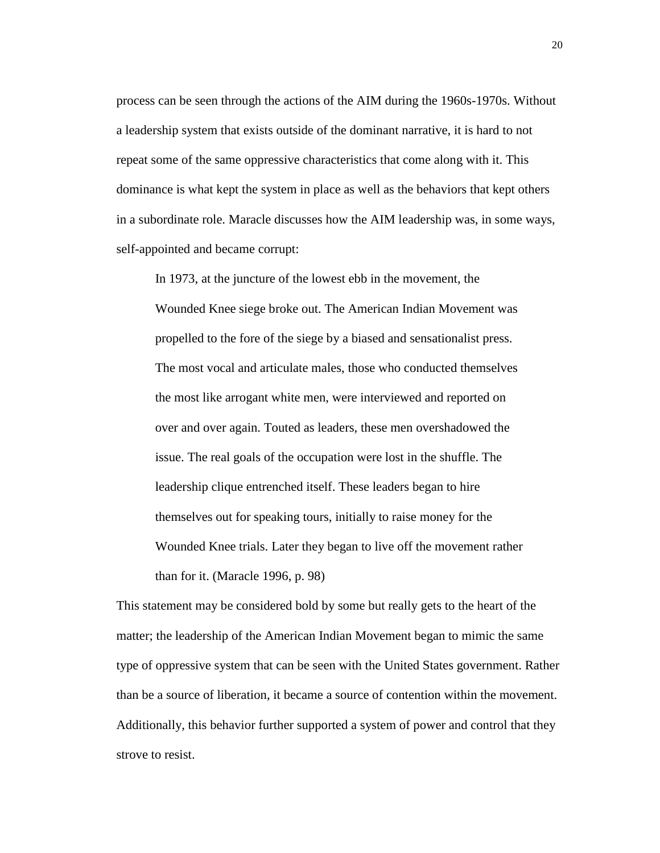process can be seen through the actions of the AIM during the 1960s-1970s. Without a leadership system that exists outside of the dominant narrative, it is hard to not repeat some of the same oppressive characteristics that come along with it. This dominance is what kept the system in place as well as the behaviors that kept others in a subordinate role. Maracle discusses how the AIM leadership was, in some ways, self-appointed and became corrupt:

In 1973, at the juncture of the lowest ebb in the movement, the Wounded Knee siege broke out. The American Indian Movement was propelled to the fore of the siege by a biased and sensationalist press. The most vocal and articulate males, those who conducted themselves the most like arrogant white men, were interviewed and reported on over and over again. Touted as leaders, these men overshadowed the issue. The real goals of the occupation were lost in the shuffle. The leadership clique entrenched itself. These leaders began to hire themselves out for speaking tours, initially to raise money for the Wounded Knee trials. Later they began to live off the movement rather than for it. (Maracle 1996, p. 98)

This statement may be considered bold by some but really gets to the heart of the matter; the leadership of the American Indian Movement began to mimic the same type of oppressive system that can be seen with the United States government. Rather than be a source of liberation, it became a source of contention within the movement. Additionally, this behavior further supported a system of power and control that they strove to resist.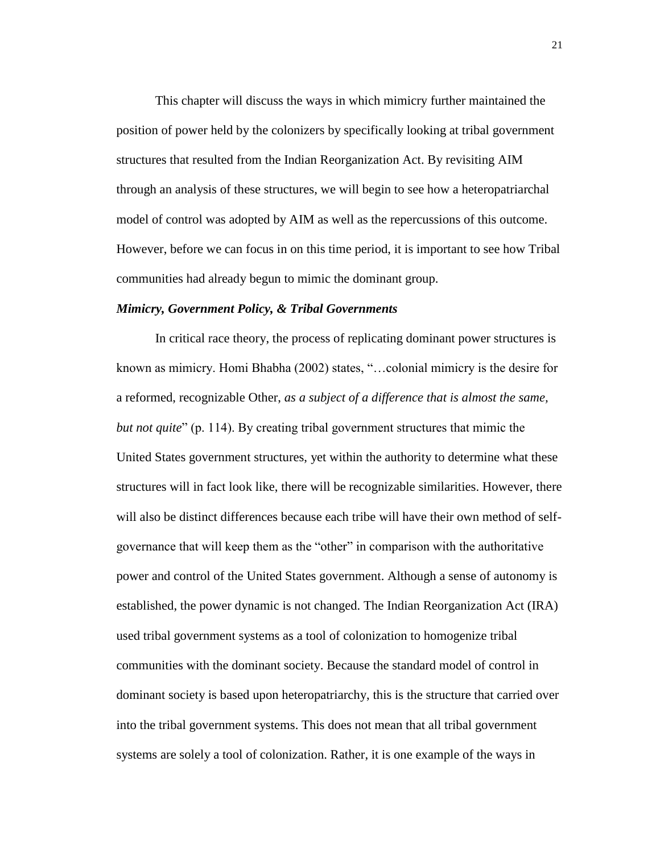This chapter will discuss the ways in which mimicry further maintained the position of power held by the colonizers by specifically looking at tribal government structures that resulted from the Indian Reorganization Act. By revisiting AIM through an analysis of these structures, we will begin to see how a heteropatriarchal model of control was adopted by AIM as well as the repercussions of this outcome. However, before we can focus in on this time period, it is important to see how Tribal communities had already begun to mimic the dominant group.

#### *Mimicry, Government Policy, & Tribal Governments*

In critical race theory, the process of replicating dominant power structures is known as mimicry. Homi Bhabha (2002) states, "…colonial mimicry is the desire for a reformed, recognizable Other, *as a subject of a difference that is almost the same, but not quite*" (p. 114). By creating tribal government structures that mimic the United States government structures, yet within the authority to determine what these structures will in fact look like, there will be recognizable similarities. However, there will also be distinct differences because each tribe will have their own method of selfgovernance that will keep them as the "other" in comparison with the authoritative power and control of the United States government. Although a sense of autonomy is established, the power dynamic is not changed. The Indian Reorganization Act (IRA) used tribal government systems as a tool of colonization to homogenize tribal communities with the dominant society. Because the standard model of control in dominant society is based upon heteropatriarchy, this is the structure that carried over into the tribal government systems. This does not mean that all tribal government systems are solely a tool of colonization. Rather, it is one example of the ways in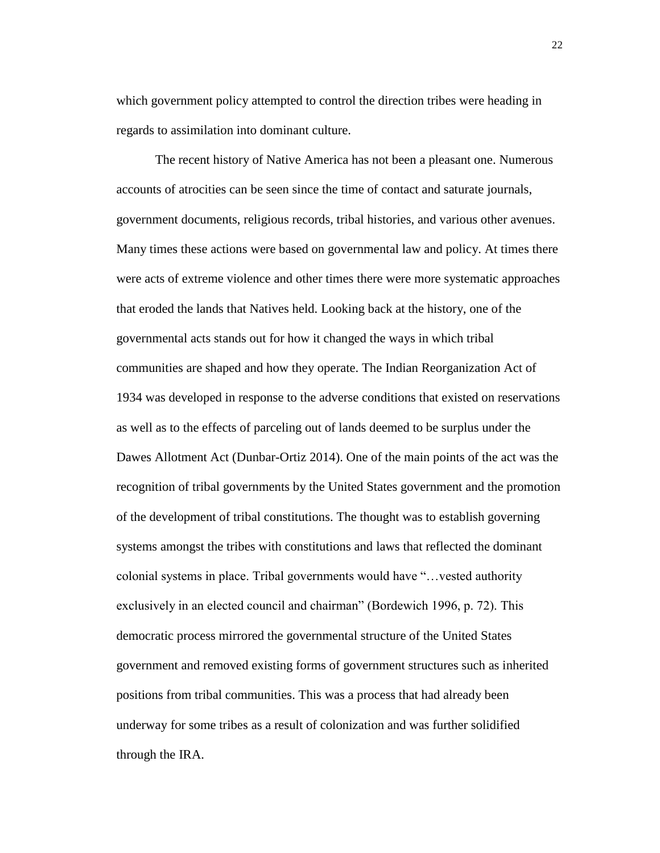which government policy attempted to control the direction tribes were heading in regards to assimilation into dominant culture.

The recent history of Native America has not been a pleasant one. Numerous accounts of atrocities can be seen since the time of contact and saturate journals, government documents, religious records, tribal histories, and various other avenues. Many times these actions were based on governmental law and policy. At times there were acts of extreme violence and other times there were more systematic approaches that eroded the lands that Natives held. Looking back at the history, one of the governmental acts stands out for how it changed the ways in which tribal communities are shaped and how they operate. The Indian Reorganization Act of 1934 was developed in response to the adverse conditions that existed on reservations as well as to the effects of parceling out of lands deemed to be surplus under the Dawes Allotment Act (Dunbar-Ortiz 2014). One of the main points of the act was the recognition of tribal governments by the United States government and the promotion of the development of tribal constitutions. The thought was to establish governing systems amongst the tribes with constitutions and laws that reflected the dominant colonial systems in place. Tribal governments would have "…vested authority exclusively in an elected council and chairman" (Bordewich 1996, p. 72). This democratic process mirrored the governmental structure of the United States government and removed existing forms of government structures such as inherited positions from tribal communities. This was a process that had already been underway for some tribes as a result of colonization and was further solidified through the IRA.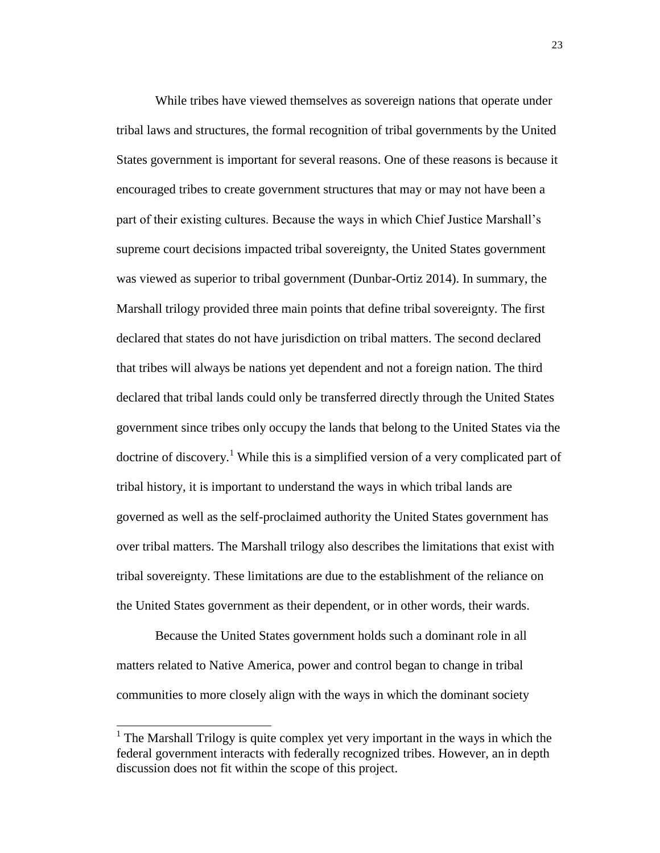While tribes have viewed themselves as sovereign nations that operate under tribal laws and structures, the formal recognition of tribal governments by the United States government is important for several reasons. One of these reasons is because it encouraged tribes to create government structures that may or may not have been a part of their existing cultures. Because the ways in which Chief Justice Marshall's supreme court decisions impacted tribal sovereignty, the United States government was viewed as superior to tribal government (Dunbar-Ortiz 2014). In summary, the Marshall trilogy provided three main points that define tribal sovereignty. The first declared that states do not have jurisdiction on tribal matters. The second declared that tribes will always be nations yet dependent and not a foreign nation. The third declared that tribal lands could only be transferred directly through the United States government since tribes only occupy the lands that belong to the United States via the doctrine of discovery.<sup>1</sup> While this is a simplified version of a very complicated part of tribal history, it is important to understand the ways in which tribal lands are governed as well as the self-proclaimed authority the United States government has over tribal matters. The Marshall trilogy also describes the limitations that exist with tribal sovereignty. These limitations are due to the establishment of the reliance on the United States government as their dependent, or in other words, their wards.

Because the United States government holds such a dominant role in all matters related to Native America, power and control began to change in tribal communities to more closely align with the ways in which the dominant society

 $\overline{\phantom{a}}$ 

<sup>&</sup>lt;sup>1</sup> The Marshall Trilogy is quite complex yet very important in the ways in which the federal government interacts with federally recognized tribes. However, an in depth discussion does not fit within the scope of this project.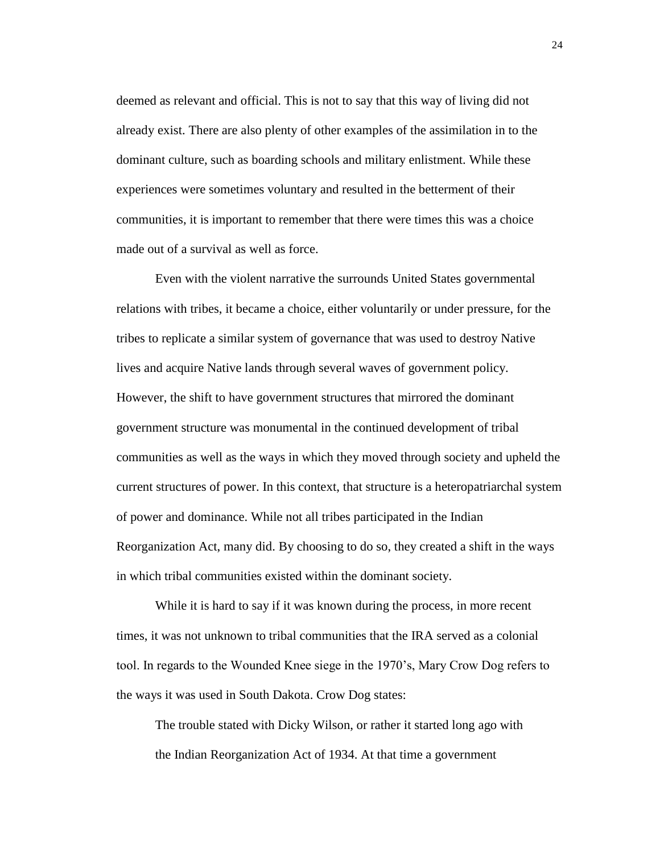deemed as relevant and official. This is not to say that this way of living did not already exist. There are also plenty of other examples of the assimilation in to the dominant culture, such as boarding schools and military enlistment. While these experiences were sometimes voluntary and resulted in the betterment of their communities, it is important to remember that there were times this was a choice made out of a survival as well as force.

Even with the violent narrative the surrounds United States governmental relations with tribes, it became a choice, either voluntarily or under pressure, for the tribes to replicate a similar system of governance that was used to destroy Native lives and acquire Native lands through several waves of government policy. However, the shift to have government structures that mirrored the dominant government structure was monumental in the continued development of tribal communities as well as the ways in which they moved through society and upheld the current structures of power. In this context, that structure is a heteropatriarchal system of power and dominance. While not all tribes participated in the Indian Reorganization Act, many did. By choosing to do so, they created a shift in the ways in which tribal communities existed within the dominant society.

While it is hard to say if it was known during the process, in more recent times, it was not unknown to tribal communities that the IRA served as a colonial tool. In regards to the Wounded Knee siege in the 1970's, Mary Crow Dog refers to the ways it was used in South Dakota. Crow Dog states:

The trouble stated with Dicky Wilson, or rather it started long ago with the Indian Reorganization Act of 1934. At that time a government

24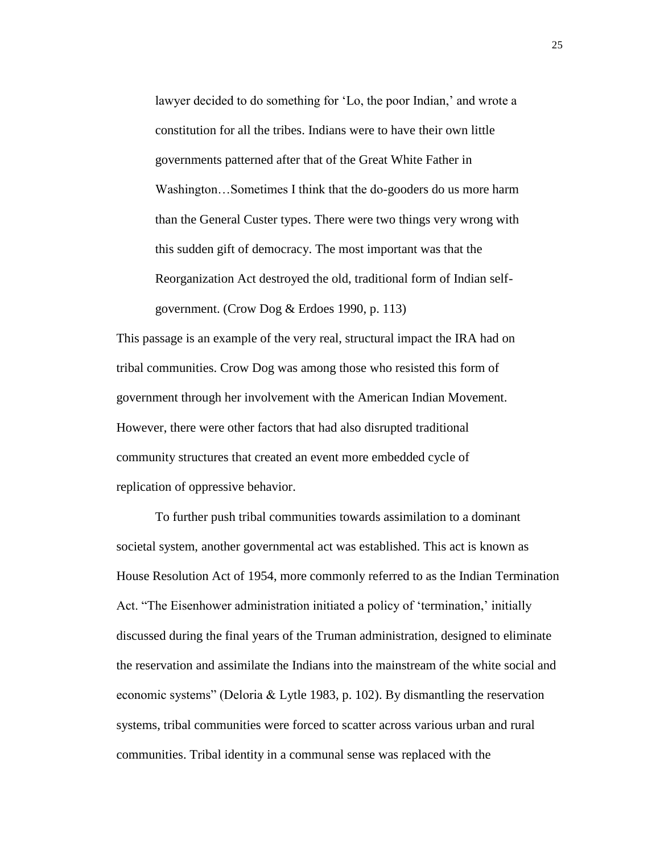lawyer decided to do something for 'Lo, the poor Indian,' and wrote a constitution for all the tribes. Indians were to have their own little governments patterned after that of the Great White Father in Washington…Sometimes I think that the do-gooders do us more harm than the General Custer types. There were two things very wrong with this sudden gift of democracy. The most important was that the Reorganization Act destroyed the old, traditional form of Indian selfgovernment. (Crow Dog & Erdoes 1990, p. 113)

This passage is an example of the very real, structural impact the IRA had on tribal communities. Crow Dog was among those who resisted this form of government through her involvement with the American Indian Movement. However, there were other factors that had also disrupted traditional community structures that created an event more embedded cycle of replication of oppressive behavior.

To further push tribal communities towards assimilation to a dominant societal system, another governmental act was established. This act is known as House Resolution Act of 1954, more commonly referred to as the Indian Termination Act. "The Eisenhower administration initiated a policy of 'termination,' initially discussed during the final years of the Truman administration, designed to eliminate the reservation and assimilate the Indians into the mainstream of the white social and economic systems" (Deloria & Lytle 1983, p. 102). By dismantling the reservation systems, tribal communities were forced to scatter across various urban and rural communities. Tribal identity in a communal sense was replaced with the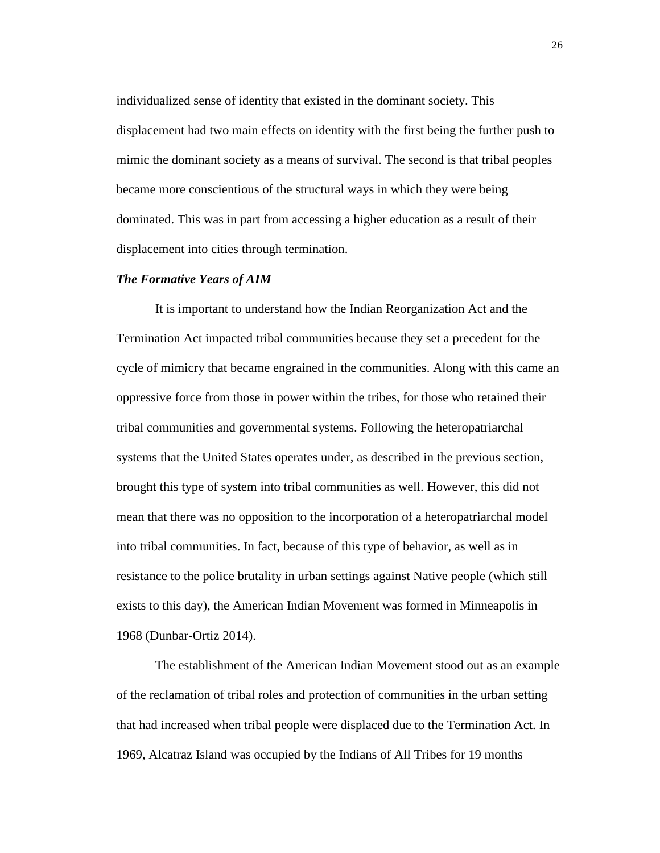individualized sense of identity that existed in the dominant society. This displacement had two main effects on identity with the first being the further push to mimic the dominant society as a means of survival. The second is that tribal peoples became more conscientious of the structural ways in which they were being dominated. This was in part from accessing a higher education as a result of their displacement into cities through termination.

#### *The Formative Years of AIM*

It is important to understand how the Indian Reorganization Act and the Termination Act impacted tribal communities because they set a precedent for the cycle of mimicry that became engrained in the communities. Along with this came an oppressive force from those in power within the tribes, for those who retained their tribal communities and governmental systems. Following the heteropatriarchal systems that the United States operates under, as described in the previous section, brought this type of system into tribal communities as well. However, this did not mean that there was no opposition to the incorporation of a heteropatriarchal model into tribal communities. In fact, because of this type of behavior, as well as in resistance to the police brutality in urban settings against Native people (which still exists to this day), the American Indian Movement was formed in Minneapolis in 1968 (Dunbar-Ortiz 2014).

The establishment of the American Indian Movement stood out as an example of the reclamation of tribal roles and protection of communities in the urban setting that had increased when tribal people were displaced due to the Termination Act. In 1969, Alcatraz Island was occupied by the Indians of All Tribes for 19 months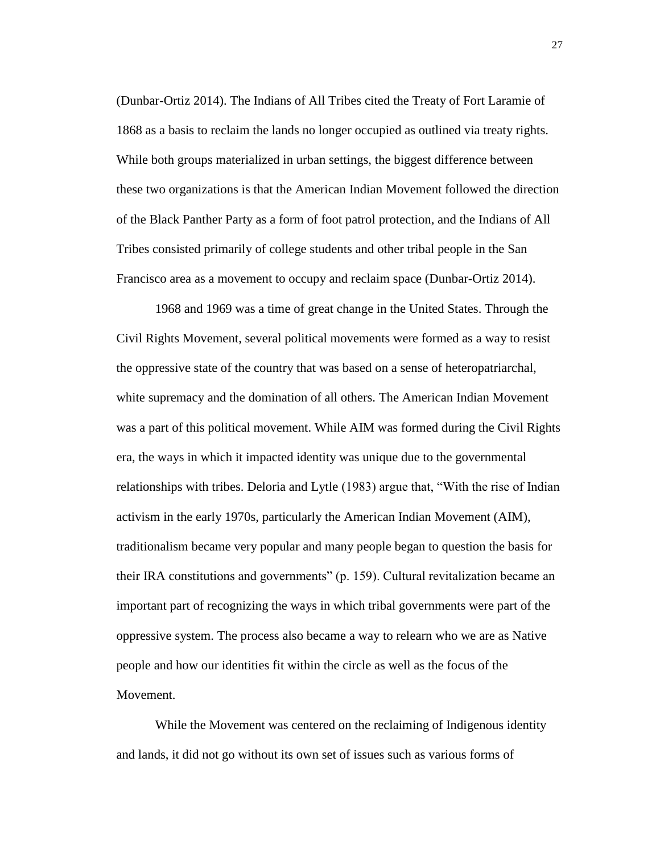(Dunbar-Ortiz 2014). The Indians of All Tribes cited the Treaty of Fort Laramie of 1868 as a basis to reclaim the lands no longer occupied as outlined via treaty rights. While both groups materialized in urban settings, the biggest difference between these two organizations is that the American Indian Movement followed the direction of the Black Panther Party as a form of foot patrol protection, and the Indians of All Tribes consisted primarily of college students and other tribal people in the San Francisco area as a movement to occupy and reclaim space (Dunbar-Ortiz 2014).

1968 and 1969 was a time of great change in the United States. Through the Civil Rights Movement, several political movements were formed as a way to resist the oppressive state of the country that was based on a sense of heteropatriarchal, white supremacy and the domination of all others. The American Indian Movement was a part of this political movement. While AIM was formed during the Civil Rights era, the ways in which it impacted identity was unique due to the governmental relationships with tribes. Deloria and Lytle (1983) argue that, "With the rise of Indian activism in the early 1970s, particularly the American Indian Movement (AIM), traditionalism became very popular and many people began to question the basis for their IRA constitutions and governments" (p. 159). Cultural revitalization became an important part of recognizing the ways in which tribal governments were part of the oppressive system. The process also became a way to relearn who we are as Native people and how our identities fit within the circle as well as the focus of the Movement.

While the Movement was centered on the reclaiming of Indigenous identity and lands, it did not go without its own set of issues such as various forms of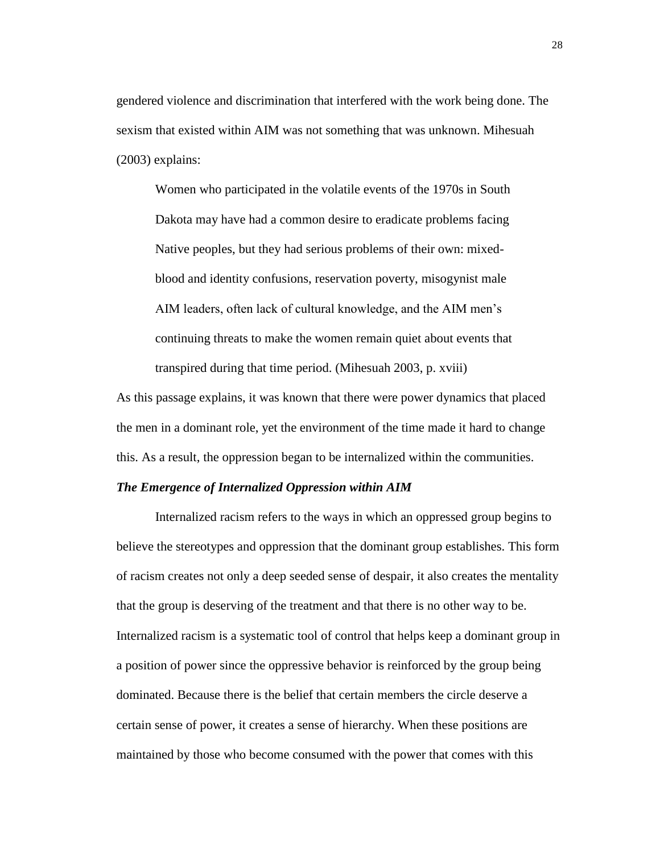gendered violence and discrimination that interfered with the work being done. The sexism that existed within AIM was not something that was unknown. Mihesuah (2003) explains:

Women who participated in the volatile events of the 1970s in South Dakota may have had a common desire to eradicate problems facing Native peoples, but they had serious problems of their own: mixedblood and identity confusions, reservation poverty, misogynist male AIM leaders, often lack of cultural knowledge, and the AIM men's continuing threats to make the women remain quiet about events that transpired during that time period. (Mihesuah 2003, p. xviii)

As this passage explains, it was known that there were power dynamics that placed the men in a dominant role, yet the environment of the time made it hard to change this. As a result, the oppression began to be internalized within the communities.

#### *The Emergence of Internalized Oppression within AIM*

Internalized racism refers to the ways in which an oppressed group begins to believe the stereotypes and oppression that the dominant group establishes. This form of racism creates not only a deep seeded sense of despair, it also creates the mentality that the group is deserving of the treatment and that there is no other way to be. Internalized racism is a systematic tool of control that helps keep a dominant group in a position of power since the oppressive behavior is reinforced by the group being dominated. Because there is the belief that certain members the circle deserve a certain sense of power, it creates a sense of hierarchy. When these positions are maintained by those who become consumed with the power that comes with this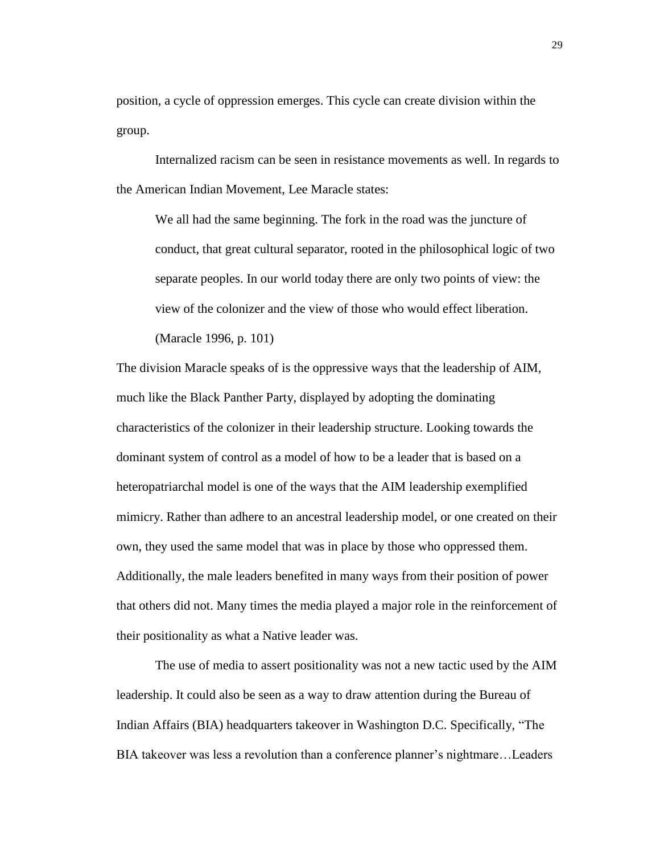position, a cycle of oppression emerges. This cycle can create division within the group.

Internalized racism can be seen in resistance movements as well. In regards to the American Indian Movement, Lee Maracle states:

We all had the same beginning. The fork in the road was the juncture of conduct, that great cultural separator, rooted in the philosophical logic of two separate peoples. In our world today there are only two points of view: the view of the colonizer and the view of those who would effect liberation.

(Maracle 1996, p. 101)

The division Maracle speaks of is the oppressive ways that the leadership of AIM, much like the Black Panther Party, displayed by adopting the dominating characteristics of the colonizer in their leadership structure. Looking towards the dominant system of control as a model of how to be a leader that is based on a heteropatriarchal model is one of the ways that the AIM leadership exemplified mimicry. Rather than adhere to an ancestral leadership model, or one created on their own, they used the same model that was in place by those who oppressed them. Additionally, the male leaders benefited in many ways from their position of power that others did not. Many times the media played a major role in the reinforcement of their positionality as what a Native leader was.

The use of media to assert positionality was not a new tactic used by the AIM leadership. It could also be seen as a way to draw attention during the Bureau of Indian Affairs (BIA) headquarters takeover in Washington D.C. Specifically, "The BIA takeover was less a revolution than a conference planner's nightmare…Leaders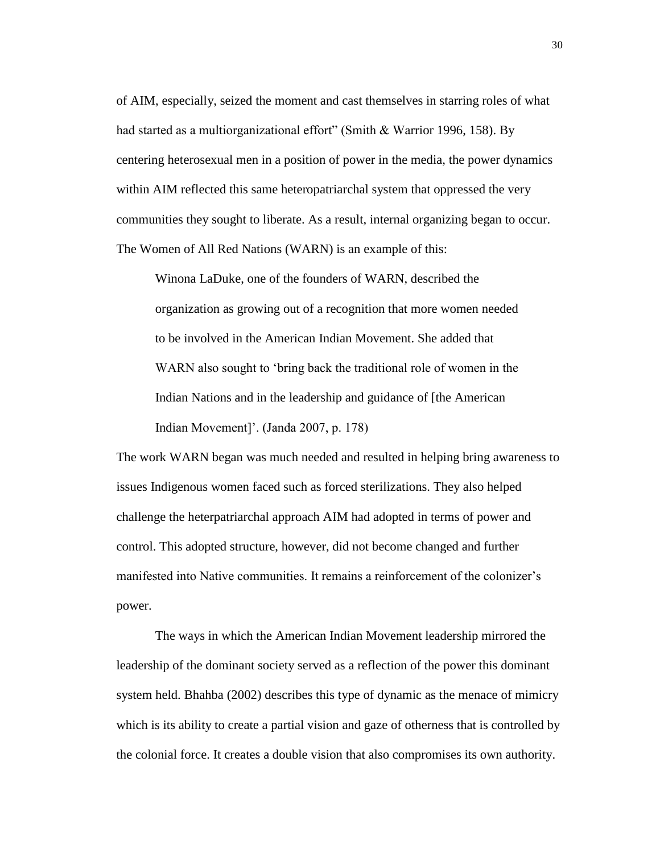of AIM, especially, seized the moment and cast themselves in starring roles of what had started as a multiorganizational effort" (Smith & Warrior 1996, 158). By centering heterosexual men in a position of power in the media, the power dynamics within AIM reflected this same heteropatriarchal system that oppressed the very communities they sought to liberate. As a result, internal organizing began to occur. The Women of All Red Nations (WARN) is an example of this:

Winona LaDuke, one of the founders of WARN, described the organization as growing out of a recognition that more women needed to be involved in the American Indian Movement. She added that WARN also sought to 'bring back the traditional role of women in the Indian Nations and in the leadership and guidance of [the American Indian Movement]'. (Janda 2007, p. 178)

The work WARN began was much needed and resulted in helping bring awareness to issues Indigenous women faced such as forced sterilizations. They also helped challenge the heterpatriarchal approach AIM had adopted in terms of power and control. This adopted structure, however, did not become changed and further manifested into Native communities. It remains a reinforcement of the colonizer's power.

The ways in which the American Indian Movement leadership mirrored the leadership of the dominant society served as a reflection of the power this dominant system held. Bhahba (2002) describes this type of dynamic as the menace of mimicry which is its ability to create a partial vision and gaze of otherness that is controlled by the colonial force. It creates a double vision that also compromises its own authority.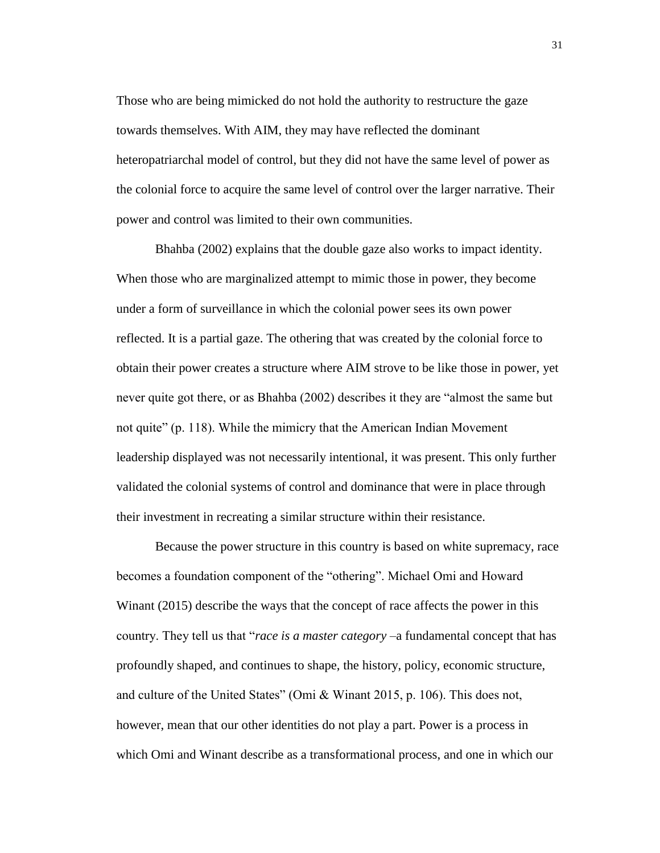Those who are being mimicked do not hold the authority to restructure the gaze towards themselves. With AIM, they may have reflected the dominant heteropatriarchal model of control, but they did not have the same level of power as the colonial force to acquire the same level of control over the larger narrative. Their power and control was limited to their own communities.

Bhahba (2002) explains that the double gaze also works to impact identity. When those who are marginalized attempt to mimic those in power, they become under a form of surveillance in which the colonial power sees its own power reflected. It is a partial gaze. The othering that was created by the colonial force to obtain their power creates a structure where AIM strove to be like those in power, yet never quite got there, or as Bhahba (2002) describes it they are "almost the same but not quite" (p. 118). While the mimicry that the American Indian Movement leadership displayed was not necessarily intentional, it was present. This only further validated the colonial systems of control and dominance that were in place through their investment in recreating a similar structure within their resistance.

Because the power structure in this country is based on white supremacy, race becomes a foundation component of the "othering". Michael Omi and Howard Winant (2015) describe the ways that the concept of race affects the power in this country. They tell us that "*race is a master category* –a fundamental concept that has profoundly shaped, and continues to shape, the history, policy, economic structure, and culture of the United States" (Omi & Winant 2015, p. 106). This does not, however, mean that our other identities do not play a part. Power is a process in which Omi and Winant describe as a transformational process, and one in which our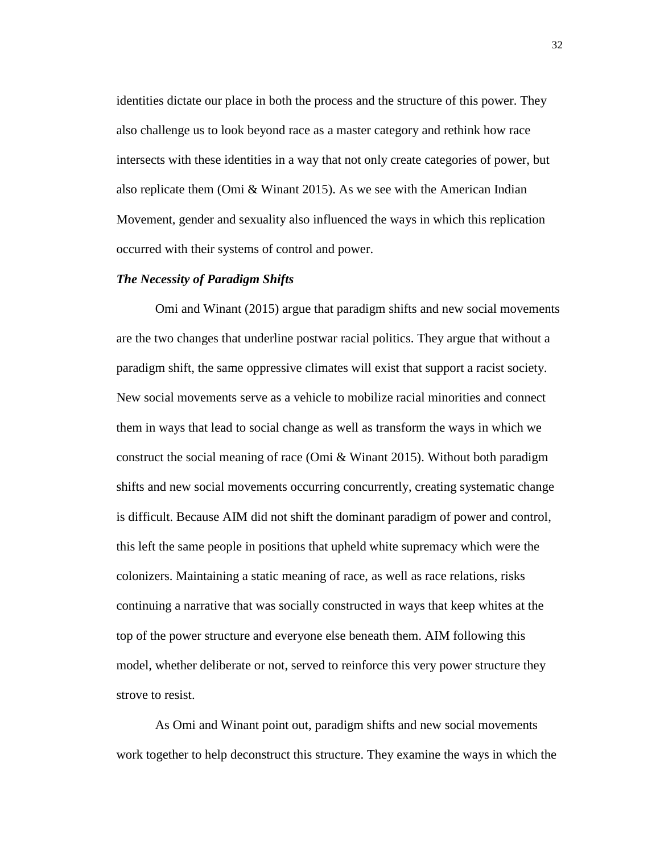identities dictate our place in both the process and the structure of this power. They also challenge us to look beyond race as a master category and rethink how race intersects with these identities in a way that not only create categories of power, but also replicate them (Omi & Winant 2015). As we see with the American Indian Movement, gender and sexuality also influenced the ways in which this replication occurred with their systems of control and power.

#### *The Necessity of Paradigm Shifts*

Omi and Winant (2015) argue that paradigm shifts and new social movements are the two changes that underline postwar racial politics. They argue that without a paradigm shift, the same oppressive climates will exist that support a racist society. New social movements serve as a vehicle to mobilize racial minorities and connect them in ways that lead to social change as well as transform the ways in which we construct the social meaning of race (Omi  $\&$  Winant 2015). Without both paradigm shifts and new social movements occurring concurrently, creating systematic change is difficult. Because AIM did not shift the dominant paradigm of power and control, this left the same people in positions that upheld white supremacy which were the colonizers. Maintaining a static meaning of race, as well as race relations, risks continuing a narrative that was socially constructed in ways that keep whites at the top of the power structure and everyone else beneath them. AIM following this model, whether deliberate or not, served to reinforce this very power structure they strove to resist.

As Omi and Winant point out, paradigm shifts and new social movements work together to help deconstruct this structure. They examine the ways in which the

32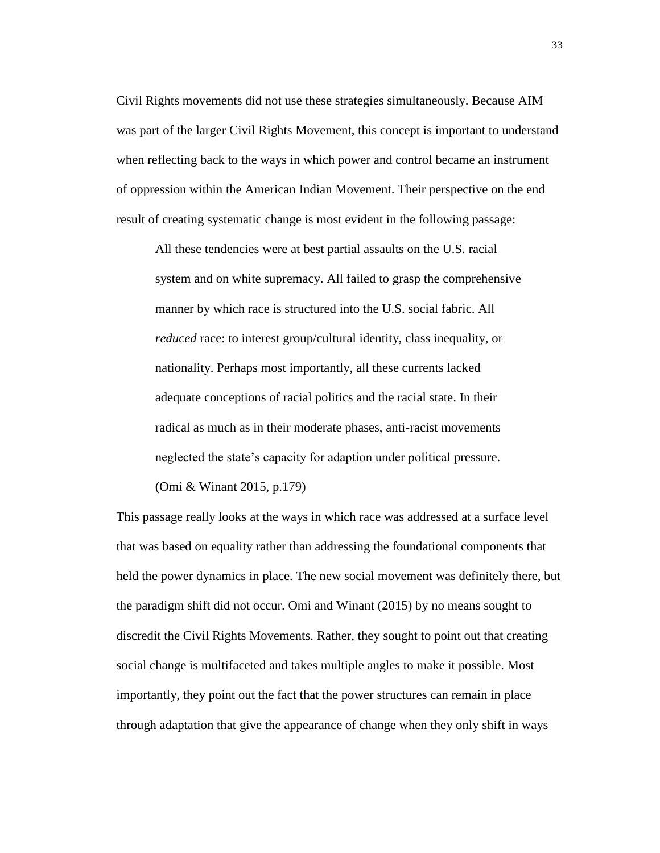Civil Rights movements did not use these strategies simultaneously. Because AIM was part of the larger Civil Rights Movement, this concept is important to understand when reflecting back to the ways in which power and control became an instrument of oppression within the American Indian Movement. Their perspective on the end result of creating systematic change is most evident in the following passage:

All these tendencies were at best partial assaults on the U.S. racial system and on white supremacy. All failed to grasp the comprehensive manner by which race is structured into the U.S. social fabric. All *reduced* race: to interest group/cultural identity, class inequality, or nationality. Perhaps most importantly, all these currents lacked adequate conceptions of racial politics and the racial state. In their radical as much as in their moderate phases, anti-racist movements neglected the state's capacity for adaption under political pressure.

(Omi & Winant 2015, p.179)

This passage really looks at the ways in which race was addressed at a surface level that was based on equality rather than addressing the foundational components that held the power dynamics in place. The new social movement was definitely there, but the paradigm shift did not occur. Omi and Winant (2015) by no means sought to discredit the Civil Rights Movements. Rather, they sought to point out that creating social change is multifaceted and takes multiple angles to make it possible. Most importantly, they point out the fact that the power structures can remain in place through adaptation that give the appearance of change when they only shift in ways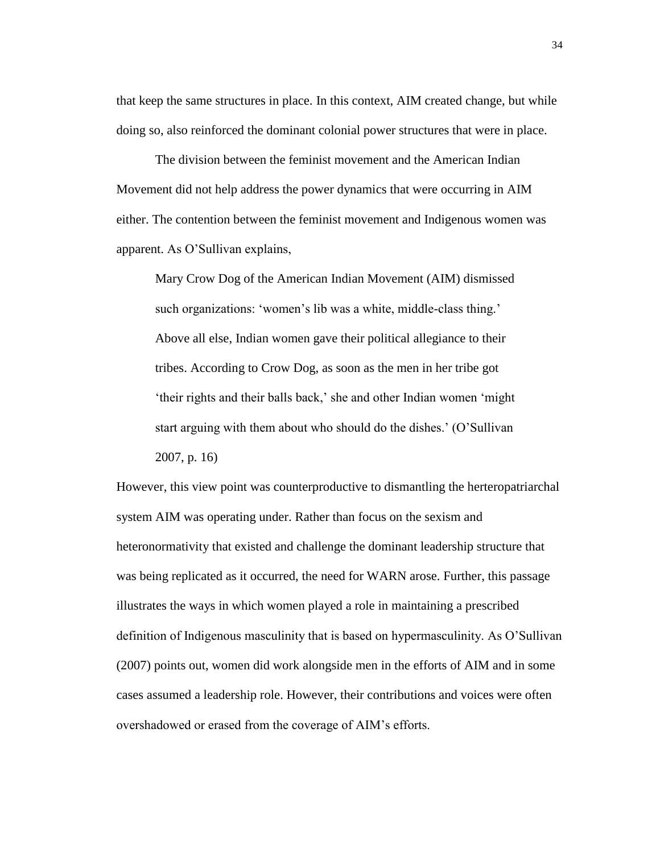that keep the same structures in place. In this context, AIM created change, but while doing so, also reinforced the dominant colonial power structures that were in place.

The division between the feminist movement and the American Indian Movement did not help address the power dynamics that were occurring in AIM either. The contention between the feminist movement and Indigenous women was apparent. As O'Sullivan explains,

Mary Crow Dog of the American Indian Movement (AIM) dismissed such organizations: 'women's lib was a white, middle-class thing.' Above all else, Indian women gave their political allegiance to their tribes. According to Crow Dog, as soon as the men in her tribe got 'their rights and their balls back,' she and other Indian women 'might start arguing with them about who should do the dishes.' (O'Sullivan 2007, p. 16)

However, this view point was counterproductive to dismantling the herteropatriarchal system AIM was operating under. Rather than focus on the sexism and heteronormativity that existed and challenge the dominant leadership structure that was being replicated as it occurred, the need for WARN arose. Further, this passage illustrates the ways in which women played a role in maintaining a prescribed definition of Indigenous masculinity that is based on hypermasculinity. As O'Sullivan (2007) points out, women did work alongside men in the efforts of AIM and in some cases assumed a leadership role. However, their contributions and voices were often overshadowed or erased from the coverage of AIM's efforts.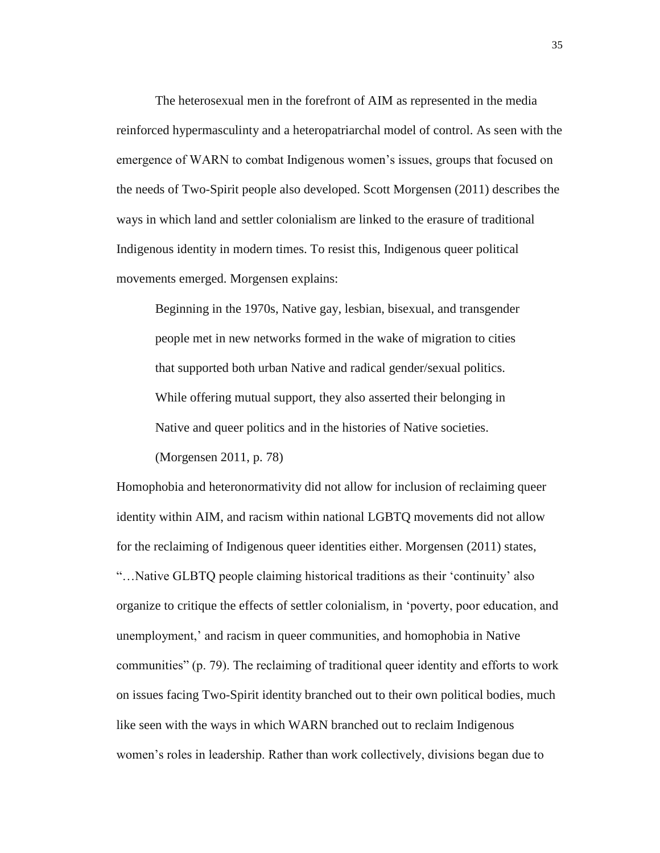The heterosexual men in the forefront of AIM as represented in the media reinforced hypermasculinty and a heteropatriarchal model of control. As seen with the emergence of WARN to combat Indigenous women's issues, groups that focused on the needs of Two-Spirit people also developed. Scott Morgensen (2011) describes the ways in which land and settler colonialism are linked to the erasure of traditional Indigenous identity in modern times. To resist this, Indigenous queer political movements emerged. Morgensen explains:

Beginning in the 1970s, Native gay, lesbian, bisexual, and transgender people met in new networks formed in the wake of migration to cities that supported both urban Native and radical gender/sexual politics. While offering mutual support, they also asserted their belonging in Native and queer politics and in the histories of Native societies.

(Morgensen 2011, p. 78)

Homophobia and heteronormativity did not allow for inclusion of reclaiming queer identity within AIM, and racism within national LGBTQ movements did not allow for the reclaiming of Indigenous queer identities either. Morgensen (2011) states, "…Native GLBTQ people claiming historical traditions as their 'continuity' also organize to critique the effects of settler colonialism, in 'poverty, poor education, and unemployment,' and racism in queer communities, and homophobia in Native communities" (p. 79). The reclaiming of traditional queer identity and efforts to work on issues facing Two-Spirit identity branched out to their own political bodies, much like seen with the ways in which WARN branched out to reclaim Indigenous women's roles in leadership. Rather than work collectively, divisions began due to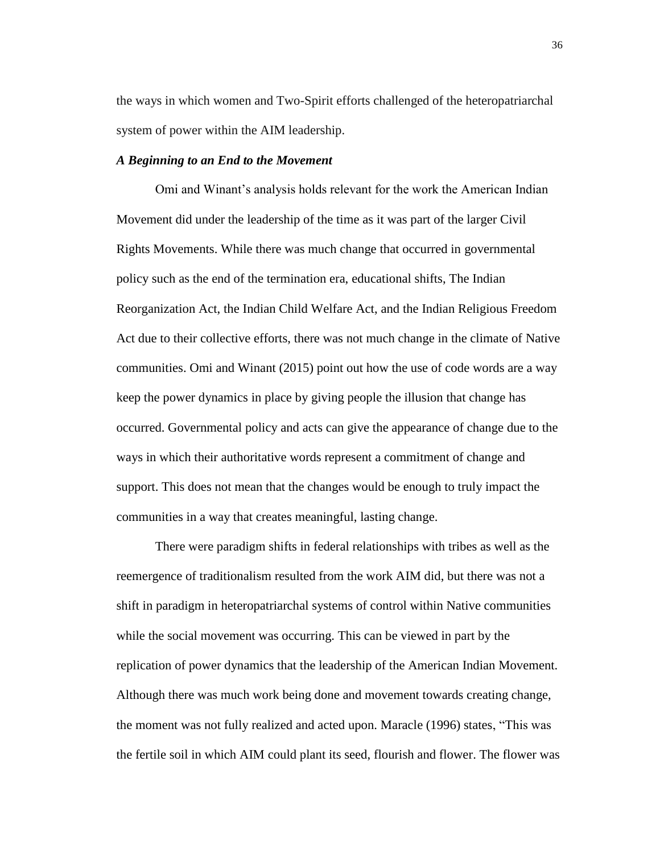the ways in which women and Two-Spirit efforts challenged of the heteropatriarchal system of power within the AIM leadership.

## *A Beginning to an End to the Movement*

Omi and Winant's analysis holds relevant for the work the American Indian Movement did under the leadership of the time as it was part of the larger Civil Rights Movements. While there was much change that occurred in governmental policy such as the end of the termination era, educational shifts, The Indian Reorganization Act, the Indian Child Welfare Act, and the Indian Religious Freedom Act due to their collective efforts, there was not much change in the climate of Native communities. Omi and Winant (2015) point out how the use of code words are a way keep the power dynamics in place by giving people the illusion that change has occurred. Governmental policy and acts can give the appearance of change due to the ways in which their authoritative words represent a commitment of change and support. This does not mean that the changes would be enough to truly impact the communities in a way that creates meaningful, lasting change.

There were paradigm shifts in federal relationships with tribes as well as the reemergence of traditionalism resulted from the work AIM did, but there was not a shift in paradigm in heteropatriarchal systems of control within Native communities while the social movement was occurring. This can be viewed in part by the replication of power dynamics that the leadership of the American Indian Movement. Although there was much work being done and movement towards creating change, the moment was not fully realized and acted upon. Maracle (1996) states, "This was the fertile soil in which AIM could plant its seed, flourish and flower. The flower was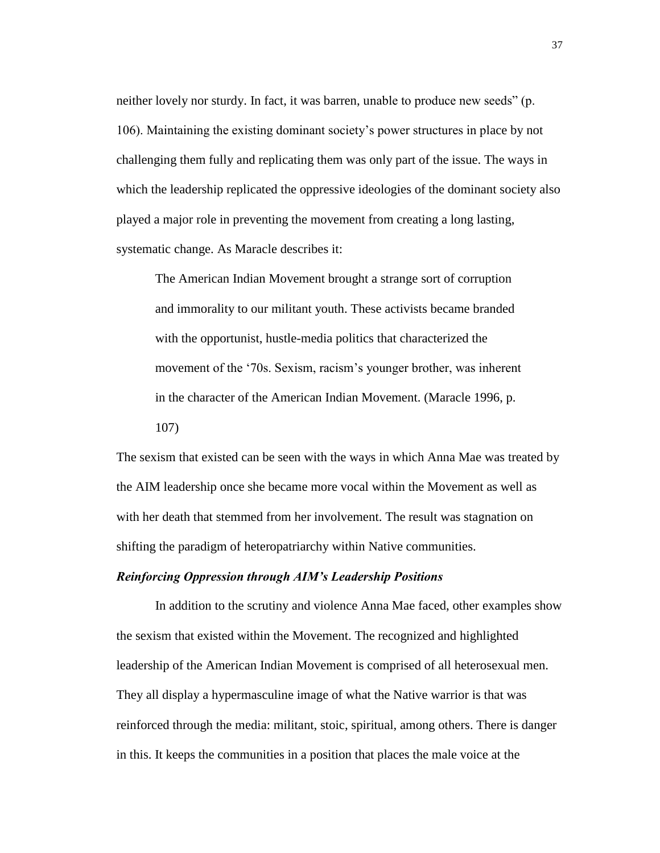neither lovely nor sturdy. In fact, it was barren, unable to produce new seeds" (p. 106). Maintaining the existing dominant society's power structures in place by not challenging them fully and replicating them was only part of the issue. The ways in which the leadership replicated the oppressive ideologies of the dominant society also played a major role in preventing the movement from creating a long lasting, systematic change. As Maracle describes it:

The American Indian Movement brought a strange sort of corruption and immorality to our militant youth. These activists became branded with the opportunist, hustle-media politics that characterized the movement of the '70s. Sexism, racism's younger brother, was inherent in the character of the American Indian Movement. (Maracle 1996, p. 107)

The sexism that existed can be seen with the ways in which Anna Mae was treated by the AIM leadership once she became more vocal within the Movement as well as with her death that stemmed from her involvement. The result was stagnation on shifting the paradigm of heteropatriarchy within Native communities.

## *Reinforcing Oppression through AIM's Leadership Positions*

In addition to the scrutiny and violence Anna Mae faced, other examples show the sexism that existed within the Movement. The recognized and highlighted leadership of the American Indian Movement is comprised of all heterosexual men. They all display a hypermasculine image of what the Native warrior is that was reinforced through the media: militant, stoic, spiritual, among others. There is danger in this. It keeps the communities in a position that places the male voice at the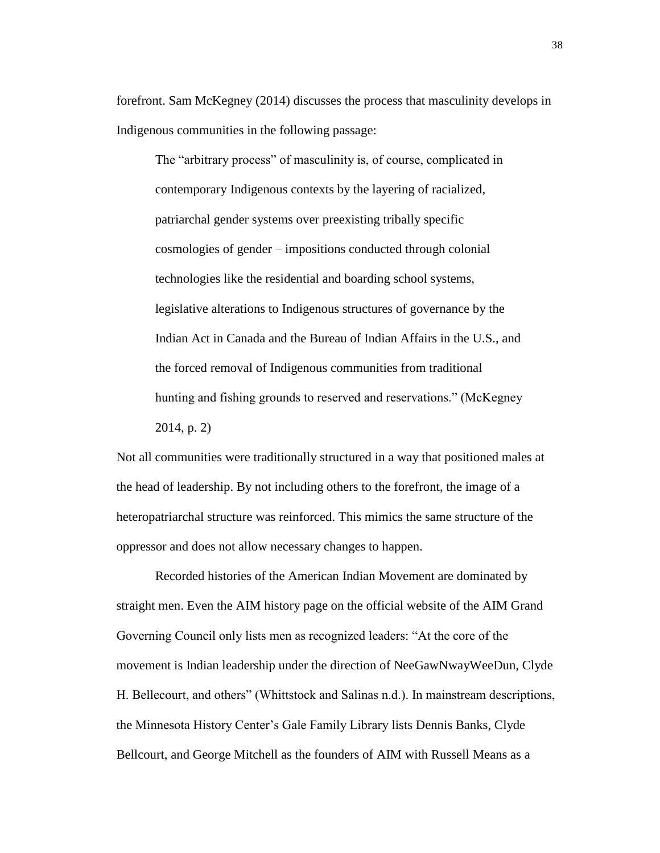forefront. Sam McKegney (2014) discusses the process that masculinity develops in Indigenous communities in the following passage:

The "arbitrary process" of masculinity is, of course, complicated in contemporary Indigenous contexts by the layering of racialized, patriarchal gender systems over preexisting tribally specific cosmologies of gender – impositions conducted through colonial technologies like the residential and boarding school systems, legislative alterations to Indigenous structures of governance by the Indian Act in Canada and the Bureau of Indian Affairs in the U.S., and the forced removal of Indigenous communities from traditional hunting and fishing grounds to reserved and reservations." (McKegney 2014, p. 2)

Not all communities were traditionally structured in a way that positioned males at the head of leadership. By not including others to the forefront, the image of a heteropatriarchal structure was reinforced. This mimics the same structure of the oppressor and does not allow necessary changes to happen.

Recorded histories of the American Indian Movement are dominated by straight men. Even the AIM history page on the official website of the AIM Grand Governing Council only lists men as recognized leaders: "At the core of the movement is Indian leadership under the direction of NeeGawNwayWeeDun, Clyde H. Bellecourt, and others" (Whittstock and Salinas n.d.). In mainstream descriptions, the Minnesota History Center's Gale Family Library lists Dennis Banks, Clyde Bellcourt, and George Mitchell as the founders of AIM with Russell Means as a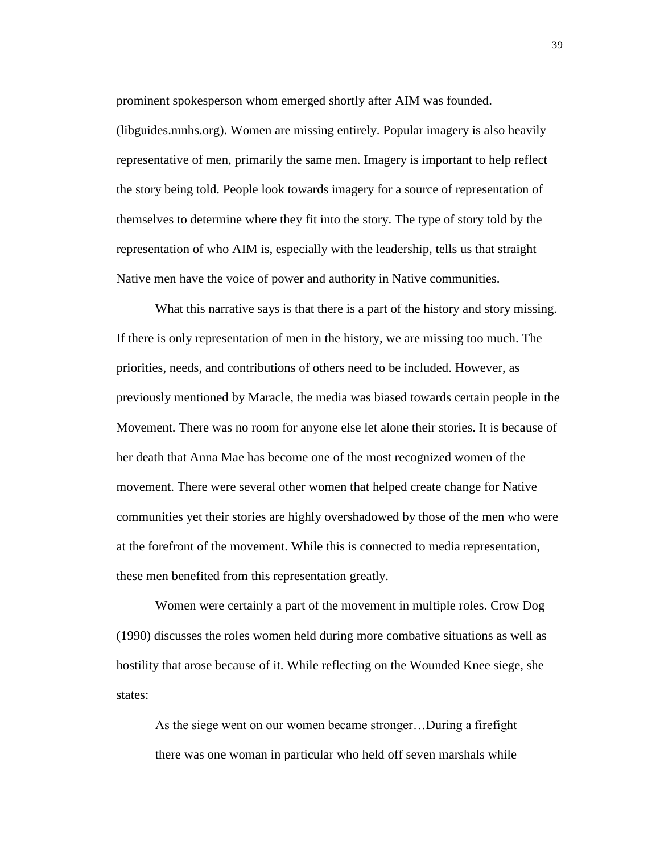prominent spokesperson whom emerged shortly after AIM was founded.

[\(libguides.mnhs.org\)](http://www.britannica.com/). Women are missing entirely. Popular imagery is also heavily representative of men, primarily the same men. Imagery is important to help reflect the story being told. People look towards imagery for a source of representation of themselves to determine where they fit into the story. The type of story told by the representation of who AIM is, especially with the leadership, tells us that straight Native men have the voice of power and authority in Native communities.

What this narrative says is that there is a part of the history and story missing. If there is only representation of men in the history, we are missing too much. The priorities, needs, and contributions of others need to be included. However, as previously mentioned by Maracle, the media was biased towards certain people in the Movement. There was no room for anyone else let alone their stories. It is because of her death that Anna Mae has become one of the most recognized women of the movement. There were several other women that helped create change for Native communities yet their stories are highly overshadowed by those of the men who were at the forefront of the movement. While this is connected to media representation, these men benefited from this representation greatly.

Women were certainly a part of the movement in multiple roles. Crow Dog (1990) discusses the roles women held during more combative situations as well as hostility that arose because of it. While reflecting on the Wounded Knee siege, she states:

As the siege went on our women became stronger…During a firefight there was one woman in particular who held off seven marshals while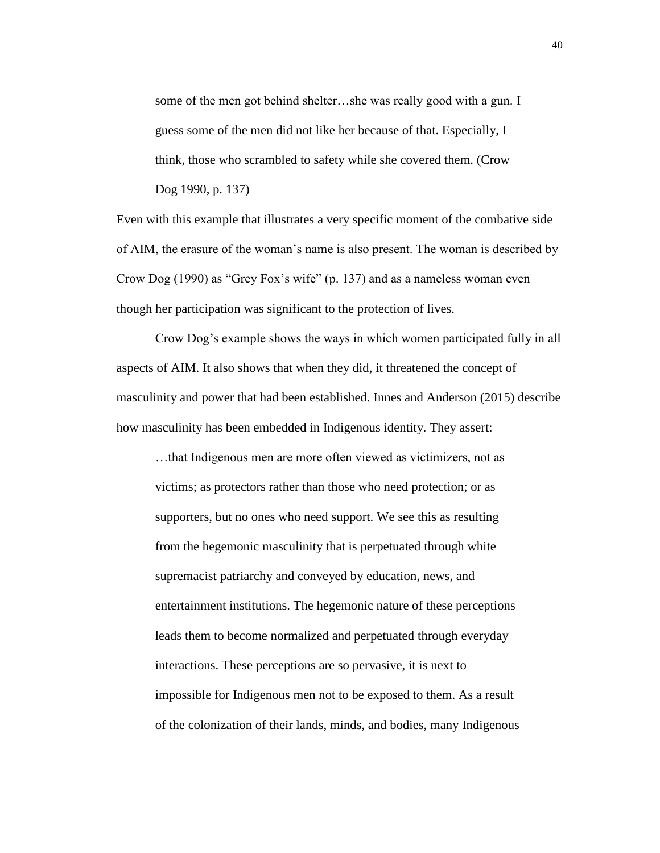some of the men got behind shelter…she was really good with a gun. I guess some of the men did not like her because of that. Especially, I think, those who scrambled to safety while she covered them. (Crow Dog 1990, p. 137)

Even with this example that illustrates a very specific moment of the combative side of AIM, the erasure of the woman's name is also present. The woman is described by Crow Dog (1990) as "Grey Fox's wife" (p. 137) and as a nameless woman even though her participation was significant to the protection of lives.

Crow Dog's example shows the ways in which women participated fully in all aspects of AIM. It also shows that when they did, it threatened the concept of masculinity and power that had been established. Innes and Anderson (2015) describe how masculinity has been embedded in Indigenous identity. They assert:

…that Indigenous men are more often viewed as victimizers, not as victims; as protectors rather than those who need protection; or as supporters, but no ones who need support. We see this as resulting from the hegemonic masculinity that is perpetuated through white supremacist patriarchy and conveyed by education, news, and entertainment institutions. The hegemonic nature of these perceptions leads them to become normalized and perpetuated through everyday interactions. These perceptions are so pervasive, it is next to impossible for Indigenous men not to be exposed to them. As a result of the colonization of their lands, minds, and bodies, many Indigenous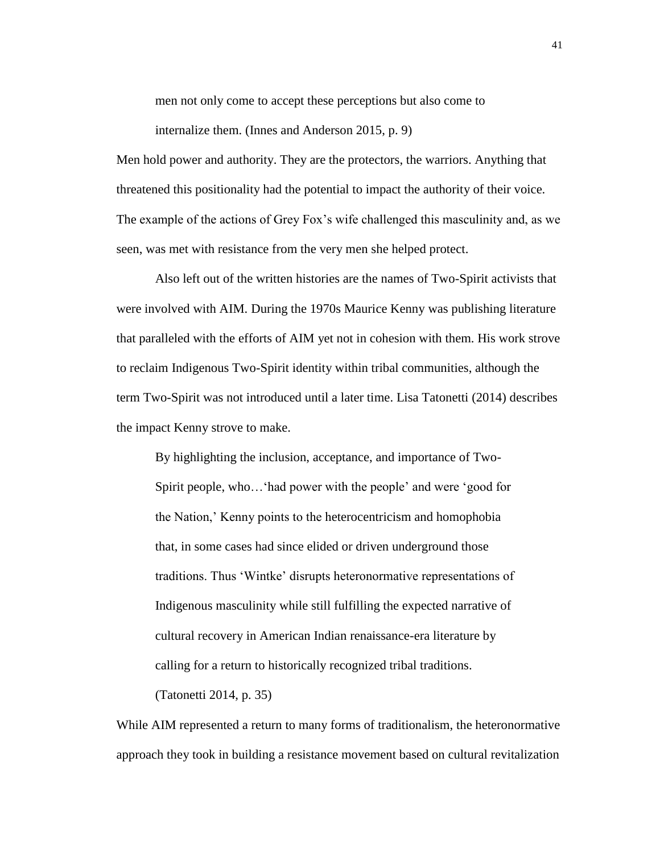men not only come to accept these perceptions but also come to

internalize them. (Innes and Anderson 2015, p. 9)

Men hold power and authority. They are the protectors, the warriors. Anything that threatened this positionality had the potential to impact the authority of their voice. The example of the actions of Grey Fox's wife challenged this masculinity and, as we seen, was met with resistance from the very men she helped protect.

Also left out of the written histories are the names of Two-Spirit activists that were involved with AIM. During the 1970s Maurice Kenny was publishing literature that paralleled with the efforts of AIM yet not in cohesion with them. His work strove to reclaim Indigenous Two-Spirit identity within tribal communities, although the term Two-Spirit was not introduced until a later time. Lisa Tatonetti (2014) describes the impact Kenny strove to make.

By highlighting the inclusion, acceptance, and importance of Two-Spirit people, who…'had power with the people' and were 'good for the Nation,' Kenny points to the heterocentricism and homophobia that, in some cases had since elided or driven underground those traditions. Thus 'Wintke' disrupts heteronormative representations of Indigenous masculinity while still fulfilling the expected narrative of cultural recovery in American Indian renaissance-era literature by calling for a return to historically recognized tribal traditions.

(Tatonetti 2014, p. 35)

While AIM represented a return to many forms of traditionalism, the heteronormative approach they took in building a resistance movement based on cultural revitalization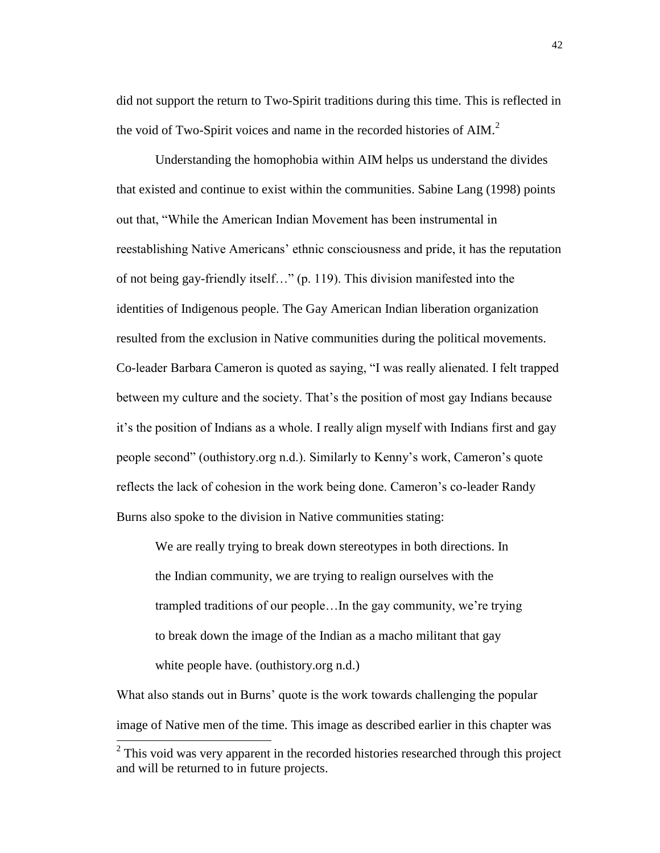did not support the return to Two-Spirit traditions during this time. This is reflected in the void of Two-Spirit voices and name in the recorded histories of AIM.<sup>2</sup>

Understanding the homophobia within AIM helps us understand the divides that existed and continue to exist within the communities. Sabine Lang (1998) points out that, "While the American Indian Movement has been instrumental in reestablishing Native Americans' ethnic consciousness and pride, it has the reputation of not being gay-friendly itself…" (p. 119). This division manifested into the identities of Indigenous people. The Gay American Indian liberation organization resulted from the exclusion in Native communities during the political movements. Co-leader Barbara Cameron is quoted as saying, "I was really alienated. I felt trapped between my culture and the society. That's the position of most gay Indians because it's the position of Indians as a whole. I really align myself with Indians first and gay people second" (outhistory.org n.d.). Similarly to Kenny's work, Cameron's quote reflects the lack of cohesion in the work being done. Cameron's co-leader Randy Burns also spoke to the division in Native communities stating:

We are really trying to break down stereotypes in both directions. In the Indian community, we are trying to realign ourselves with the trampled traditions of our people…In the gay community, we're trying to break down the image of the Indian as a macho militant that gay white people have. (outhistory.org n.d.)

What also stands out in Burns' quote is the work towards challenging the popular image of Native men of the time. This image as described earlier in this chapter was  $\overline{a}$ 

 $2$  This void was very apparent in the recorded histories researched through this project and will be returned to in future projects.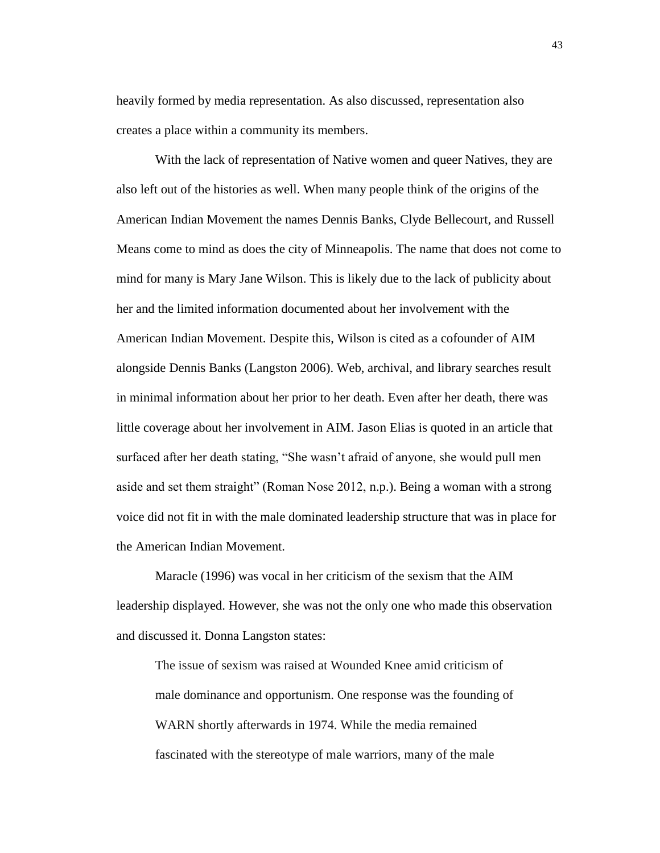heavily formed by media representation. As also discussed, representation also creates a place within a community its members.

With the lack of representation of Native women and queer Natives, they are also left out of the histories as well. When many people think of the origins of the American Indian Movement the names Dennis Banks, Clyde Bellecourt, and Russell Means come to mind as does the city of Minneapolis. The name that does not come to mind for many is Mary Jane Wilson. This is likely due to the lack of publicity about her and the limited information documented about her involvement with the American Indian Movement. Despite this, Wilson is cited as a cofounder of AIM alongside Dennis Banks (Langston 2006). Web, archival, and library searches result in minimal information about her prior to her death. Even after her death, there was little coverage about her involvement in AIM. Jason Elias is quoted in an article that surfaced after her death stating, "She wasn't afraid of anyone, she would pull men aside and set them straight" (Roman Nose 2012, n.p.). Being a woman with a strong voice did not fit in with the male dominated leadership structure that was in place for the American Indian Movement.

Maracle (1996) was vocal in her criticism of the sexism that the AIM leadership displayed. However, she was not the only one who made this observation and discussed it. Donna Langston states:

The issue of sexism was raised at Wounded Knee amid criticism of male dominance and opportunism. One response was the founding of WARN shortly afterwards in 1974. While the media remained fascinated with the stereotype of male warriors, many of the male

43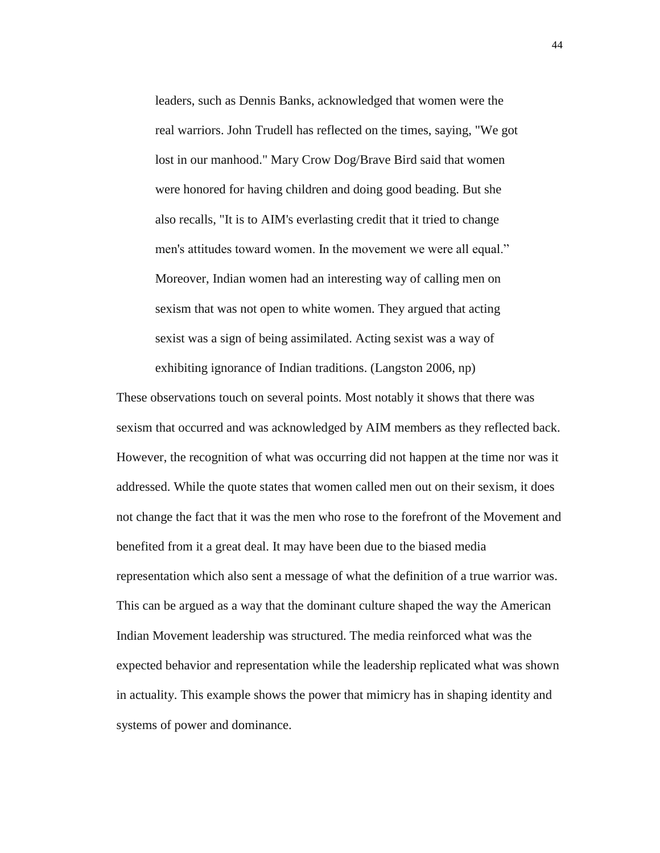leaders, such as Dennis Banks, acknowledged that women were the real warriors. John Trudell has reflected on the times, saying, "We got lost in our manhood." Mary Crow Dog/Brave Bird said that women were honored for having children and doing good beading. But she also recalls, "It is to AIM's everlasting credit that it tried to change men's attitudes toward women. In the movement we were all equal." Moreover, Indian women had an interesting way of calling men on sexism that was not open to white women. They argued that acting sexist was a sign of being assimilated. Acting sexist was a way of exhibiting ignorance of Indian traditions. (Langston 2006, np)

These observations touch on several points. Most notably it shows that there was sexism that occurred and was acknowledged by AIM members as they reflected back. However, the recognition of what was occurring did not happen at the time nor was it addressed. While the quote states that women called men out on their sexism, it does not change the fact that it was the men who rose to the forefront of the Movement and benefited from it a great deal. It may have been due to the biased media representation which also sent a message of what the definition of a true warrior was. This can be argued as a way that the dominant culture shaped the way the American Indian Movement leadership was structured. The media reinforced what was the expected behavior and representation while the leadership replicated what was shown in actuality. This example shows the power that mimicry has in shaping identity and systems of power and dominance.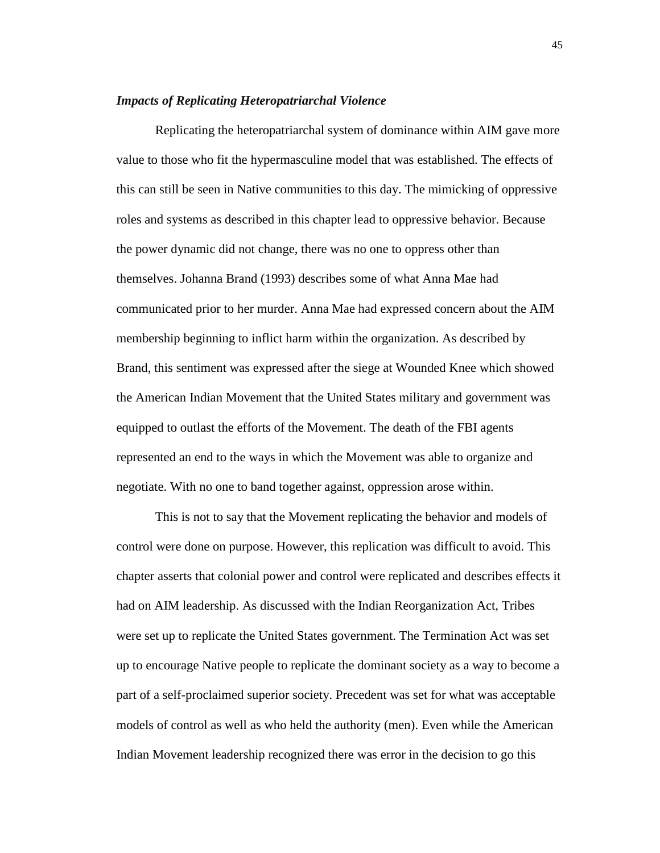## *Impacts of Replicating Heteropatriarchal Violence*

Replicating the heteropatriarchal system of dominance within AIM gave more value to those who fit the hypermasculine model that was established. The effects of this can still be seen in Native communities to this day. The mimicking of oppressive roles and systems as described in this chapter lead to oppressive behavior. Because the power dynamic did not change, there was no one to oppress other than themselves. Johanna Brand (1993) describes some of what Anna Mae had communicated prior to her murder. Anna Mae had expressed concern about the AIM membership beginning to inflict harm within the organization. As described by Brand, this sentiment was expressed after the siege at Wounded Knee which showed the American Indian Movement that the United States military and government was equipped to outlast the efforts of the Movement. The death of the FBI agents represented an end to the ways in which the Movement was able to organize and negotiate. With no one to band together against, oppression arose within.

This is not to say that the Movement replicating the behavior and models of control were done on purpose. However, this replication was difficult to avoid. This chapter asserts that colonial power and control were replicated and describes effects it had on AIM leadership. As discussed with the Indian Reorganization Act, Tribes were set up to replicate the United States government. The Termination Act was set up to encourage Native people to replicate the dominant society as a way to become a part of a self-proclaimed superior society. Precedent was set for what was acceptable models of control as well as who held the authority (men). Even while the American Indian Movement leadership recognized there was error in the decision to go this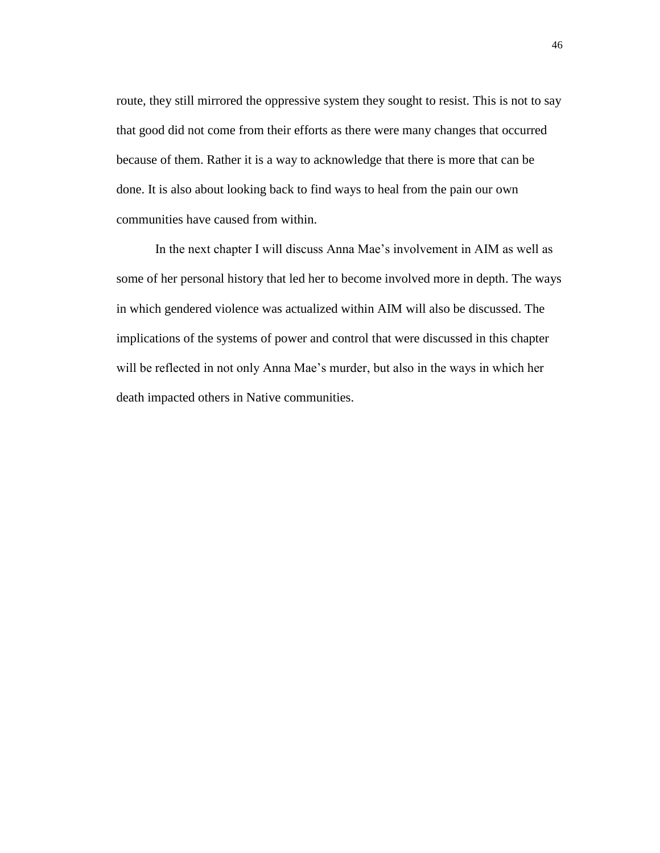route, they still mirrored the oppressive system they sought to resist. This is not to say that good did not come from their efforts as there were many changes that occurred because of them. Rather it is a way to acknowledge that there is more that can be done. It is also about looking back to find ways to heal from the pain our own communities have caused from within.

In the next chapter I will discuss Anna Mae's involvement in AIM as well as some of her personal history that led her to become involved more in depth. The ways in which gendered violence was actualized within AIM will also be discussed. The implications of the systems of power and control that were discussed in this chapter will be reflected in not only Anna Mae's murder, but also in the ways in which her death impacted others in Native communities.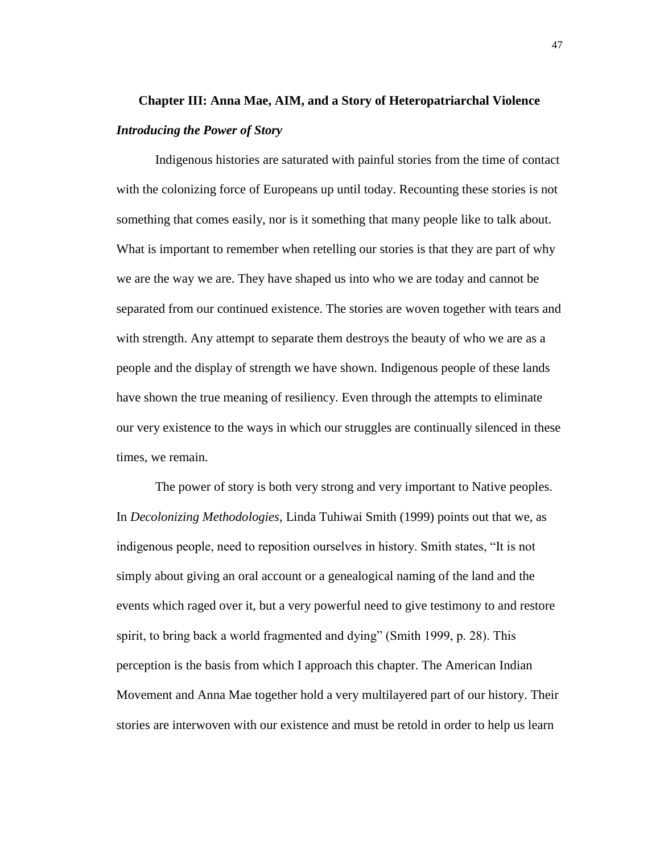# **Chapter III: Anna Mae, AIM, and a Story of Heteropatriarchal Violence** *Introducing the Power of Story*

Indigenous histories are saturated with painful stories from the time of contact with the colonizing force of Europeans up until today. Recounting these stories is not something that comes easily, nor is it something that many people like to talk about. What is important to remember when retelling our stories is that they are part of why we are the way we are. They have shaped us into who we are today and cannot be separated from our continued existence. The stories are woven together with tears and with strength. Any attempt to separate them destroys the beauty of who we are as a people and the display of strength we have shown. Indigenous people of these lands have shown the true meaning of resiliency. Even through the attempts to eliminate our very existence to the ways in which our struggles are continually silenced in these times, we remain.

The power of story is both very strong and very important to Native peoples. In *Decolonizing Methodologies*, Linda Tuhiwai Smith (1999) points out that we, as indigenous people, need to reposition ourselves in history. Smith states, "It is not simply about giving an oral account or a genealogical naming of the land and the events which raged over it, but a very powerful need to give testimony to and restore spirit, to bring back a world fragmented and dying" (Smith 1999, p. 28). This perception is the basis from which I approach this chapter. The American Indian Movement and Anna Mae together hold a very multilayered part of our history. Their stories are interwoven with our existence and must be retold in order to help us learn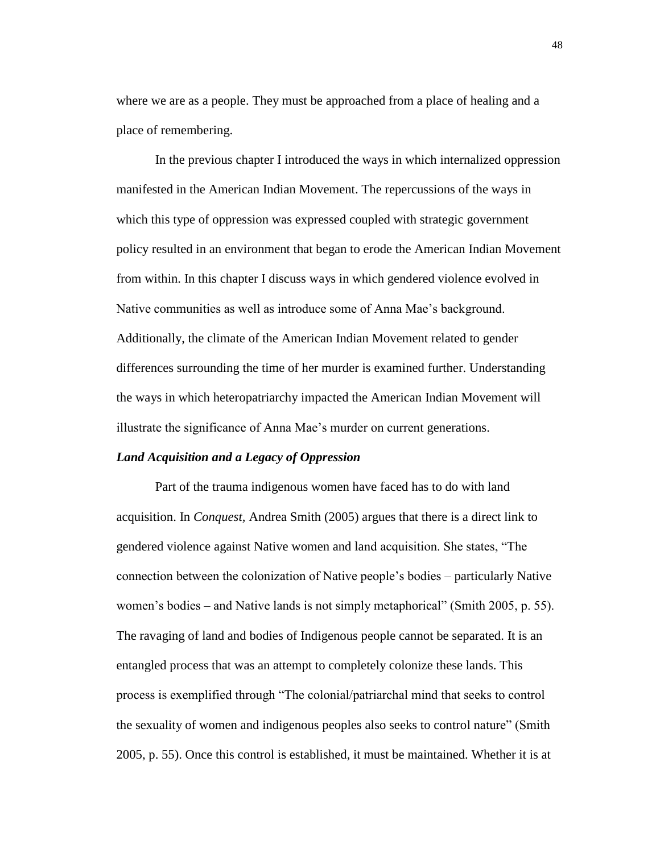where we are as a people. They must be approached from a place of healing and a place of remembering.

In the previous chapter I introduced the ways in which internalized oppression manifested in the American Indian Movement. The repercussions of the ways in which this type of oppression was expressed coupled with strategic government policy resulted in an environment that began to erode the American Indian Movement from within. In this chapter I discuss ways in which gendered violence evolved in Native communities as well as introduce some of Anna Mae's background. Additionally, the climate of the American Indian Movement related to gender differences surrounding the time of her murder is examined further. Understanding the ways in which heteropatriarchy impacted the American Indian Movement will illustrate the significance of Anna Mae's murder on current generations.

## *Land Acquisition and a Legacy of Oppression*

Part of the trauma indigenous women have faced has to do with land acquisition. In *Conquest,* Andrea Smith (2005) argues that there is a direct link to gendered violence against Native women and land acquisition. She states, "The connection between the colonization of Native people's bodies – particularly Native women's bodies – and Native lands is not simply metaphorical" (Smith 2005, p. 55). The ravaging of land and bodies of Indigenous people cannot be separated. It is an entangled process that was an attempt to completely colonize these lands. This process is exemplified through "The colonial/patriarchal mind that seeks to control the sexuality of women and indigenous peoples also seeks to control nature" (Smith 2005, p. 55). Once this control is established, it must be maintained. Whether it is at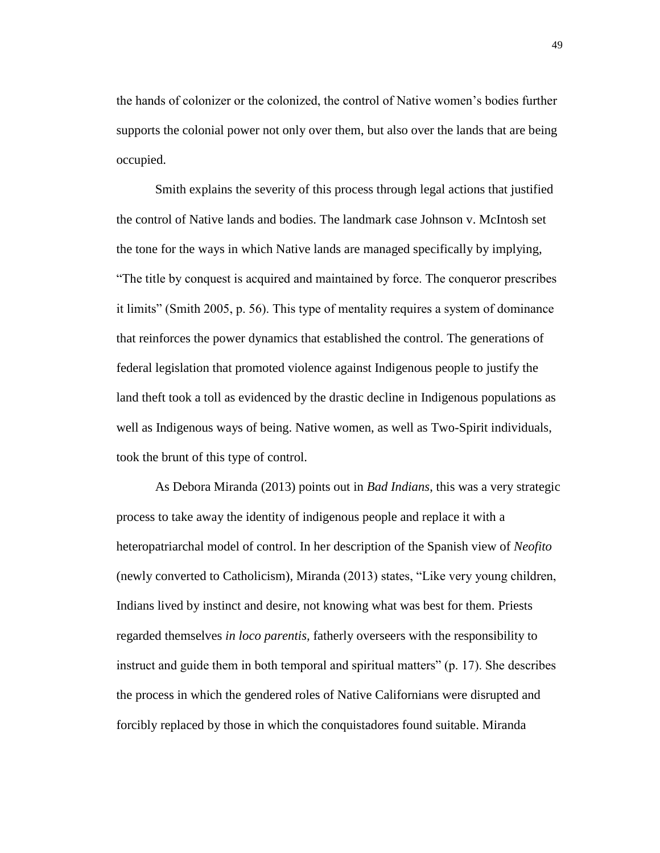the hands of colonizer or the colonized, the control of Native women's bodies further supports the colonial power not only over them, but also over the lands that are being occupied.

Smith explains the severity of this process through legal actions that justified the control of Native lands and bodies. The landmark case Johnson v. McIntosh set the tone for the ways in which Native lands are managed specifically by implying, "The title by conquest is acquired and maintained by force. The conqueror prescribes it limits" (Smith 2005, p. 56). This type of mentality requires a system of dominance that reinforces the power dynamics that established the control. The generations of federal legislation that promoted violence against Indigenous people to justify the land theft took a toll as evidenced by the drastic decline in Indigenous populations as well as Indigenous ways of being. Native women, as well as Two-Spirit individuals, took the brunt of this type of control.

As Debora Miranda (2013) points out in *Bad Indians*, this was a very strategic process to take away the identity of indigenous people and replace it with a heteropatriarchal model of control. In her description of the Spanish view of *Neofito* (newly converted to Catholicism), Miranda (2013) states, "Like very young children, Indians lived by instinct and desire, not knowing what was best for them. Priests regarded themselves *in loco parentis,* fatherly overseers with the responsibility to instruct and guide them in both temporal and spiritual matters" (p. 17). She describes the process in which the gendered roles of Native Californians were disrupted and forcibly replaced by those in which the conquistadores found suitable. Miranda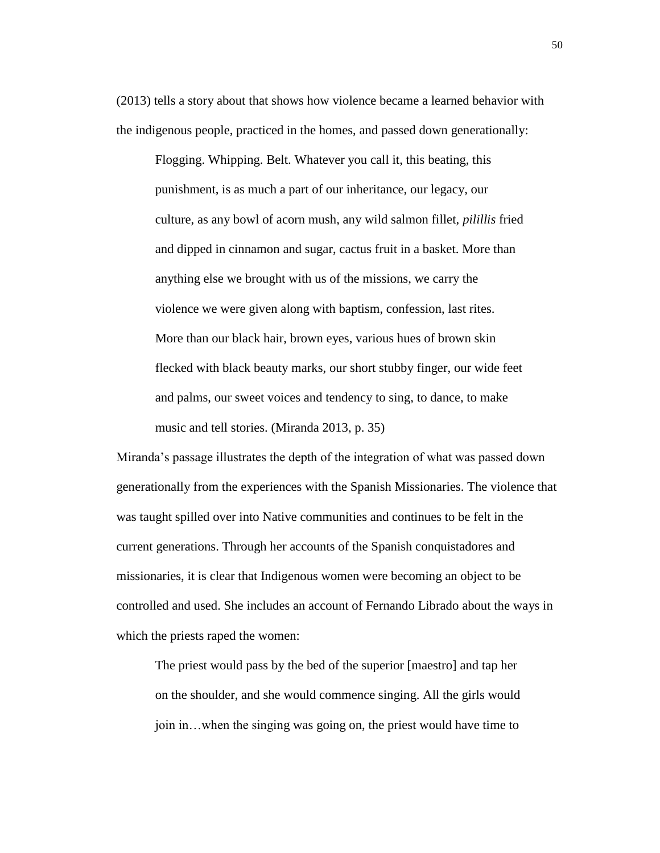(2013) tells a story about that shows how violence became a learned behavior with the indigenous people, practiced in the homes, and passed down generationally:

Flogging. Whipping. Belt. Whatever you call it, this beating, this punishment, is as much a part of our inheritance, our legacy, our culture, as any bowl of acorn mush, any wild salmon fillet, *pilillis* fried and dipped in cinnamon and sugar, cactus fruit in a basket. More than anything else we brought with us of the missions, we carry the violence we were given along with baptism, confession, last rites. More than our black hair, brown eyes, various hues of brown skin flecked with black beauty marks, our short stubby finger, our wide feet and palms, our sweet voices and tendency to sing, to dance, to make music and tell stories. (Miranda 2013, p. 35)

Miranda's passage illustrates the depth of the integration of what was passed down generationally from the experiences with the Spanish Missionaries. The violence that was taught spilled over into Native communities and continues to be felt in the current generations. Through her accounts of the Spanish conquistadores and missionaries, it is clear that Indigenous women were becoming an object to be controlled and used. She includes an account of Fernando Librado about the ways in which the priests raped the women:

The priest would pass by the bed of the superior [maestro] and tap her on the shoulder, and she would commence singing. All the girls would join in…when the singing was going on, the priest would have time to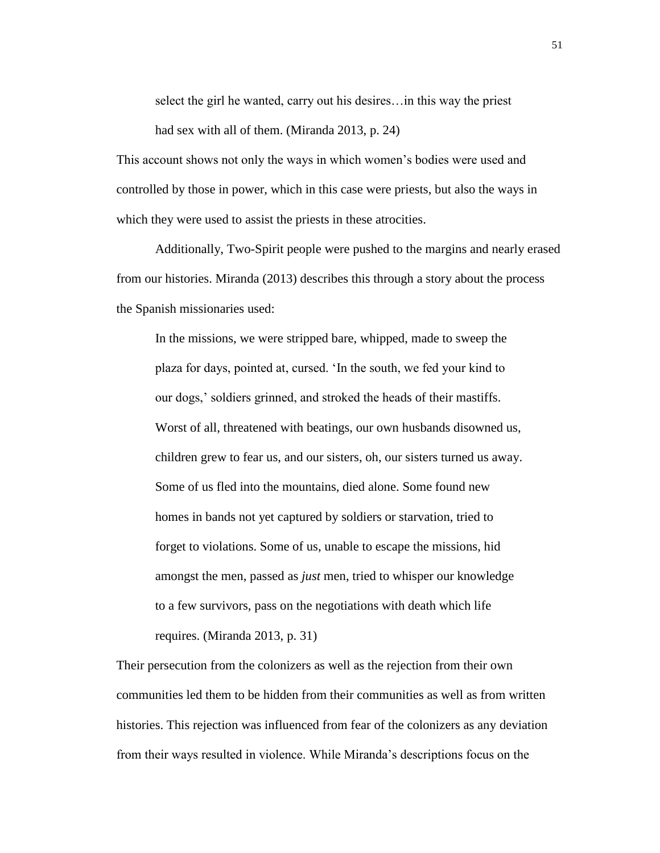select the girl he wanted, carry out his desires…in this way the priest had sex with all of them. (Miranda 2013, p. 24)

This account shows not only the ways in which women's bodies were used and controlled by those in power, which in this case were priests, but also the ways in which they were used to assist the priests in these atrocities.

Additionally, Two-Spirit people were pushed to the margins and nearly erased from our histories. Miranda (2013) describes this through a story about the process the Spanish missionaries used:

In the missions, we were stripped bare, whipped, made to sweep the plaza for days, pointed at, cursed. 'In the south, we fed your kind to our dogs,' soldiers grinned, and stroked the heads of their mastiffs. Worst of all, threatened with beatings, our own husbands disowned us, children grew to fear us, and our sisters, oh, our sisters turned us away. Some of us fled into the mountains, died alone. Some found new homes in bands not yet captured by soldiers or starvation, tried to forget to violations. Some of us, unable to escape the missions, hid amongst the men, passed as *just* men, tried to whisper our knowledge to a few survivors, pass on the negotiations with death which life requires. (Miranda 2013, p. 31)

Their persecution from the colonizers as well as the rejection from their own communities led them to be hidden from their communities as well as from written histories. This rejection was influenced from fear of the colonizers as any deviation from their ways resulted in violence. While Miranda's descriptions focus on the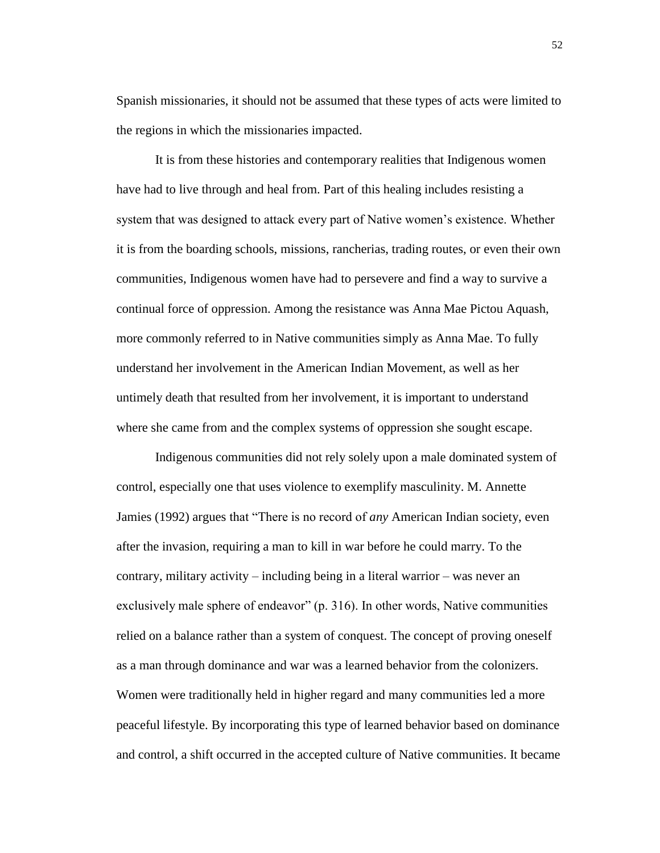Spanish missionaries, it should not be assumed that these types of acts were limited to the regions in which the missionaries impacted.

It is from these histories and contemporary realities that Indigenous women have had to live through and heal from. Part of this healing includes resisting a system that was designed to attack every part of Native women's existence. Whether it is from the boarding schools, missions, rancherias, trading routes, or even their own communities, Indigenous women have had to persevere and find a way to survive a continual force of oppression. Among the resistance was Anna Mae Pictou Aquash, more commonly referred to in Native communities simply as Anna Mae. To fully understand her involvement in the American Indian Movement, as well as her untimely death that resulted from her involvement, it is important to understand where she came from and the complex systems of oppression she sought escape.

Indigenous communities did not rely solely upon a male dominated system of control, especially one that uses violence to exemplify masculinity. M. Annette Jamies (1992) argues that "There is no record of *any* American Indian society, even after the invasion, requiring a man to kill in war before he could marry. To the contrary, military activity – including being in a literal warrior – was never an exclusively male sphere of endeavor" (p. 316). In other words, Native communities relied on a balance rather than a system of conquest. The concept of proving oneself as a man through dominance and war was a learned behavior from the colonizers. Women were traditionally held in higher regard and many communities led a more peaceful lifestyle. By incorporating this type of learned behavior based on dominance and control, a shift occurred in the accepted culture of Native communities. It became

52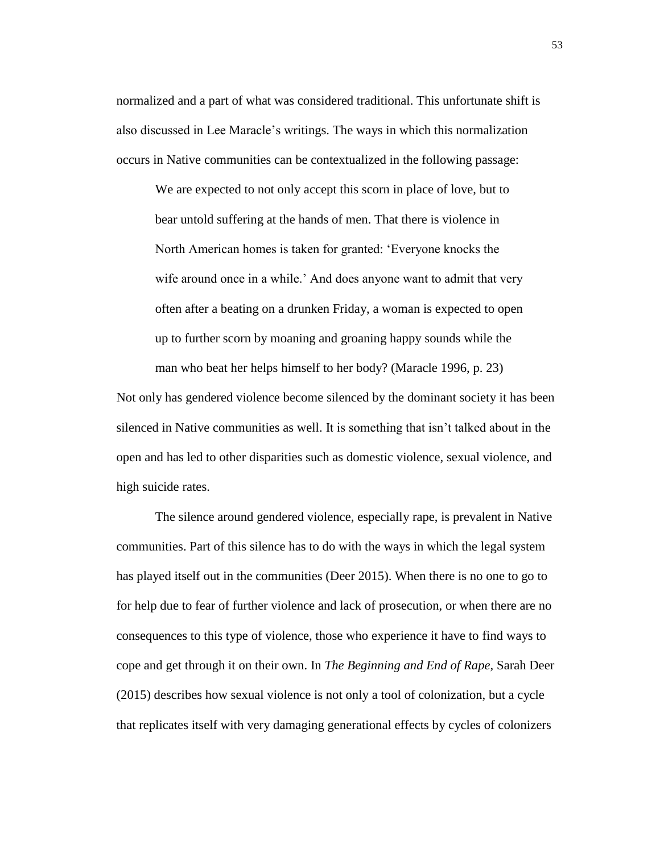normalized and a part of what was considered traditional. This unfortunate shift is also discussed in Lee Maracle's writings. The ways in which this normalization occurs in Native communities can be contextualized in the following passage:

We are expected to not only accept this scorn in place of love, but to bear untold suffering at the hands of men. That there is violence in North American homes is taken for granted: 'Everyone knocks the wife around once in a while.' And does anyone want to admit that very often after a beating on a drunken Friday, a woman is expected to open up to further scorn by moaning and groaning happy sounds while the man who beat her helps himself to her body? (Maracle 1996, p. 23)

Not only has gendered violence become silenced by the dominant society it has been silenced in Native communities as well. It is something that isn't talked about in the open and has led to other disparities such as domestic violence, sexual violence, and high suicide rates.

The silence around gendered violence, especially rape, is prevalent in Native communities. Part of this silence has to do with the ways in which the legal system has played itself out in the communities (Deer 2015). When there is no one to go to for help due to fear of further violence and lack of prosecution, or when there are no consequences to this type of violence, those who experience it have to find ways to cope and get through it on their own. In *The Beginning and End of Rape*, Sarah Deer (2015) describes how sexual violence is not only a tool of colonization, but a cycle that replicates itself with very damaging generational effects by cycles of colonizers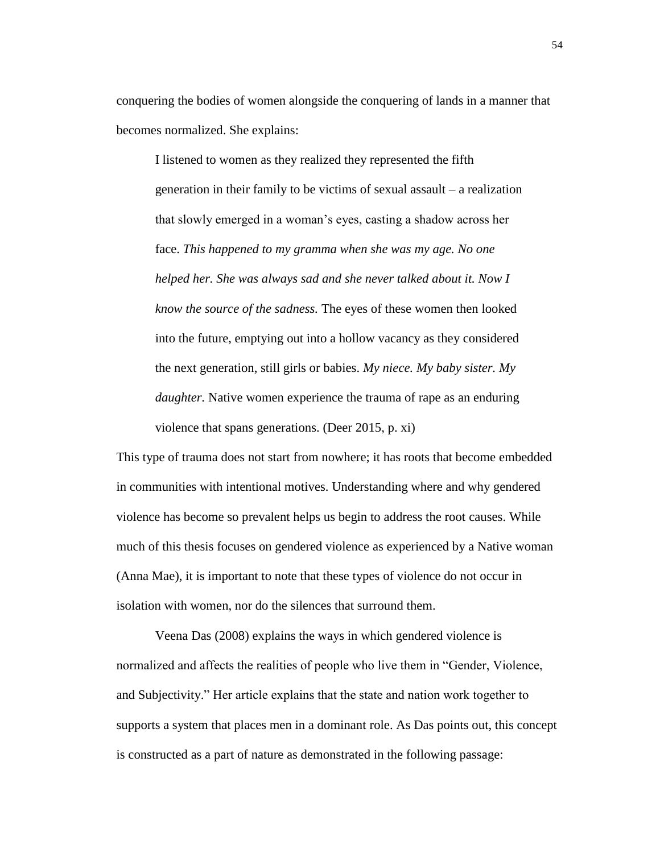conquering the bodies of women alongside the conquering of lands in a manner that becomes normalized. She explains:

I listened to women as they realized they represented the fifth generation in their family to be victims of sexual assault – a realization that slowly emerged in a woman's eyes, casting a shadow across her face. *This happened to my gramma when she was my age. No one helped her. She was always sad and she never talked about it. Now I know the source of the sadness.* The eyes of these women then looked into the future, emptying out into a hollow vacancy as they considered the next generation, still girls or babies. *My niece. My baby sister. My daughter.* Native women experience the trauma of rape as an enduring violence that spans generations. (Deer 2015, p. xi)

This type of trauma does not start from nowhere; it has roots that become embedded in communities with intentional motives. Understanding where and why gendered violence has become so prevalent helps us begin to address the root causes. While much of this thesis focuses on gendered violence as experienced by a Native woman (Anna Mae), it is important to note that these types of violence do not occur in isolation with women, nor do the silences that surround them.

Veena Das (2008) explains the ways in which gendered violence is normalized and affects the realities of people who live them in "Gender, Violence, and Subjectivity." Her article explains that the state and nation work together to supports a system that places men in a dominant role. As Das points out, this concept is constructed as a part of nature as demonstrated in the following passage: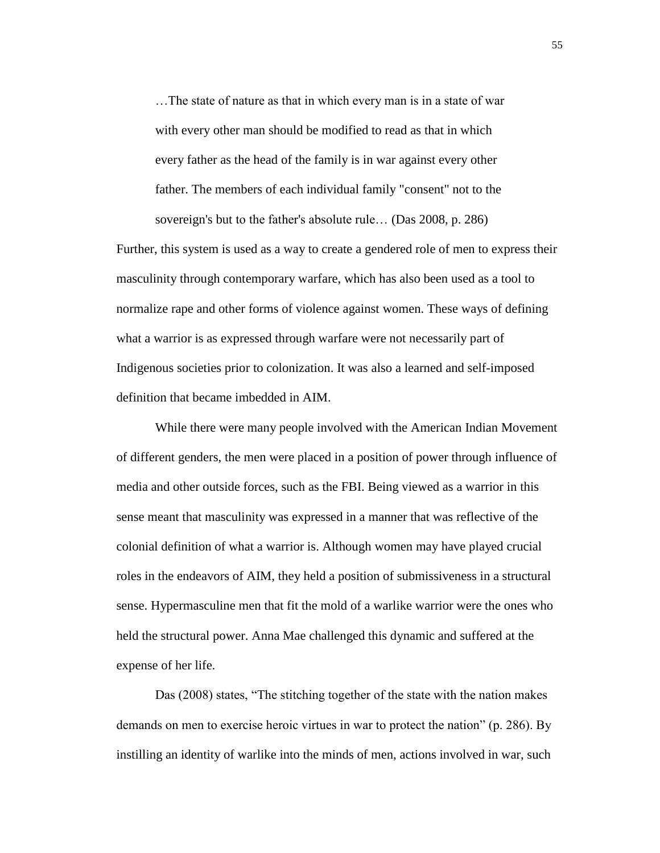…The state of nature as that in which every man is in a state of war with every other man should be modified to read as that in which every father as the head of the family is in war against every other father. The members of each individual family "consent" not to the sovereign's but to the father's absolute rule… (Das 2008, p. 286)

Further, this system is used as a way to create a gendered role of men to express their masculinity through contemporary warfare, which has also been used as a tool to normalize rape and other forms of violence against women. These ways of defining what a warrior is as expressed through warfare were not necessarily part of Indigenous societies prior to colonization. It was also a learned and self-imposed definition that became imbedded in AIM.

While there were many people involved with the American Indian Movement of different genders, the men were placed in a position of power through influence of media and other outside forces, such as the FBI. Being viewed as a warrior in this sense meant that masculinity was expressed in a manner that was reflective of the colonial definition of what a warrior is. Although women may have played crucial roles in the endeavors of AIM, they held a position of submissiveness in a structural sense. Hypermasculine men that fit the mold of a warlike warrior were the ones who held the structural power. Anna Mae challenged this dynamic and suffered at the expense of her life.

Das (2008) states, "The stitching together of the state with the nation makes demands on men to exercise heroic virtues in war to protect the nation" (p. 286). By instilling an identity of warlike into the minds of men, actions involved in war, such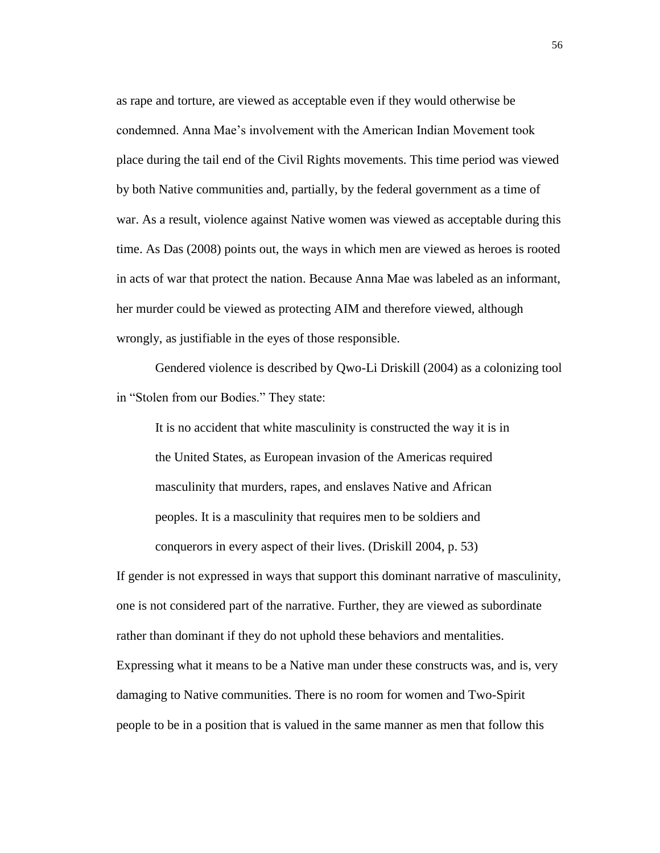as rape and torture, are viewed as acceptable even if they would otherwise be condemned. Anna Mae's involvement with the American Indian Movement took place during the tail end of the Civil Rights movements. This time period was viewed by both Native communities and, partially, by the federal government as a time of war. As a result, violence against Native women was viewed as acceptable during this time. As Das (2008) points out, the ways in which men are viewed as heroes is rooted in acts of war that protect the nation. Because Anna Mae was labeled as an informant, her murder could be viewed as protecting AIM and therefore viewed, although wrongly, as justifiable in the eyes of those responsible.

Gendered violence is described by Qwo-Li Driskill (2004) as a colonizing tool in "Stolen from our Bodies." They state:

It is no accident that white masculinity is constructed the way it is in the United States, as European invasion of the Americas required masculinity that murders, rapes, and enslaves Native and African peoples. It is a masculinity that requires men to be soldiers and conquerors in every aspect of their lives. (Driskill 2004, p. 53)

If gender is not expressed in ways that support this dominant narrative of masculinity, one is not considered part of the narrative. Further, they are viewed as subordinate rather than dominant if they do not uphold these behaviors and mentalities. Expressing what it means to be a Native man under these constructs was, and is, very damaging to Native communities. There is no room for women and Two-Spirit people to be in a position that is valued in the same manner as men that follow this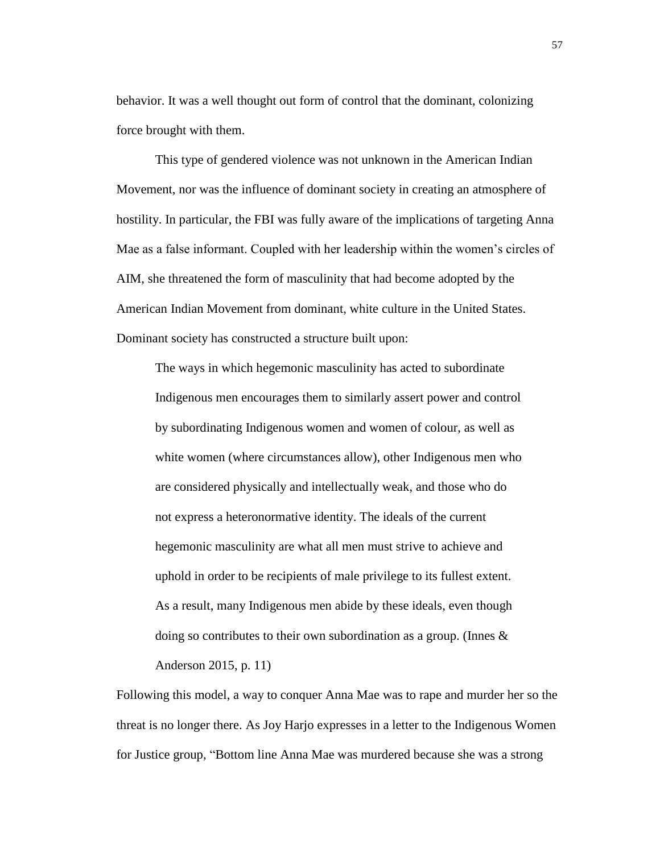behavior. It was a well thought out form of control that the dominant, colonizing force brought with them.

This type of gendered violence was not unknown in the American Indian Movement, nor was the influence of dominant society in creating an atmosphere of hostility. In particular, the FBI was fully aware of the implications of targeting Anna Mae as a false informant. Coupled with her leadership within the women's circles of AIM, she threatened the form of masculinity that had become adopted by the American Indian Movement from dominant, white culture in the United States. Dominant society has constructed a structure built upon:

The ways in which hegemonic masculinity has acted to subordinate Indigenous men encourages them to similarly assert power and control by subordinating Indigenous women and women of colour, as well as white women (where circumstances allow), other Indigenous men who are considered physically and intellectually weak, and those who do not express a heteronormative identity. The ideals of the current hegemonic masculinity are what all men must strive to achieve and uphold in order to be recipients of male privilege to its fullest extent. As a result, many Indigenous men abide by these ideals, even though doing so contributes to their own subordination as a group. (Innes & Anderson 2015, p. 11)

Following this model, a way to conquer Anna Mae was to rape and murder her so the threat is no longer there. As Joy Harjo expresses in a letter to the Indigenous Women for Justice group, "Bottom line Anna Mae was murdered because she was a strong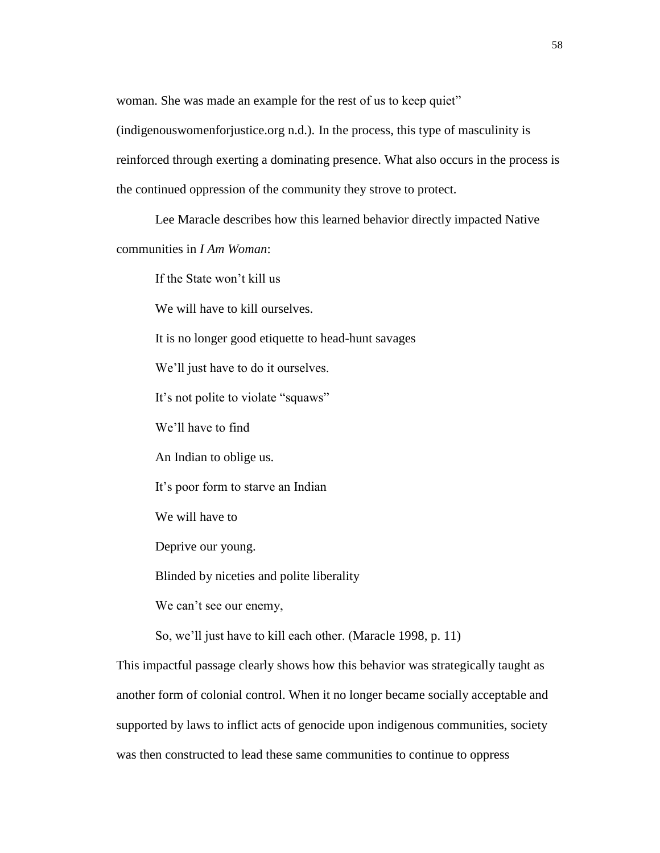woman. She was made an example for the rest of us to keep quiet"

(indigenouswomenforjustice.org n.d.). In the process, this type of masculinity is reinforced through exerting a dominating presence. What also occurs in the process is the continued oppression of the community they strove to protect.

Lee Maracle describes how this learned behavior directly impacted Native

communities in *I Am Woman*:

If the State won't kill us

We will have to kill ourselves.

It is no longer good etiquette to head-hunt savages

We'll just have to do it ourselves.

It's not polite to violate "squaws"

We'll have to find

An Indian to oblige us.

It's poor form to starve an Indian

We will have to

Deprive our young.

Blinded by niceties and polite liberality

We can't see our enemy,

So, we'll just have to kill each other. (Maracle 1998, p. 11)

This impactful passage clearly shows how this behavior was strategically taught as another form of colonial control. When it no longer became socially acceptable and supported by laws to inflict acts of genocide upon indigenous communities, society was then constructed to lead these same communities to continue to oppress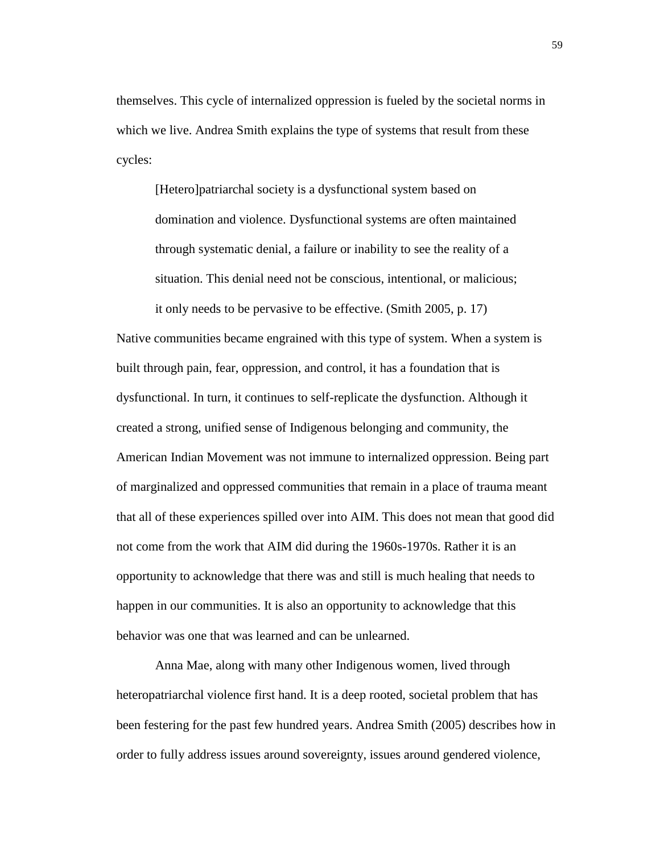themselves. This cycle of internalized oppression is fueled by the societal norms in which we live. Andrea Smith explains the type of systems that result from these cycles:

[Hetero]patriarchal society is a dysfunctional system based on domination and violence. Dysfunctional systems are often maintained through systematic denial, a failure or inability to see the reality of a situation. This denial need not be conscious, intentional, or malicious; it only needs to be pervasive to be effective. (Smith 2005, p. 17)

Native communities became engrained with this type of system. When a system is built through pain, fear, oppression, and control, it has a foundation that is dysfunctional. In turn, it continues to self-replicate the dysfunction. Although it created a strong, unified sense of Indigenous belonging and community, the American Indian Movement was not immune to internalized oppression. Being part of marginalized and oppressed communities that remain in a place of trauma meant that all of these experiences spilled over into AIM. This does not mean that good did not come from the work that AIM did during the 1960s-1970s. Rather it is an opportunity to acknowledge that there was and still is much healing that needs to happen in our communities. It is also an opportunity to acknowledge that this behavior was one that was learned and can be unlearned.

Anna Mae, along with many other Indigenous women, lived through heteropatriarchal violence first hand. It is a deep rooted, societal problem that has been festering for the past few hundred years. Andrea Smith (2005) describes how in order to fully address issues around sovereignty, issues around gendered violence,

59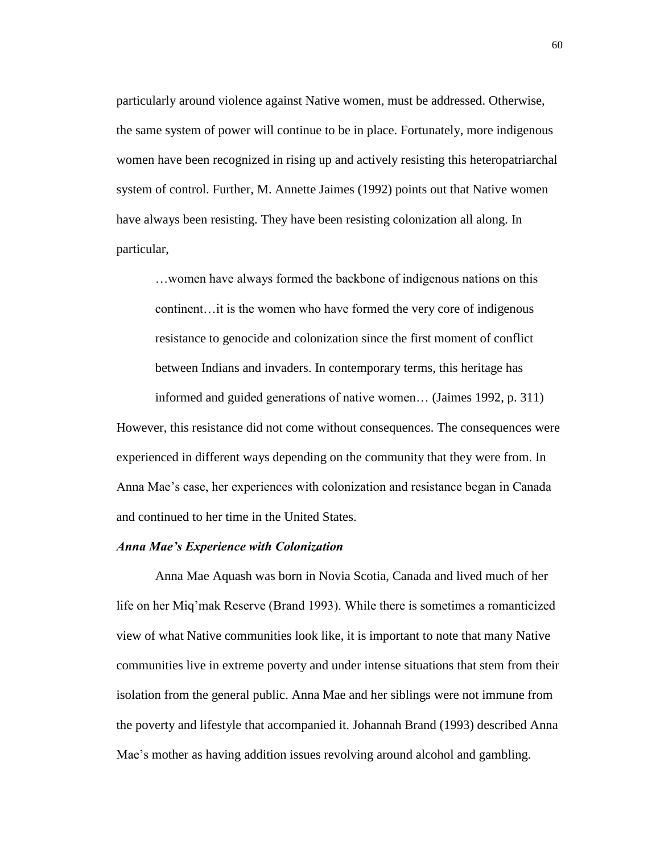particularly around violence against Native women, must be addressed. Otherwise, the same system of power will continue to be in place. Fortunately, more indigenous women have been recognized in rising up and actively resisting this heteropatriarchal system of control. Further, M. Annette Jaimes (1992) points out that Native women have always been resisting. They have been resisting colonization all along. In particular,

…women have always formed the backbone of indigenous nations on this continent…it is the women who have formed the very core of indigenous resistance to genocide and colonization since the first moment of conflict between Indians and invaders. In contemporary terms, this heritage has informed and guided generations of native women… (Jaimes 1992, p. 311)

However, this resistance did not come without consequences. The consequences were experienced in different ways depending on the community that they were from. In Anna Mae's case, her experiences with colonization and resistance began in Canada and continued to her time in the United States.

## *Anna Mae's Experience with Colonization*

Anna Mae Aquash was born in Novia Scotia, Canada and lived much of her life on her Miq'mak Reserve (Brand 1993). While there is sometimes a romanticized view of what Native communities look like, it is important to note that many Native communities live in extreme poverty and under intense situations that stem from their isolation from the general public. Anna Mae and her siblings were not immune from the poverty and lifestyle that accompanied it. Johannah Brand (1993) described Anna Mae's mother as having addition issues revolving around alcohol and gambling.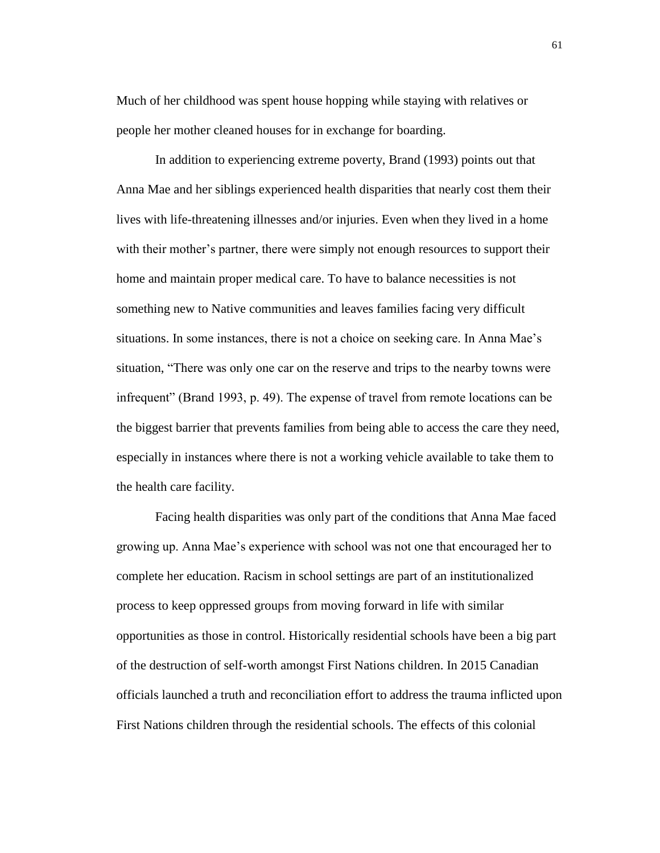Much of her childhood was spent house hopping while staying with relatives or people her mother cleaned houses for in exchange for boarding.

In addition to experiencing extreme poverty, Brand (1993) points out that Anna Mae and her siblings experienced health disparities that nearly cost them their lives with life-threatening illnesses and/or injuries. Even when they lived in a home with their mother's partner, there were simply not enough resources to support their home and maintain proper medical care. To have to balance necessities is not something new to Native communities and leaves families facing very difficult situations. In some instances, there is not a choice on seeking care. In Anna Mae's situation, "There was only one car on the reserve and trips to the nearby towns were infrequent" (Brand 1993, p. 49). The expense of travel from remote locations can be the biggest barrier that prevents families from being able to access the care they need, especially in instances where there is not a working vehicle available to take them to the health care facility.

Facing health disparities was only part of the conditions that Anna Mae faced growing up. Anna Mae's experience with school was not one that encouraged her to complete her education. Racism in school settings are part of an institutionalized process to keep oppressed groups from moving forward in life with similar opportunities as those in control. Historically residential schools have been a big part of the destruction of self-worth amongst First Nations children. In 2015 Canadian officials launched a truth and reconciliation effort to address the trauma inflicted upon First Nations children through the residential schools. The effects of this colonial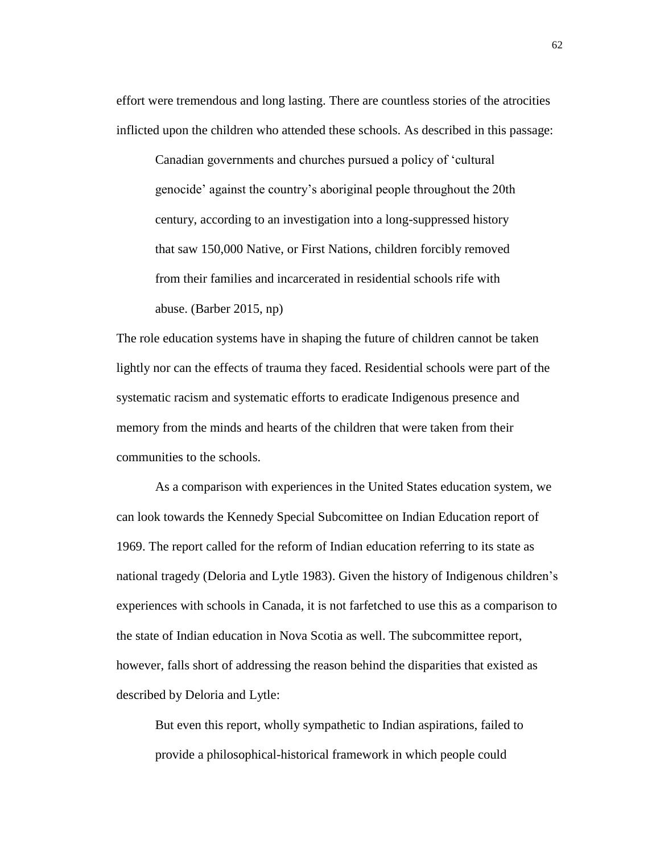effort were tremendous and long lasting. There are countless stories of the atrocities inflicted upon the children who attended these schools. As described in this passage:

Canadian governments and churches pursued a policy of 'cultural genocide' against the country's aboriginal people throughout the 20th century, according to an investigation into a long-suppressed history that saw 150,000 Native, or First Nations, children forcibly removed from their families and incarcerated in residential schools rife with abuse. (Barber 2015, np)

The role education systems have in shaping the future of children cannot be taken lightly nor can the effects of trauma they faced. Residential schools were part of the systematic racism and systematic efforts to eradicate Indigenous presence and memory from the minds and hearts of the children that were taken from their communities to the schools.

As a comparison with experiences in the United States education system, we can look towards the Kennedy Special Subcomittee on Indian Education report of 1969. The report called for the reform of Indian education referring to its state as national tragedy (Deloria and Lytle 1983). Given the history of Indigenous children's experiences with schools in Canada, it is not farfetched to use this as a comparison to the state of Indian education in Nova Scotia as well. The subcommittee report, however, falls short of addressing the reason behind the disparities that existed as described by Deloria and Lytle:

But even this report, wholly sympathetic to Indian aspirations, failed to provide a philosophical-historical framework in which people could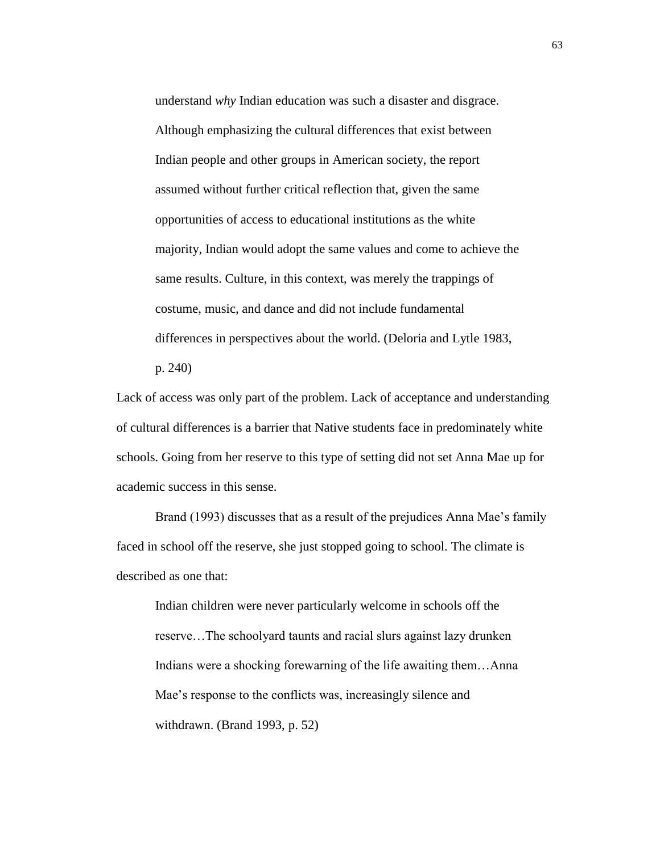understand *why* Indian education was such a disaster and disgrace. Although emphasizing the cultural differences that exist between Indian people and other groups in American society, the report assumed without further critical reflection that, given the same opportunities of access to educational institutions as the white majority, Indian would adopt the same values and come to achieve the same results. Culture, in this context, was merely the trappings of costume, music, and dance and did not include fundamental differences in perspectives about the world. (Deloria and Lytle 1983,

p. 240)

Lack of access was only part of the problem. Lack of acceptance and understanding of cultural differences is a barrier that Native students face in predominately white schools. Going from her reserve to this type of setting did not set Anna Mae up for academic success in this sense.

Brand (1993) discusses that as a result of the prejudices Anna Mae's family faced in school off the reserve, she just stopped going to school. The climate is described as one that:

Indian children were never particularly welcome in schools off the reserve…The schoolyard taunts and racial slurs against lazy drunken Indians were a shocking forewarning of the life awaiting them…Anna Mae's response to the conflicts was, increasingly silence and withdrawn. (Brand 1993, p. 52)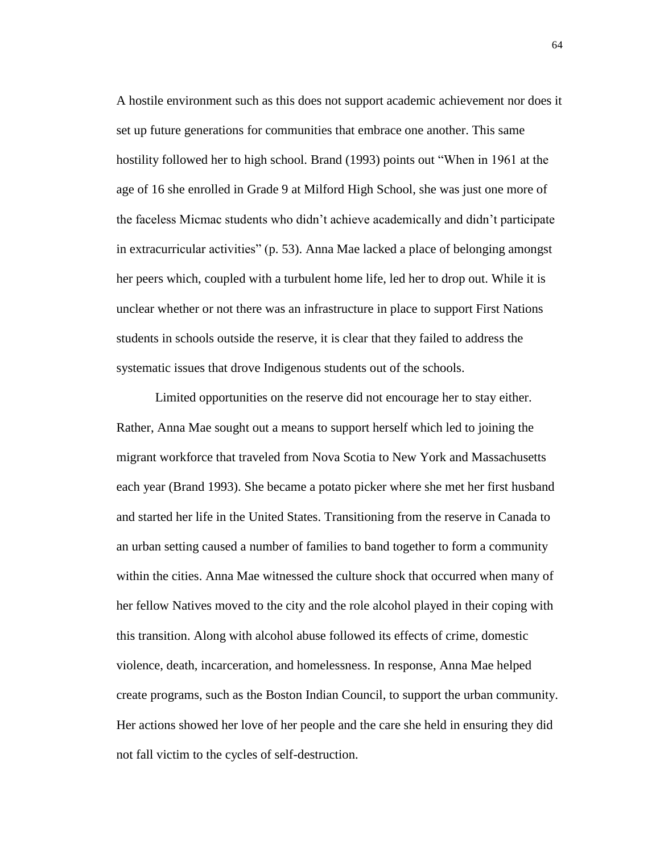A hostile environment such as this does not support academic achievement nor does it set up future generations for communities that embrace one another. This same hostility followed her to high school. Brand (1993) points out "When in 1961 at the age of 16 she enrolled in Grade 9 at Milford High School, she was just one more of the faceless Micmac students who didn't achieve academically and didn't participate in extracurricular activities" (p. 53). Anna Mae lacked a place of belonging amongst her peers which, coupled with a turbulent home life, led her to drop out. While it is unclear whether or not there was an infrastructure in place to support First Nations students in schools outside the reserve, it is clear that they failed to address the systematic issues that drove Indigenous students out of the schools.

Limited opportunities on the reserve did not encourage her to stay either. Rather, Anna Mae sought out a means to support herself which led to joining the migrant workforce that traveled from Nova Scotia to New York and Massachusetts each year (Brand 1993). She became a potato picker where she met her first husband and started her life in the United States. Transitioning from the reserve in Canada to an urban setting caused a number of families to band together to form a community within the cities. Anna Mae witnessed the culture shock that occurred when many of her fellow Natives moved to the city and the role alcohol played in their coping with this transition. Along with alcohol abuse followed its effects of crime, domestic violence, death, incarceration, and homelessness. In response, Anna Mae helped create programs, such as the Boston Indian Council, to support the urban community. Her actions showed her love of her people and the care she held in ensuring they did not fall victim to the cycles of self-destruction.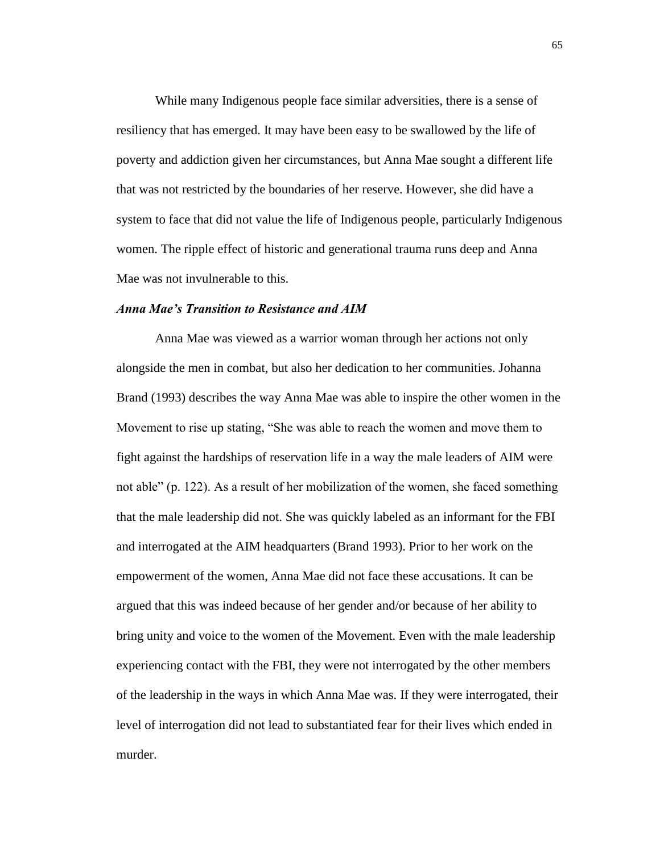While many Indigenous people face similar adversities, there is a sense of resiliency that has emerged. It may have been easy to be swallowed by the life of poverty and addiction given her circumstances, but Anna Mae sought a different life that was not restricted by the boundaries of her reserve. However, she did have a system to face that did not value the life of Indigenous people, particularly Indigenous women. The ripple effect of historic and generational trauma runs deep and Anna Mae was not invulnerable to this.

## *Anna Mae's Transition to Resistance and AIM*

Anna Mae was viewed as a warrior woman through her actions not only alongside the men in combat, but also her dedication to her communities. Johanna Brand (1993) describes the way Anna Mae was able to inspire the other women in the Movement to rise up stating, "She was able to reach the women and move them to fight against the hardships of reservation life in a way the male leaders of AIM were not able" (p. 122). As a result of her mobilization of the women, she faced something that the male leadership did not. She was quickly labeled as an informant for the FBI and interrogated at the AIM headquarters (Brand 1993). Prior to her work on the empowerment of the women, Anna Mae did not face these accusations. It can be argued that this was indeed because of her gender and/or because of her ability to bring unity and voice to the women of the Movement. Even with the male leadership experiencing contact with the FBI, they were not interrogated by the other members of the leadership in the ways in which Anna Mae was. If they were interrogated, their level of interrogation did not lead to substantiated fear for their lives which ended in murder.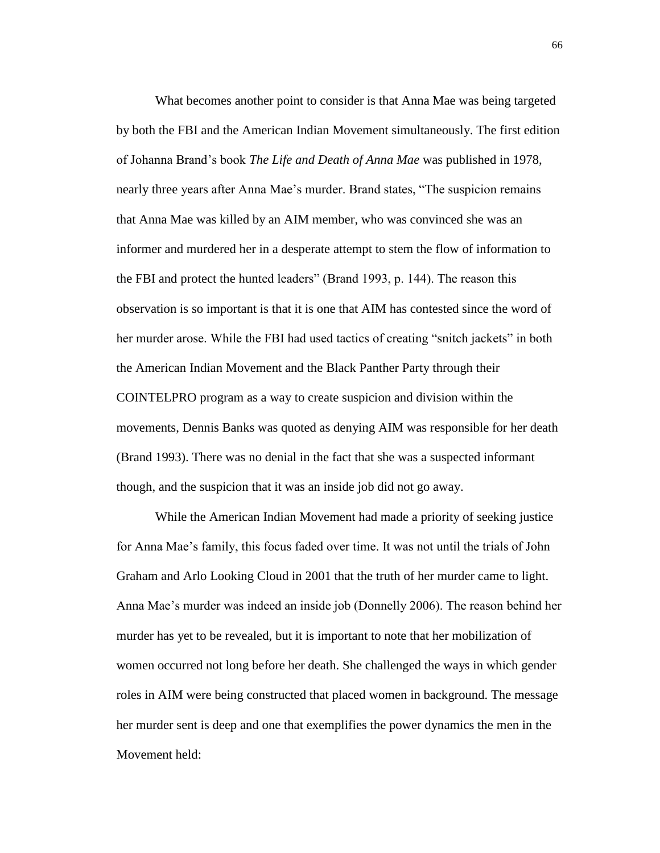What becomes another point to consider is that Anna Mae was being targeted by both the FBI and the American Indian Movement simultaneously. The first edition of Johanna Brand's book *The Life and Death of Anna Mae* was published in 1978, nearly three years after Anna Mae's murder. Brand states, "The suspicion remains that Anna Mae was killed by an AIM member, who was convinced she was an informer and murdered her in a desperate attempt to stem the flow of information to the FBI and protect the hunted leaders" (Brand 1993, p. 144). The reason this observation is so important is that it is one that AIM has contested since the word of her murder arose. While the FBI had used tactics of creating "snitch jackets" in both the American Indian Movement and the Black Panther Party through their COINTELPRO program as a way to create suspicion and division within the movements, Dennis Banks was quoted as denying AIM was responsible for her death (Brand 1993). There was no denial in the fact that she was a suspected informant though, and the suspicion that it was an inside job did not go away.

While the American Indian Movement had made a priority of seeking justice for Anna Mae's family, this focus faded over time. It was not until the trials of John Graham and Arlo Looking Cloud in 2001 that the truth of her murder came to light. Anna Mae's murder was indeed an inside job (Donnelly 2006). The reason behind her murder has yet to be revealed, but it is important to note that her mobilization of women occurred not long before her death. She challenged the ways in which gender roles in AIM were being constructed that placed women in background. The message her murder sent is deep and one that exemplifies the power dynamics the men in the Movement held: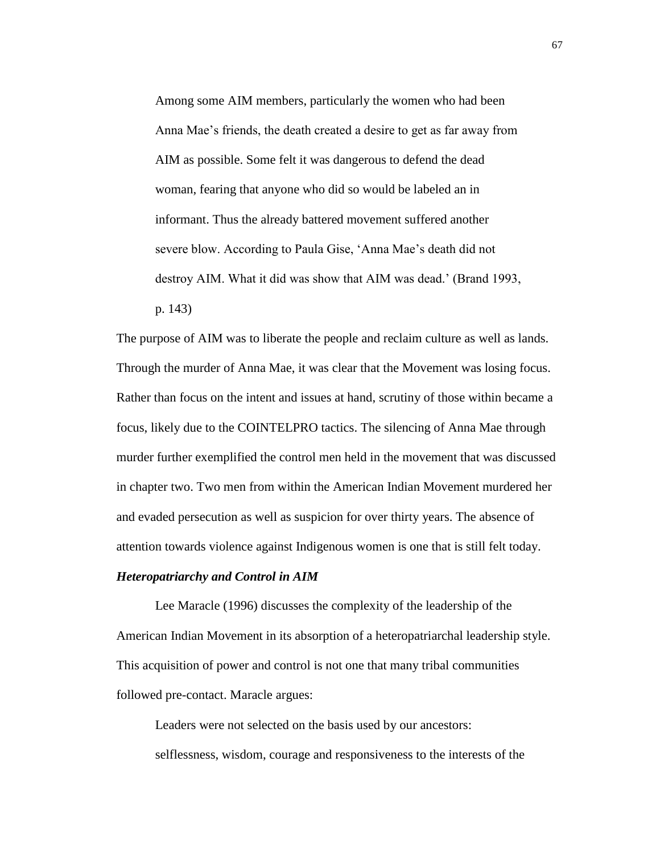Among some AIM members, particularly the women who had been Anna Mae's friends, the death created a desire to get as far away from AIM as possible. Some felt it was dangerous to defend the dead woman, fearing that anyone who did so would be labeled an in informant. Thus the already battered movement suffered another severe blow. According to Paula Gise, 'Anna Mae's death did not destroy AIM. What it did was show that AIM was dead.' (Brand 1993, p. 143)

The purpose of AIM was to liberate the people and reclaim culture as well as lands. Through the murder of Anna Mae, it was clear that the Movement was losing focus. Rather than focus on the intent and issues at hand, scrutiny of those within became a focus, likely due to the COINTELPRO tactics. The silencing of Anna Mae through murder further exemplified the control men held in the movement that was discussed in chapter two. Two men from within the American Indian Movement murdered her and evaded persecution as well as suspicion for over thirty years. The absence of attention towards violence against Indigenous women is one that is still felt today.

# *Heteropatriarchy and Control in AIM*

Lee Maracle (1996) discusses the complexity of the leadership of the American Indian Movement in its absorption of a heteropatriarchal leadership style. This acquisition of power and control is not one that many tribal communities followed pre-contact. Maracle argues:

Leaders were not selected on the basis used by our ancestors: selflessness, wisdom, courage and responsiveness to the interests of the 67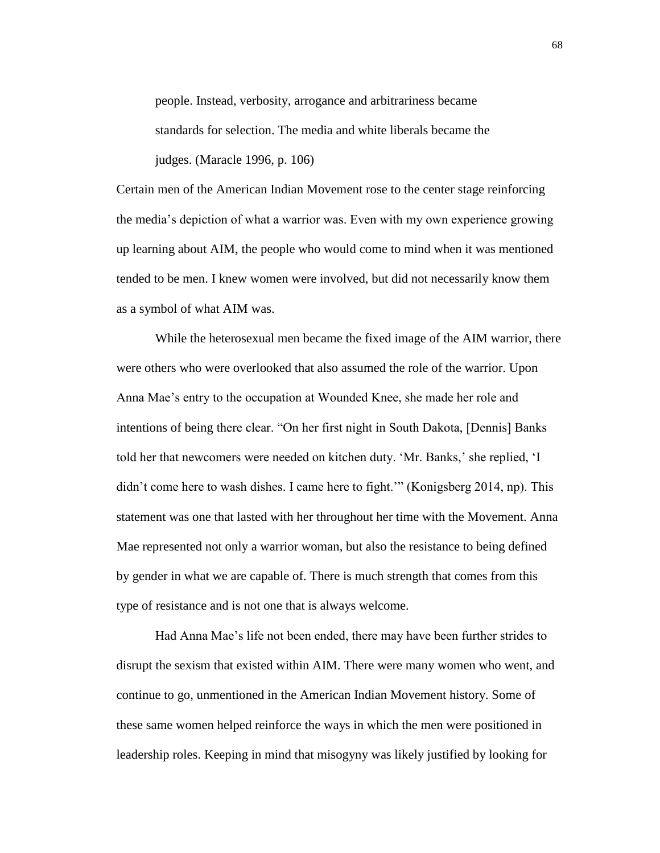people. Instead, verbosity, arrogance and arbitrariness became standards for selection. The media and white liberals became the judges. (Maracle 1996, p. 106)

Certain men of the American Indian Movement rose to the center stage reinforcing the media's depiction of what a warrior was. Even with my own experience growing up learning about AIM, the people who would come to mind when it was mentioned tended to be men. I knew women were involved, but did not necessarily know them as a symbol of what AIM was.

While the heterosexual men became the fixed image of the AIM warrior, there were others who were overlooked that also assumed the role of the warrior. Upon Anna Mae's entry to the occupation at Wounded Knee, she made her role and intentions of being there clear. "On her first night in South Dakota, [Dennis] Banks told her that newcomers were needed on kitchen duty. 'Mr. Banks,' she replied, 'I didn't come here to wash dishes. I came here to fight.'" (Konigsberg 2014, np). This statement was one that lasted with her throughout her time with the Movement. Anna Mae represented not only a warrior woman, but also the resistance to being defined by gender in what we are capable of. There is much strength that comes from this type of resistance and is not one that is always welcome.

Had Anna Mae's life not been ended, there may have been further strides to disrupt the sexism that existed within AIM. There were many women who went, and continue to go, unmentioned in the American Indian Movement history. Some of these same women helped reinforce the ways in which the men were positioned in leadership roles. Keeping in mind that misogyny was likely justified by looking for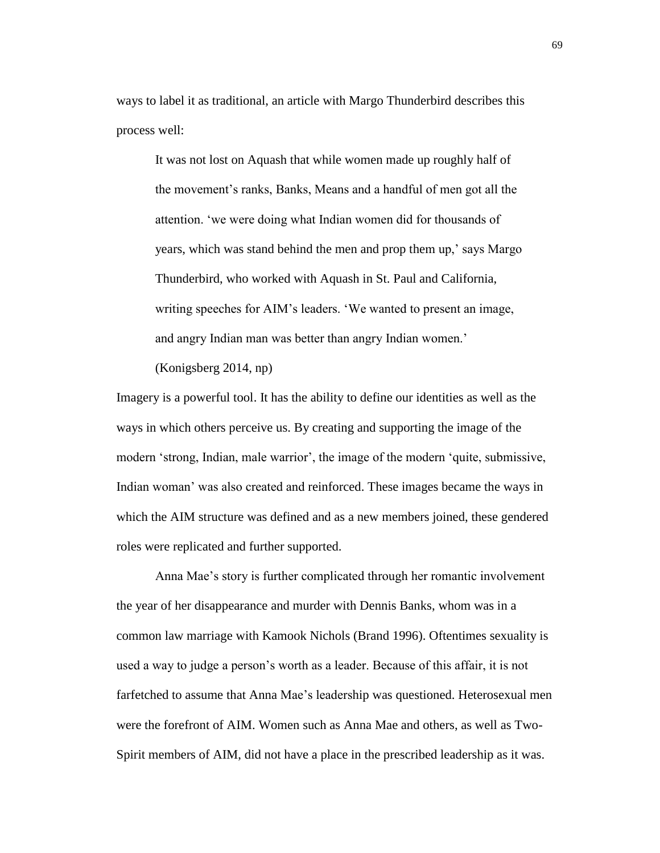ways to label it as traditional, an article with Margo Thunderbird describes this process well:

It was not lost on Aquash that while women made up roughly half of the movement's ranks, Banks, Means and a handful of men got all the attention. 'we were doing what Indian women did for thousands of years, which was stand behind the men and prop them up,' says Margo Thunderbird, who worked with Aquash in St. Paul and California, writing speeches for AIM's leaders. 'We wanted to present an image, and angry Indian man was better than angry Indian women.'

(Konigsberg 2014, np)

Imagery is a powerful tool. It has the ability to define our identities as well as the ways in which others perceive us. By creating and supporting the image of the modern 'strong, Indian, male warrior', the image of the modern 'quite, submissive, Indian woman' was also created and reinforced. These images became the ways in which the AIM structure was defined and as a new members joined, these gendered roles were replicated and further supported.

Anna Mae's story is further complicated through her romantic involvement the year of her disappearance and murder with Dennis Banks, whom was in a common law marriage with Kamook Nichols (Brand 1996). Oftentimes sexuality is used a way to judge a person's worth as a leader. Because of this affair, it is not farfetched to assume that Anna Mae's leadership was questioned. Heterosexual men were the forefront of AIM. Women such as Anna Mae and others, as well as Two-Spirit members of AIM, did not have a place in the prescribed leadership as it was.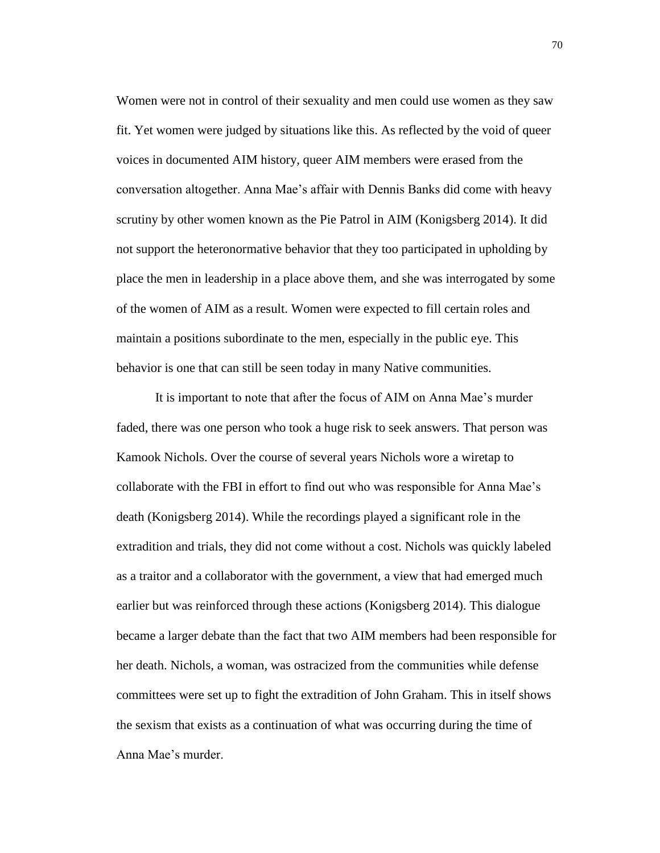Women were not in control of their sexuality and men could use women as they saw fit. Yet women were judged by situations like this. As reflected by the void of queer voices in documented AIM history, queer AIM members were erased from the conversation altogether. Anna Mae's affair with Dennis Banks did come with heavy scrutiny by other women known as the Pie Patrol in AIM (Konigsberg 2014). It did not support the heteronormative behavior that they too participated in upholding by place the men in leadership in a place above them, and she was interrogated by some of the women of AIM as a result. Women were expected to fill certain roles and maintain a positions subordinate to the men, especially in the public eye. This behavior is one that can still be seen today in many Native communities.

It is important to note that after the focus of AIM on Anna Mae's murder faded, there was one person who took a huge risk to seek answers. That person was Kamook Nichols. Over the course of several years Nichols wore a wiretap to collaborate with the FBI in effort to find out who was responsible for Anna Mae's death (Konigsberg 2014). While the recordings played a significant role in the extradition and trials, they did not come without a cost. Nichols was quickly labeled as a traitor and a collaborator with the government, a view that had emerged much earlier but was reinforced through these actions (Konigsberg 2014). This dialogue became a larger debate than the fact that two AIM members had been responsible for her death. Nichols, a woman, was ostracized from the communities while defense committees were set up to fight the extradition of John Graham. This in itself shows the sexism that exists as a continuation of what was occurring during the time of Anna Mae's murder.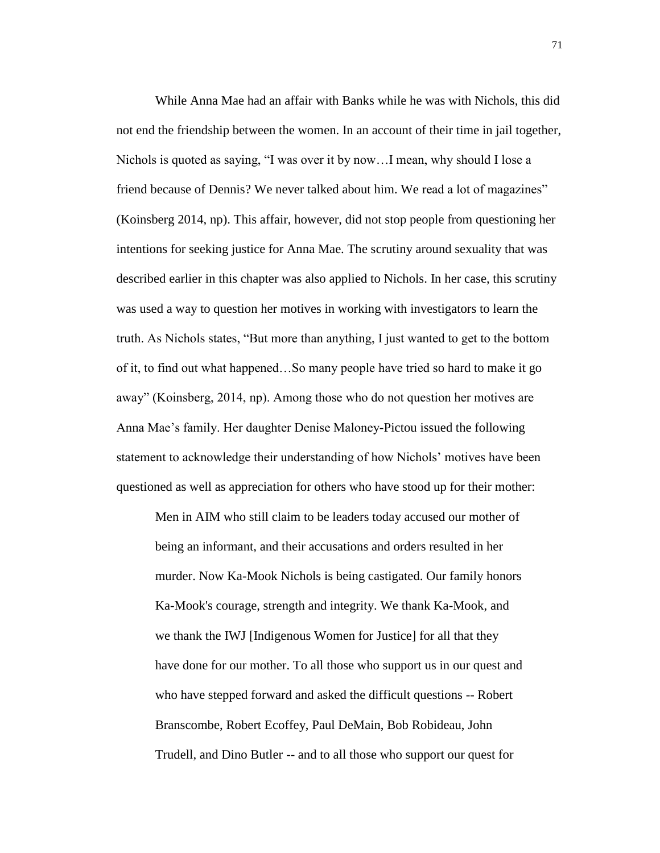While Anna Mae had an affair with Banks while he was with Nichols, this did not end the friendship between the women. In an account of their time in jail together, Nichols is quoted as saying, "I was over it by now…I mean, why should I lose a friend because of Dennis? We never talked about him. We read a lot of magazines" (Koinsberg 2014, np). This affair, however, did not stop people from questioning her intentions for seeking justice for Anna Mae. The scrutiny around sexuality that was described earlier in this chapter was also applied to Nichols. In her case, this scrutiny was used a way to question her motives in working with investigators to learn the truth. As Nichols states, "But more than anything, I just wanted to get to the bottom of it, to find out what happened…So many people have tried so hard to make it go away" (Koinsberg, 2014, np). Among those who do not question her motives are Anna Mae's family. Her daughter Denise Maloney-Pictou issued the following statement to acknowledge their understanding of how Nichols' motives have been questioned as well as appreciation for others who have stood up for their mother:

Men in AIM who still claim to be leaders today accused our mother of being an informant, and their accusations and orders resulted in her murder. Now Ka-Mook Nichols is being castigated. Our family honors Ka-Mook's courage, strength and integrity. We thank Ka-Mook, and we thank the IWJ [Indigenous Women for Justice] for all that they have done for our mother. To all those who support us in our quest and who have stepped forward and asked the difficult questions -- Robert Branscombe, Robert Ecoffey, Paul DeMain, Bob Robideau, John Trudell, and Dino Butler -- and to all those who support our quest for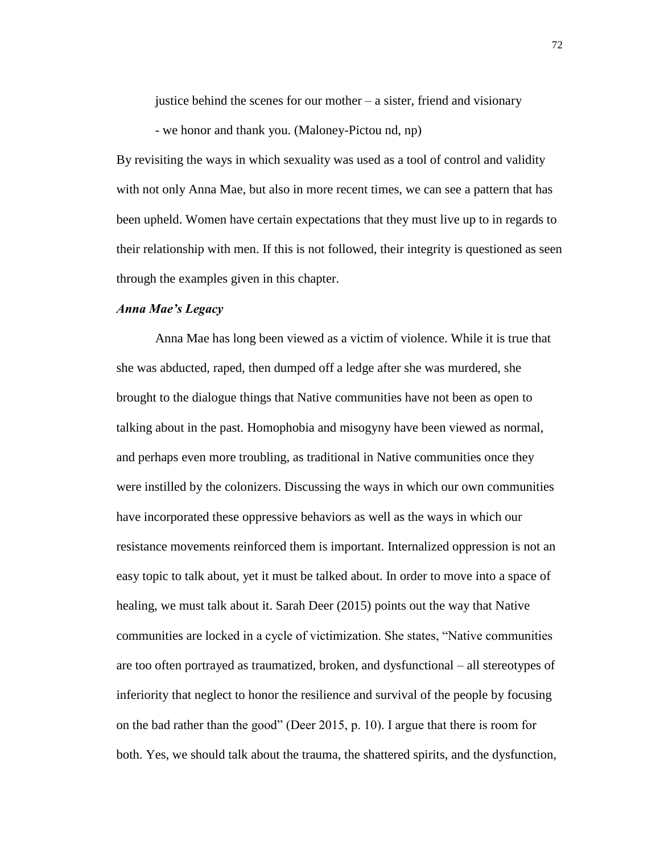justice behind the scenes for our mother – a sister, friend and visionary

- we honor and thank you. (Maloney-Pictou nd, np)

By revisiting the ways in which sexuality was used as a tool of control and validity with not only Anna Mae, but also in more recent times, we can see a pattern that has been upheld. Women have certain expectations that they must live up to in regards to their relationship with men. If this is not followed, their integrity is questioned as seen through the examples given in this chapter.

## *Anna Mae's Legacy*

Anna Mae has long been viewed as a victim of violence. While it is true that she was abducted, raped, then dumped off a ledge after she was murdered, she brought to the dialogue things that Native communities have not been as open to talking about in the past. Homophobia and misogyny have been viewed as normal, and perhaps even more troubling, as traditional in Native communities once they were instilled by the colonizers. Discussing the ways in which our own communities have incorporated these oppressive behaviors as well as the ways in which our resistance movements reinforced them is important. Internalized oppression is not an easy topic to talk about, yet it must be talked about. In order to move into a space of healing, we must talk about it. Sarah Deer (2015) points out the way that Native communities are locked in a cycle of victimization. She states, "Native communities are too often portrayed as traumatized, broken, and dysfunctional – all stereotypes of inferiority that neglect to honor the resilience and survival of the people by focusing on the bad rather than the good" (Deer 2015, p. 10). I argue that there is room for both. Yes, we should talk about the trauma, the shattered spirits, and the dysfunction,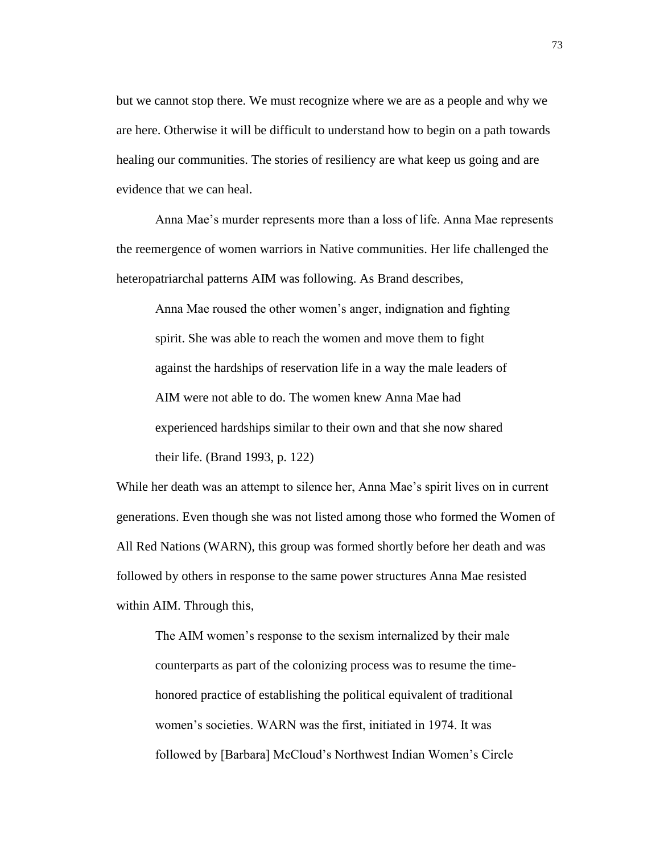but we cannot stop there. We must recognize where we are as a people and why we are here. Otherwise it will be difficult to understand how to begin on a path towards healing our communities. The stories of resiliency are what keep us going and are evidence that we can heal.

Anna Mae's murder represents more than a loss of life. Anna Mae represents the reemergence of women warriors in Native communities. Her life challenged the heteropatriarchal patterns AIM was following. As Brand describes,

Anna Mae roused the other women's anger, indignation and fighting spirit. She was able to reach the women and move them to fight against the hardships of reservation life in a way the male leaders of AIM were not able to do. The women knew Anna Mae had experienced hardships similar to their own and that she now shared their life. (Brand 1993, p. 122)

While her death was an attempt to silence her, Anna Mae's spirit lives on in current generations. Even though she was not listed among those who formed the Women of All Red Nations (WARN), this group was formed shortly before her death and was followed by others in response to the same power structures Anna Mae resisted within AIM. Through this,

The AIM women's response to the sexism internalized by their male counterparts as part of the colonizing process was to resume the timehonored practice of establishing the political equivalent of traditional women's societies. WARN was the first, initiated in 1974. It was followed by [Barbara] McCloud's Northwest Indian Women's Circle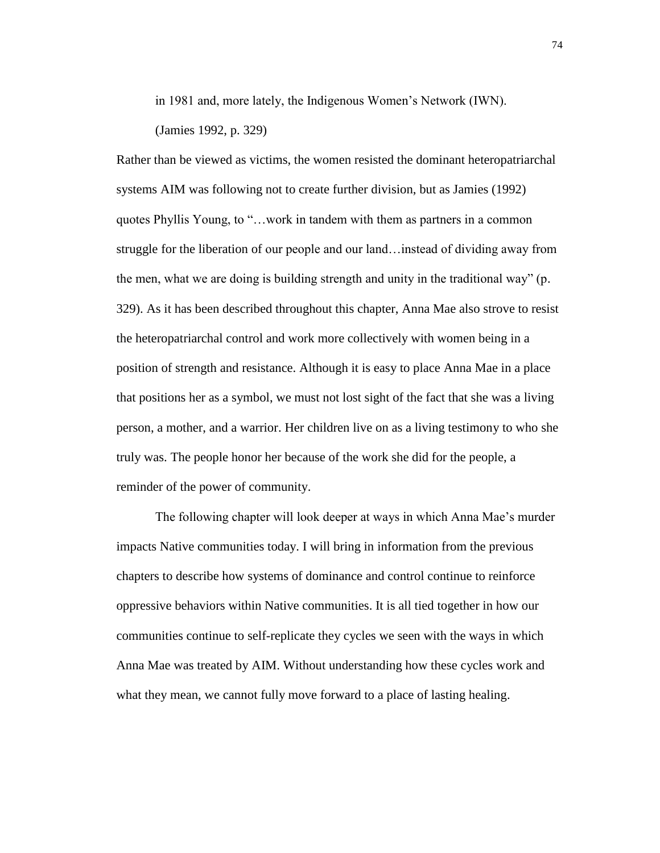in 1981 and, more lately, the Indigenous Women's Network (IWN). (Jamies 1992, p. 329)

Rather than be viewed as victims, the women resisted the dominant heteropatriarchal systems AIM was following not to create further division, but as Jamies (1992) quotes Phyllis Young, to "…work in tandem with them as partners in a common struggle for the liberation of our people and our land…instead of dividing away from the men, what we are doing is building strength and unity in the traditional way" (p. 329). As it has been described throughout this chapter, Anna Mae also strove to resist the heteropatriarchal control and work more collectively with women being in a position of strength and resistance. Although it is easy to place Anna Mae in a place that positions her as a symbol, we must not lost sight of the fact that she was a living person, a mother, and a warrior. Her children live on as a living testimony to who she truly was. The people honor her because of the work she did for the people, a reminder of the power of community.

The following chapter will look deeper at ways in which Anna Mae's murder impacts Native communities today. I will bring in information from the previous chapters to describe how systems of dominance and control continue to reinforce oppressive behaviors within Native communities. It is all tied together in how our communities continue to self-replicate they cycles we seen with the ways in which Anna Mae was treated by AIM. Without understanding how these cycles work and what they mean, we cannot fully move forward to a place of lasting healing.

74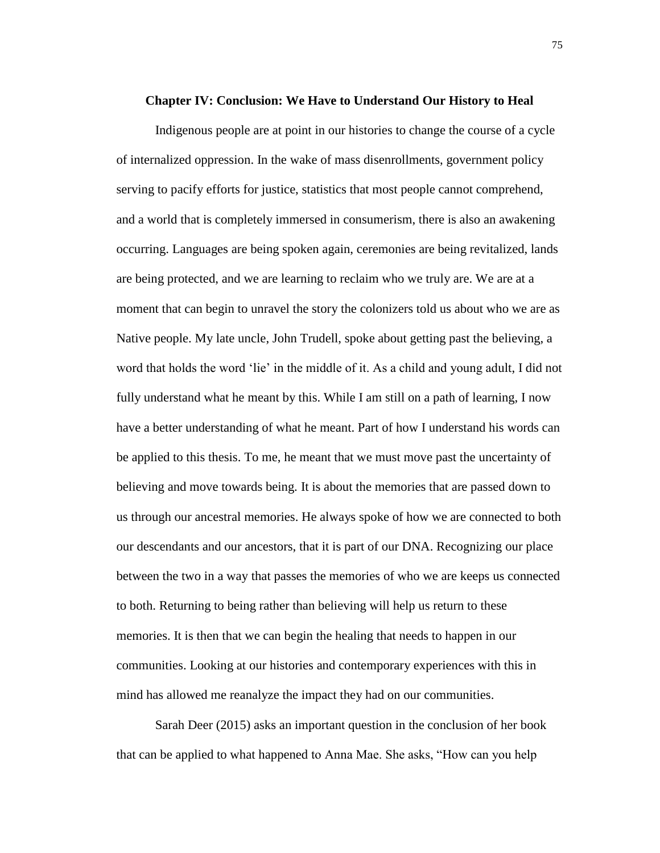#### **Chapter IV: Conclusion: We Have to Understand Our History to Heal**

Indigenous people are at point in our histories to change the course of a cycle of internalized oppression. In the wake of mass disenrollments, government policy serving to pacify efforts for justice, statistics that most people cannot comprehend, and a world that is completely immersed in consumerism, there is also an awakening occurring. Languages are being spoken again, ceremonies are being revitalized, lands are being protected, and we are learning to reclaim who we truly are. We are at a moment that can begin to unravel the story the colonizers told us about who we are as Native people. My late uncle, John Trudell, spoke about getting past the believing, a word that holds the word 'lie' in the middle of it. As a child and young adult, I did not fully understand what he meant by this. While I am still on a path of learning, I now have a better understanding of what he meant. Part of how I understand his words can be applied to this thesis. To me, he meant that we must move past the uncertainty of believing and move towards being. It is about the memories that are passed down to us through our ancestral memories. He always spoke of how we are connected to both our descendants and our ancestors, that it is part of our DNA. Recognizing our place between the two in a way that passes the memories of who we are keeps us connected to both. Returning to being rather than believing will help us return to these memories. It is then that we can begin the healing that needs to happen in our communities. Looking at our histories and contemporary experiences with this in mind has allowed me reanalyze the impact they had on our communities.

Sarah Deer (2015) asks an important question in the conclusion of her book that can be applied to what happened to Anna Mae. She asks, "How can you help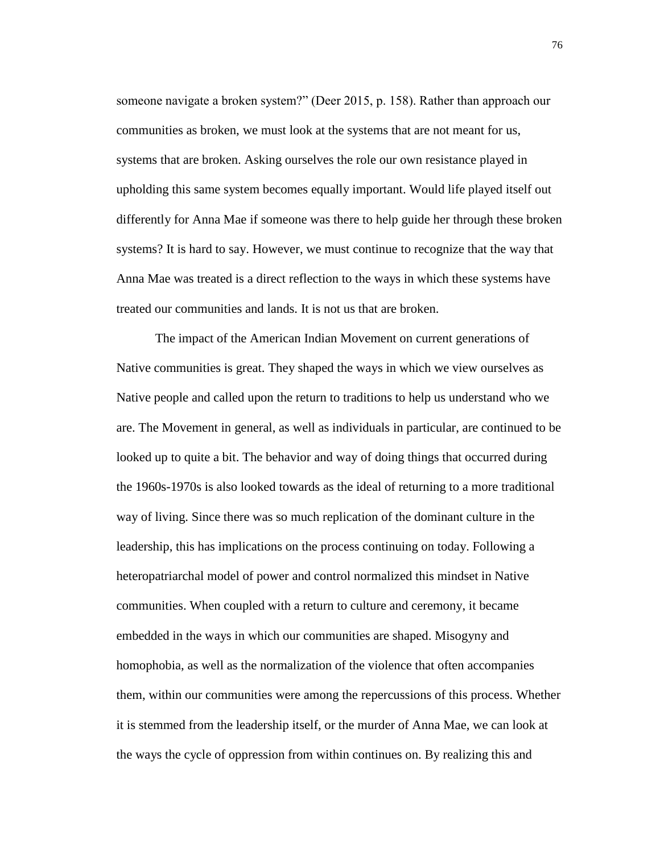someone navigate a broken system?" (Deer 2015, p. 158). Rather than approach our communities as broken, we must look at the systems that are not meant for us, systems that are broken. Asking ourselves the role our own resistance played in upholding this same system becomes equally important. Would life played itself out differently for Anna Mae if someone was there to help guide her through these broken systems? It is hard to say. However, we must continue to recognize that the way that Anna Mae was treated is a direct reflection to the ways in which these systems have treated our communities and lands. It is not us that are broken.

The impact of the American Indian Movement on current generations of Native communities is great. They shaped the ways in which we view ourselves as Native people and called upon the return to traditions to help us understand who we are. The Movement in general, as well as individuals in particular, are continued to be looked up to quite a bit. The behavior and way of doing things that occurred during the 1960s-1970s is also looked towards as the ideal of returning to a more traditional way of living. Since there was so much replication of the dominant culture in the leadership, this has implications on the process continuing on today. Following a heteropatriarchal model of power and control normalized this mindset in Native communities. When coupled with a return to culture and ceremony, it became embedded in the ways in which our communities are shaped. Misogyny and homophobia, as well as the normalization of the violence that often accompanies them, within our communities were among the repercussions of this process. Whether it is stemmed from the leadership itself, or the murder of Anna Mae, we can look at the ways the cycle of oppression from within continues on. By realizing this and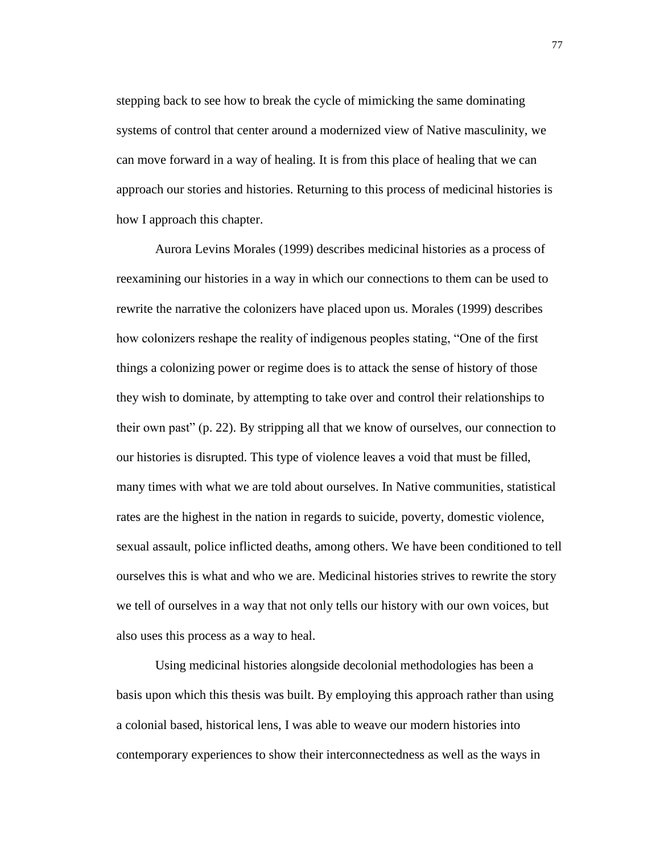stepping back to see how to break the cycle of mimicking the same dominating systems of control that center around a modernized view of Native masculinity, we can move forward in a way of healing. It is from this place of healing that we can approach our stories and histories. Returning to this process of medicinal histories is how I approach this chapter.

Aurora Levins Morales (1999) describes medicinal histories as a process of reexamining our histories in a way in which our connections to them can be used to rewrite the narrative the colonizers have placed upon us. Morales (1999) describes how colonizers reshape the reality of indigenous peoples stating, "One of the first things a colonizing power or regime does is to attack the sense of history of those they wish to dominate, by attempting to take over and control their relationships to their own past" (p. 22). By stripping all that we know of ourselves, our connection to our histories is disrupted. This type of violence leaves a void that must be filled, many times with what we are told about ourselves. In Native communities, statistical rates are the highest in the nation in regards to suicide, poverty, domestic violence, sexual assault, police inflicted deaths, among others. We have been conditioned to tell ourselves this is what and who we are. Medicinal histories strives to rewrite the story we tell of ourselves in a way that not only tells our history with our own voices, but also uses this process as a way to heal.

Using medicinal histories alongside decolonial methodologies has been a basis upon which this thesis was built. By employing this approach rather than using a colonial based, historical lens, I was able to weave our modern histories into contemporary experiences to show their interconnectedness as well as the ways in

77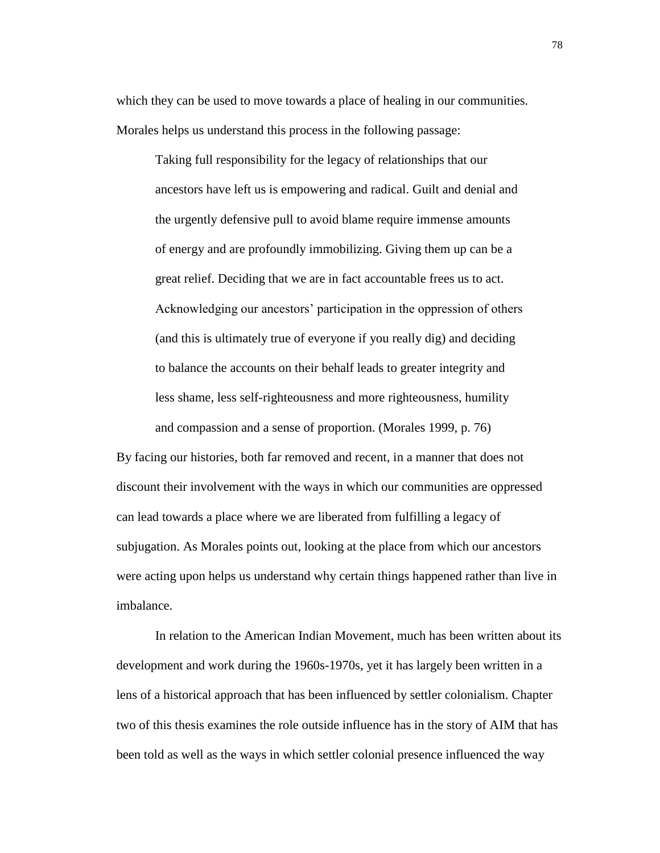which they can be used to move towards a place of healing in our communities. Morales helps us understand this process in the following passage:

Taking full responsibility for the legacy of relationships that our ancestors have left us is empowering and radical. Guilt and denial and the urgently defensive pull to avoid blame require immense amounts of energy and are profoundly immobilizing. Giving them up can be a great relief. Deciding that we are in fact accountable frees us to act. Acknowledging our ancestors' participation in the oppression of others (and this is ultimately true of everyone if you really dig) and deciding to balance the accounts on their behalf leads to greater integrity and less shame, less self-righteousness and more righteousness, humility and compassion and a sense of proportion. (Morales 1999, p. 76)

By facing our histories, both far removed and recent, in a manner that does not discount their involvement with the ways in which our communities are oppressed can lead towards a place where we are liberated from fulfilling a legacy of subjugation. As Morales points out, looking at the place from which our ancestors were acting upon helps us understand why certain things happened rather than live in imbalance.

In relation to the American Indian Movement, much has been written about its development and work during the 1960s-1970s, yet it has largely been written in a lens of a historical approach that has been influenced by settler colonialism. Chapter two of this thesis examines the role outside influence has in the story of AIM that has been told as well as the ways in which settler colonial presence influenced the way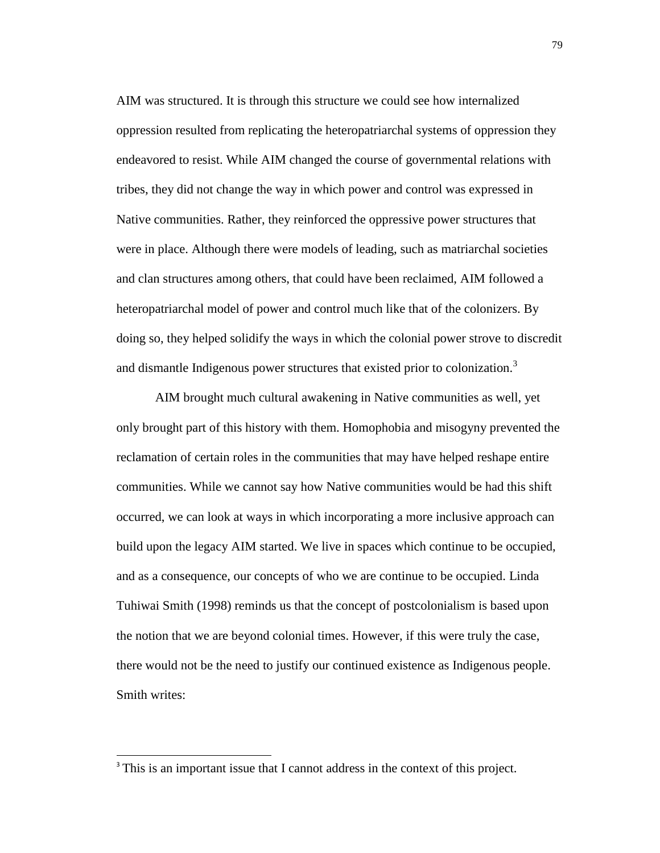AIM was structured. It is through this structure we could see how internalized oppression resulted from replicating the heteropatriarchal systems of oppression they endeavored to resist. While AIM changed the course of governmental relations with tribes, they did not change the way in which power and control was expressed in Native communities. Rather, they reinforced the oppressive power structures that were in place. Although there were models of leading, such as matriarchal societies and clan structures among others, that could have been reclaimed, AIM followed a heteropatriarchal model of power and control much like that of the colonizers. By doing so, they helped solidify the ways in which the colonial power strove to discredit and dismantle Indigenous power structures that existed prior to colonization.<sup>3</sup>

AIM brought much cultural awakening in Native communities as well, yet only brought part of this history with them. Homophobia and misogyny prevented the reclamation of certain roles in the communities that may have helped reshape entire communities. While we cannot say how Native communities would be had this shift occurred, we can look at ways in which incorporating a more inclusive approach can build upon the legacy AIM started. We live in spaces which continue to be occupied, and as a consequence, our concepts of who we are continue to be occupied. Linda Tuhiwai Smith (1998) reminds us that the concept of postcolonialism is based upon the notion that we are beyond colonial times. However, if this were truly the case, there would not be the need to justify our continued existence as Indigenous people. Smith writes:

 $\overline{a}$ 

<sup>&</sup>lt;sup>3</sup> This is an important issue that I cannot address in the context of this project.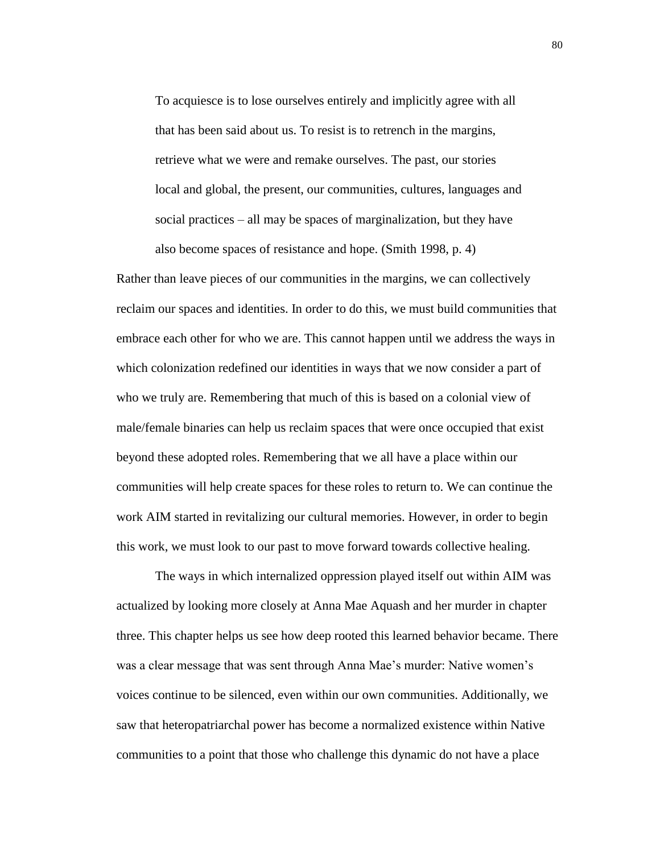To acquiesce is to lose ourselves entirely and implicitly agree with all that has been said about us. To resist is to retrench in the margins, retrieve what we were and remake ourselves. The past, our stories local and global, the present, our communities, cultures, languages and social practices – all may be spaces of marginalization, but they have also become spaces of resistance and hope. (Smith 1998, p. 4)

Rather than leave pieces of our communities in the margins, we can collectively reclaim our spaces and identities. In order to do this, we must build communities that embrace each other for who we are. This cannot happen until we address the ways in which colonization redefined our identities in ways that we now consider a part of who we truly are. Remembering that much of this is based on a colonial view of male/female binaries can help us reclaim spaces that were once occupied that exist beyond these adopted roles. Remembering that we all have a place within our communities will help create spaces for these roles to return to. We can continue the work AIM started in revitalizing our cultural memories. However, in order to begin this work, we must look to our past to move forward towards collective healing.

The ways in which internalized oppression played itself out within AIM was actualized by looking more closely at Anna Mae Aquash and her murder in chapter three. This chapter helps us see how deep rooted this learned behavior became. There was a clear message that was sent through Anna Mae's murder: Native women's voices continue to be silenced, even within our own communities. Additionally, we saw that heteropatriarchal power has become a normalized existence within Native communities to a point that those who challenge this dynamic do not have a place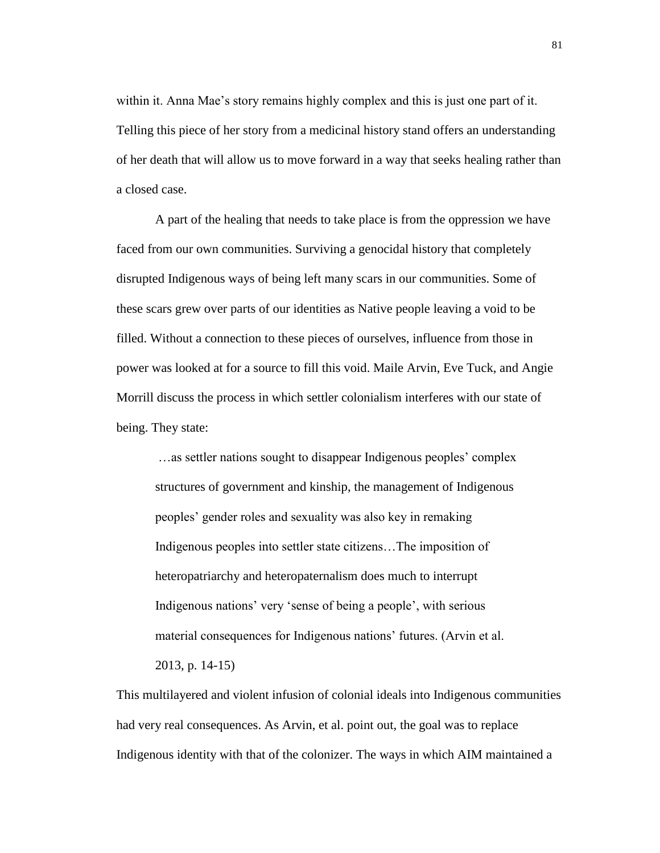within it. Anna Mae's story remains highly complex and this is just one part of it. Telling this piece of her story from a medicinal history stand offers an understanding of her death that will allow us to move forward in a way that seeks healing rather than a closed case.

A part of the healing that needs to take place is from the oppression we have faced from our own communities. Surviving a genocidal history that completely disrupted Indigenous ways of being left many scars in our communities. Some of these scars grew over parts of our identities as Native people leaving a void to be filled. Without a connection to these pieces of ourselves, influence from those in power was looked at for a source to fill this void. Maile Arvin, Eve Tuck, and Angie Morrill discuss the process in which settler colonialism interferes with our state of being. They state:

…as settler nations sought to disappear Indigenous peoples' complex structures of government and kinship, the management of Indigenous peoples' gender roles and sexuality was also key in remaking Indigenous peoples into settler state citizens…The imposition of heteropatriarchy and heteropaternalism does much to interrupt Indigenous nations' very 'sense of being a people', with serious material consequences for Indigenous nations' futures. (Arvin et al. 2013, p. 14-15)

This multilayered and violent infusion of colonial ideals into Indigenous communities had very real consequences. As Arvin, et al. point out, the goal was to replace Indigenous identity with that of the colonizer. The ways in which AIM maintained a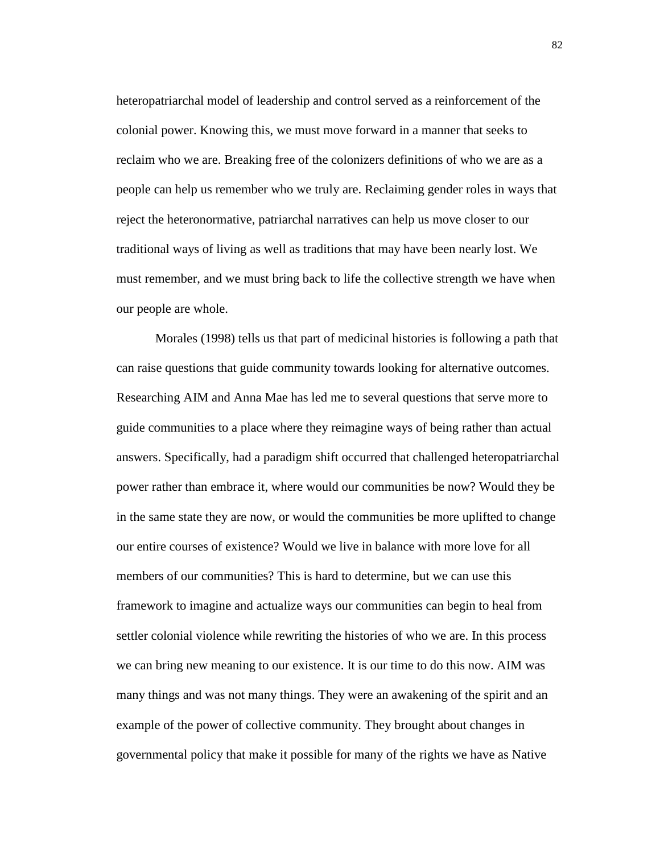heteropatriarchal model of leadership and control served as a reinforcement of the colonial power. Knowing this, we must move forward in a manner that seeks to reclaim who we are. Breaking free of the colonizers definitions of who we are as a people can help us remember who we truly are. Reclaiming gender roles in ways that reject the heteronormative, patriarchal narratives can help us move closer to our traditional ways of living as well as traditions that may have been nearly lost. We must remember, and we must bring back to life the collective strength we have when our people are whole.

Morales (1998) tells us that part of medicinal histories is following a path that can raise questions that guide community towards looking for alternative outcomes. Researching AIM and Anna Mae has led me to several questions that serve more to guide communities to a place where they reimagine ways of being rather than actual answers. Specifically, had a paradigm shift occurred that challenged heteropatriarchal power rather than embrace it, where would our communities be now? Would they be in the same state they are now, or would the communities be more uplifted to change our entire courses of existence? Would we live in balance with more love for all members of our communities? This is hard to determine, but we can use this framework to imagine and actualize ways our communities can begin to heal from settler colonial violence while rewriting the histories of who we are. In this process we can bring new meaning to our existence. It is our time to do this now. AIM was many things and was not many things. They were an awakening of the spirit and an example of the power of collective community. They brought about changes in governmental policy that make it possible for many of the rights we have as Native

82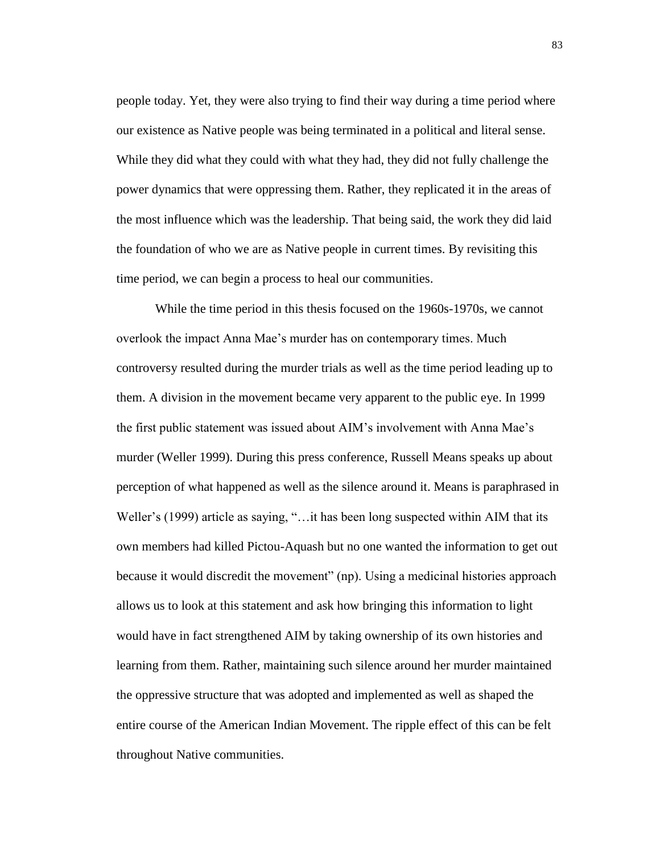people today. Yet, they were also trying to find their way during a time period where our existence as Native people was being terminated in a political and literal sense. While they did what they could with what they had, they did not fully challenge the power dynamics that were oppressing them. Rather, they replicated it in the areas of the most influence which was the leadership. That being said, the work they did laid the foundation of who we are as Native people in current times. By revisiting this time period, we can begin a process to heal our communities.

While the time period in this thesis focused on the 1960s-1970s, we cannot overlook the impact Anna Mae's murder has on contemporary times. Much controversy resulted during the murder trials as well as the time period leading up to them. A division in the movement became very apparent to the public eye. In 1999 the first public statement was issued about AIM's involvement with Anna Mae's murder (Weller 1999). During this press conference, Russell Means speaks up about perception of what happened as well as the silence around it. Means is paraphrased in Weller's (1999) article as saying, "... it has been long suspected within AIM that its own members had killed Pictou-Aquash but no one wanted the information to get out because it would discredit the movement" (np). Using a medicinal histories approach allows us to look at this statement and ask how bringing this information to light would have in fact strengthened AIM by taking ownership of its own histories and learning from them. Rather, maintaining such silence around her murder maintained the oppressive structure that was adopted and implemented as well as shaped the entire course of the American Indian Movement. The ripple effect of this can be felt throughout Native communities.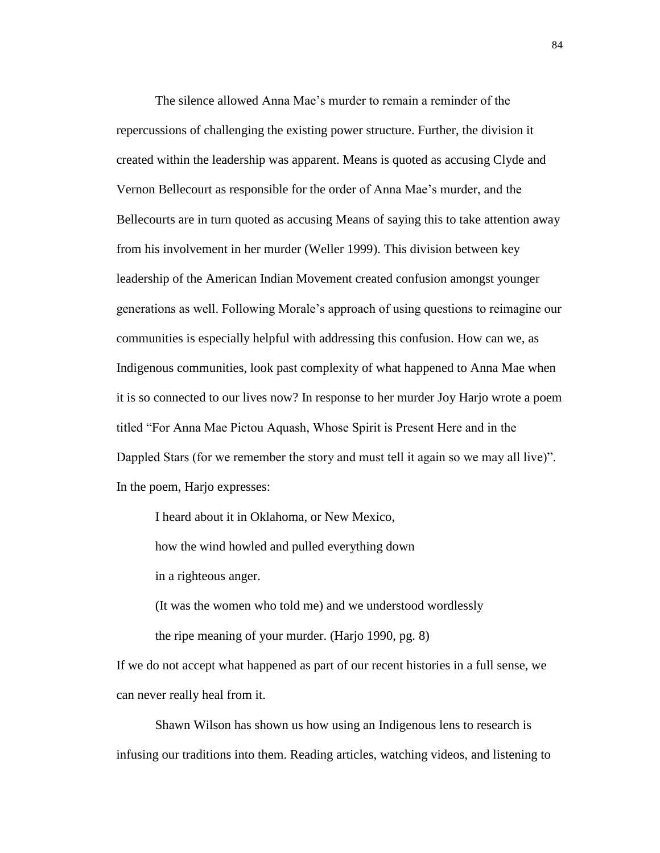The silence allowed Anna Mae's murder to remain a reminder of the repercussions of challenging the existing power structure. Further, the division it created within the leadership was apparent. Means is quoted as accusing Clyde and Vernon Bellecourt as responsible for the order of Anna Mae's murder, and the Bellecourts are in turn quoted as accusing Means of saying this to take attention away from his involvement in her murder (Weller 1999). This division between key leadership of the American Indian Movement created confusion amongst younger generations as well. Following Morale's approach of using questions to reimagine our communities is especially helpful with addressing this confusion. How can we, as Indigenous communities, look past complexity of what happened to Anna Mae when it is so connected to our lives now? In response to her murder Joy Harjo wrote a poem titled "For Anna Mae Pictou Aquash, Whose Spirit is Present Here and in the Dappled Stars (for we remember the story and must tell it again so we may all live)". In the poem, Harjo expresses:

I heard about it in Oklahoma, or New Mexico, how the wind howled and pulled everything down in a righteous anger.

(It was the women who told me) and we understood wordlessly

the ripe meaning of your murder. (Harjo 1990, pg. 8)

If we do not accept what happened as part of our recent histories in a full sense, we can never really heal from it.

Shawn Wilson has shown us how using an Indigenous lens to research is infusing our traditions into them. Reading articles, watching videos, and listening to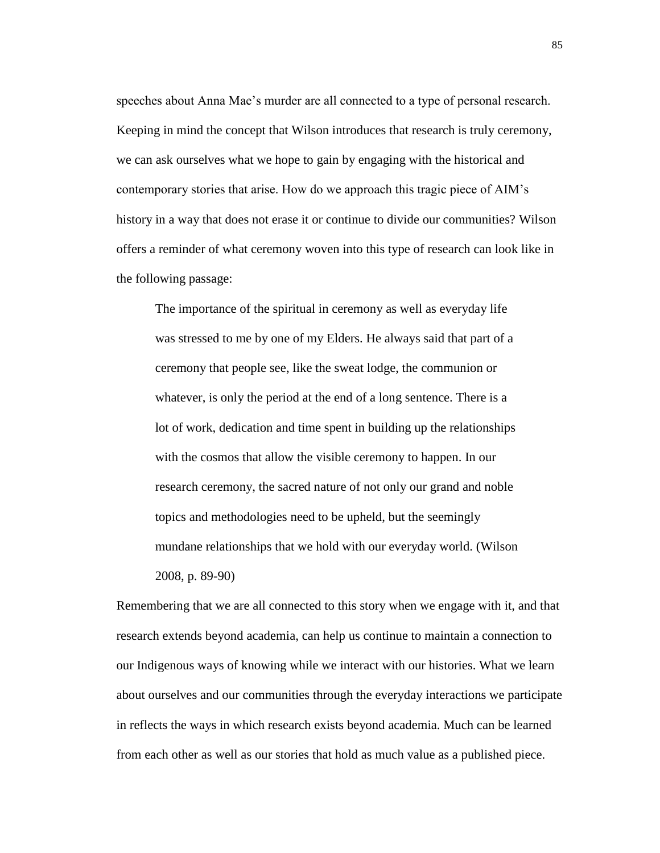speeches about Anna Mae's murder are all connected to a type of personal research. Keeping in mind the concept that Wilson introduces that research is truly ceremony, we can ask ourselves what we hope to gain by engaging with the historical and contemporary stories that arise. How do we approach this tragic piece of AIM's history in a way that does not erase it or continue to divide our communities? Wilson offers a reminder of what ceremony woven into this type of research can look like in the following passage:

The importance of the spiritual in ceremony as well as everyday life was stressed to me by one of my Elders. He always said that part of a ceremony that people see, like the sweat lodge, the communion or whatever, is only the period at the end of a long sentence. There is a lot of work, dedication and time spent in building up the relationships with the cosmos that allow the visible ceremony to happen. In our research ceremony, the sacred nature of not only our grand and noble topics and methodologies need to be upheld, but the seemingly mundane relationships that we hold with our everyday world. (Wilson 2008, p. 89-90)

Remembering that we are all connected to this story when we engage with it, and that research extends beyond academia, can help us continue to maintain a connection to our Indigenous ways of knowing while we interact with our histories. What we learn about ourselves and our communities through the everyday interactions we participate in reflects the ways in which research exists beyond academia. Much can be learned from each other as well as our stories that hold as much value as a published piece.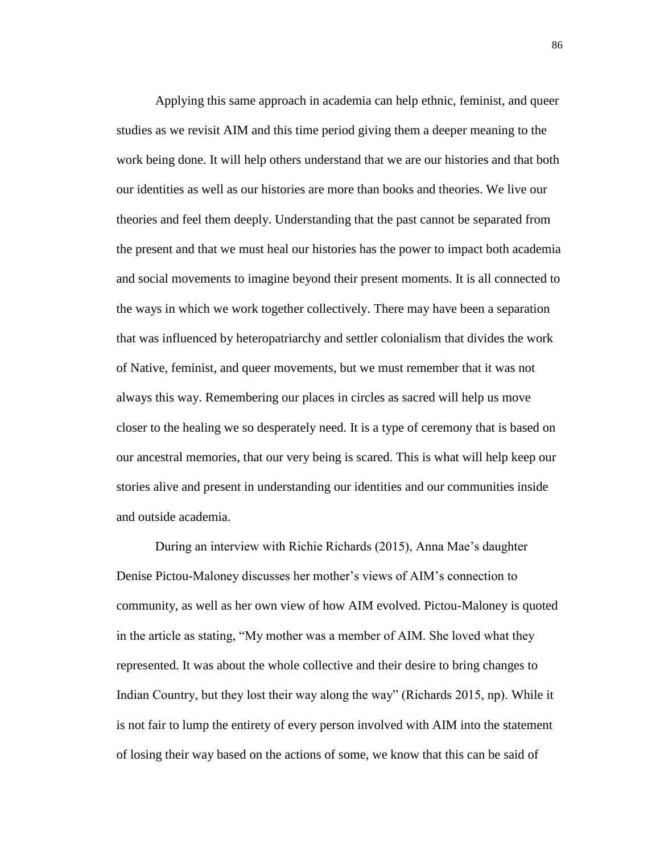Applying this same approach in academia can help ethnic, feminist, and queer studies as we revisit AIM and this time period giving them a deeper meaning to the work being done. It will help others understand that we are our histories and that both our identities as well as our histories are more than books and theories. We live our theories and feel them deeply. Understanding that the past cannot be separated from the present and that we must heal our histories has the power to impact both academia and social movements to imagine beyond their present moments. It is all connected to the ways in which we work together collectively. There may have been a separation that was influenced by heteropatriarchy and settler colonialism that divides the work of Native, feminist, and queer movements, but we must remember that it was not always this way. Remembering our places in circles as sacred will help us move closer to the healing we so desperately need. It is a type of ceremony that is based on our ancestral memories, that our very being is scared. This is what will help keep our stories alive and present in understanding our identities and our communities inside and outside academia.

During an interview with Richie Richards (2015), Anna Mae's daughter Denise Pictou-Maloney discusses her mother's views of AIM's connection to community, as well as her own view of how AIM evolved. Pictou-Maloney is quoted in the article as stating, "My mother was a member of AIM. She loved what they represented. It was about the whole collective and their desire to bring changes to Indian Country, but they lost their way along the way" (Richards 2015, np). While it is not fair to lump the entirety of every person involved with AIM into the statement of losing their way based on the actions of some, we know that this can be said of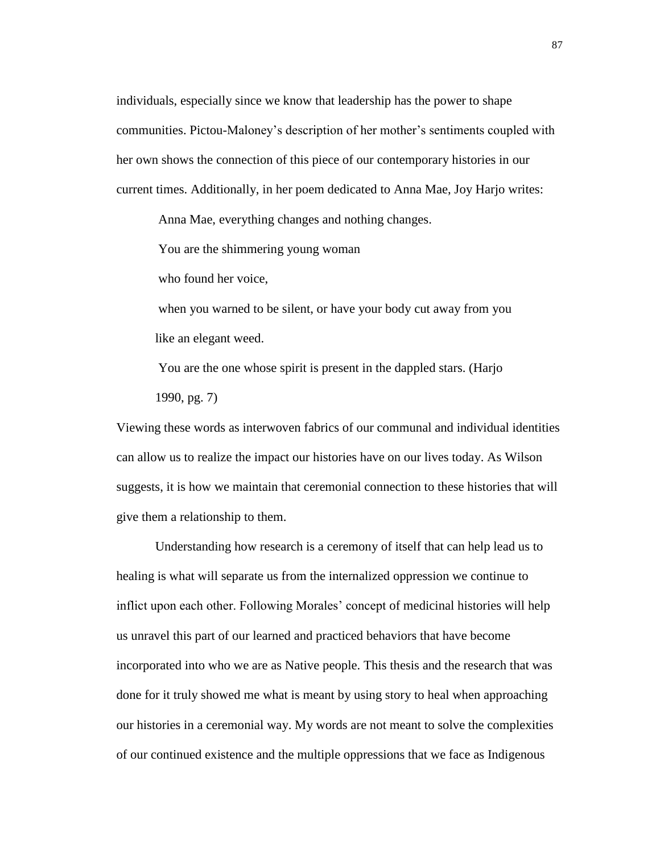individuals, especially since we know that leadership has the power to shape communities. Pictou-Maloney's description of her mother's sentiments coupled with her own shows the connection of this piece of our contemporary histories in our current times. Additionally, in her poem dedicated to Anna Mae, Joy Harjo writes:

Anna Mae, everything changes and nothing changes.

You are the shimmering young woman

who found her voice,

when you warned to be silent, or have your body cut away from you like an elegant weed.

You are the one whose spirit is present in the dappled stars. (Harjo

1990, pg. 7)

Viewing these words as interwoven fabrics of our communal and individual identities can allow us to realize the impact our histories have on our lives today. As Wilson suggests, it is how we maintain that ceremonial connection to these histories that will give them a relationship to them.

Understanding how research is a ceremony of itself that can help lead us to healing is what will separate us from the internalized oppression we continue to inflict upon each other. Following Morales' concept of medicinal histories will help us unravel this part of our learned and practiced behaviors that have become incorporated into who we are as Native people. This thesis and the research that was done for it truly showed me what is meant by using story to heal when approaching our histories in a ceremonial way. My words are not meant to solve the complexities of our continued existence and the multiple oppressions that we face as Indigenous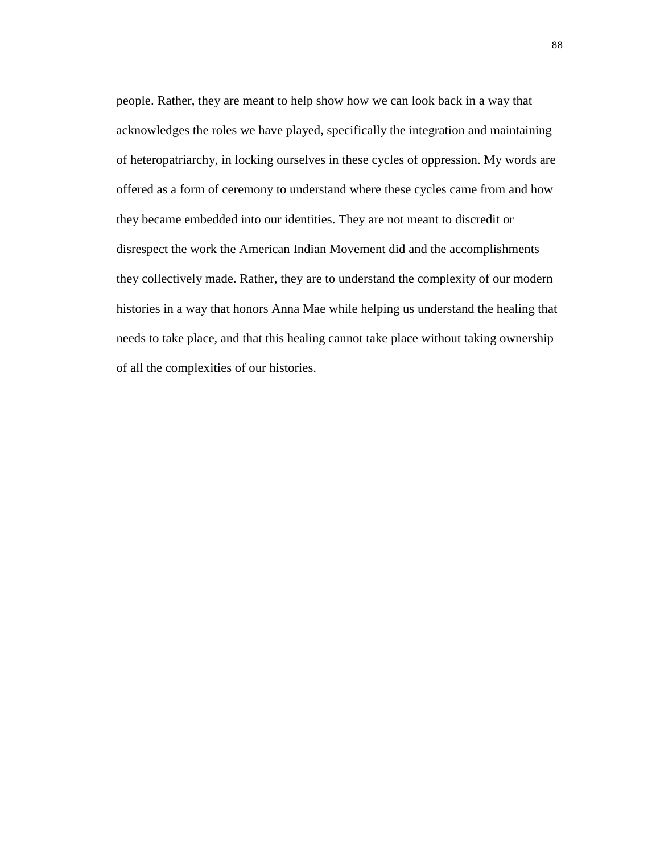people. Rather, they are meant to help show how we can look back in a way that acknowledges the roles we have played, specifically the integration and maintaining of heteropatriarchy, in locking ourselves in these cycles of oppression. My words are offered as a form of ceremony to understand where these cycles came from and how they became embedded into our identities. They are not meant to discredit or disrespect the work the American Indian Movement did and the accomplishments they collectively made. Rather, they are to understand the complexity of our modern histories in a way that honors Anna Mae while helping us understand the healing that needs to take place, and that this healing cannot take place without taking ownership of all the complexities of our histories.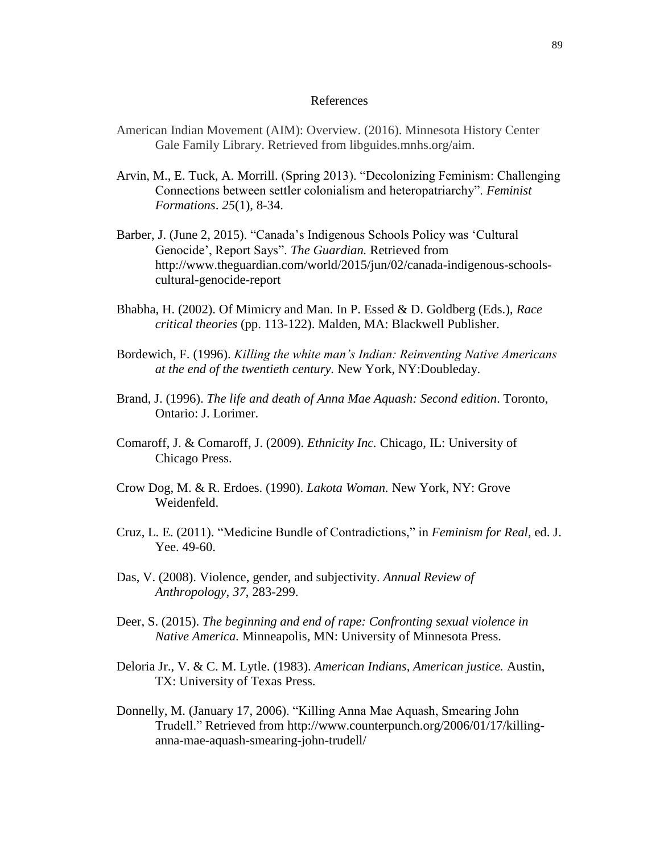#### References

- American Indian Movement (AIM): Overview. (2016). Minnesota History Center Gale Family Library. Retrieved from libguides.mnhs.org/aim.
- Arvin, M., E. Tuck, A. Morrill. (Spring 2013). "Decolonizing Feminism: Challenging Connections between settler colonialism and heteropatriarchy". *Feminist Formations*. *25*(1), 8-34.
- Barber, J. (June 2, 2015). "Canada's Indigenous Schools Policy was 'Cultural Genocide', Report Says". *The Guardian.* Retrieved from [http://www.theguardian.com/world/2015/jun/02/canada-indigenous-schools](http://www.theguardian.com/world/2015/jun/02/canada-indigenous-schools-cultural-genocide-report)[cultural-genocide-report](http://www.theguardian.com/world/2015/jun/02/canada-indigenous-schools-cultural-genocide-report)
- Bhabha, H. (2002). Of Mimicry and Man. In P. Essed & D. Goldberg (Eds.), *Race critical theories* (pp. 113-122). Malden, MA: Blackwell Publisher.
- Bordewich, F. (1996). *Killing the white man's Indian: Reinventing Native Americans at the end of the twentieth century.* New York, NY:Doubleday.
- Brand, J. (1996). *The life and death of Anna Mae Aquash: Second edition*. Toronto, Ontario: J. Lorimer.
- Comaroff, J. & Comaroff, J. (2009). *Ethnicity Inc.* Chicago, IL: University of Chicago Press.
- Crow Dog, M. & R. Erdoes. (1990). *Lakota Woman.* New York, NY: Grove Weidenfeld.
- Cruz, L. E. (2011). "Medicine Bundle of Contradictions," in *Feminism for Real,* ed. J. Yee. 49-60.
- Das, V. (2008). Violence, gender, and subjectivity. *Annual Review of Anthropology, 37*, 283-299.
- Deer, S. (2015). *The beginning and end of rape: Confronting sexual violence in Native America.* Minneapolis, MN: University of Minnesota Press.
- Deloria Jr., V. & C. M. Lytle. (1983). *American Indians, American justice.* Austin, TX: University of Texas Press.
- Donnelly, M. (January 17, 2006). "Killing Anna Mae Aquash, Smearing John Trudell." Retrieved from [http://www.counterpunch.org/2006/01/17/killing](http://www.counterpunch.org/2006/01/17/killing-anna-mae-aquash-smearing-john-trudell/)[anna-mae-aquash-smearing-john-trudell/](http://www.counterpunch.org/2006/01/17/killing-anna-mae-aquash-smearing-john-trudell/)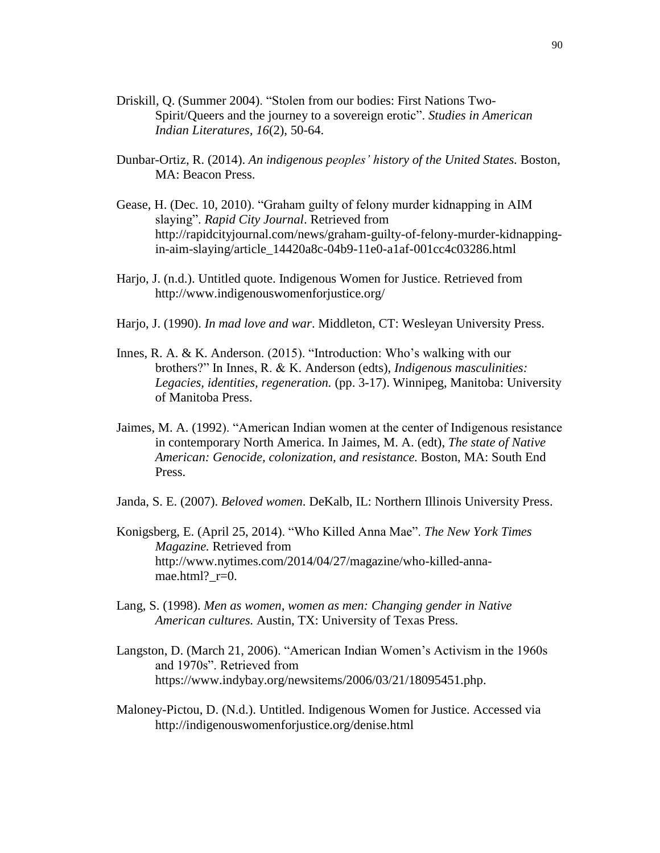- Driskill, Q. (Summer 2004). "Stolen from our bodies: First Nations Two-Spirit/Queers and the journey to a sovereign erotic". *Studies in American Indian Literatures, 16*(2), 50-64.
- Dunbar-Ortiz, R. (2014). *An indigenous peoples' history of the United States.* Boston, MA: Beacon Press.
- Gease, H. (Dec. 10, 2010). "Graham guilty of felony murder kidnapping in AIM slaying". *Rapid City Journal*. Retrieved from [http://rapidcityjournal.com/news/graham-guilty-of-felony-murder-kidnapping](http://rapidcityjournal.com/news/graham-guilty-of-felony-murder-kidnapping-in-aim-slaying/article_14420a8c-04b9-11e0-a1af-001cc4c03286.html)[in-aim-slaying/article\\_14420a8c-04b9-11e0-a1af-001cc4c03286.html](http://rapidcityjournal.com/news/graham-guilty-of-felony-murder-kidnapping-in-aim-slaying/article_14420a8c-04b9-11e0-a1af-001cc4c03286.html)
- Harjo, J. (n.d.). Untitled quote. Indigenous Women for Justice. Retrieved from http://www.indigenouswomenforjustice.org/
- Harjo, J. (1990). *In mad love and war*. Middleton, CT: Wesleyan University Press.
- Innes, R. A. & K. Anderson. (2015). "Introduction: Who's walking with our brothers?" In Innes, R. & K. Anderson (edts), *Indigenous masculinities: Legacies, identities, regeneration.* (pp. 3-17). Winnipeg, Manitoba: University of Manitoba Press.
- Jaimes, M. A. (1992). "American Indian women at the center of Indigenous resistance in contemporary North America. In Jaimes, M. A. (edt), *The state of Native American: Genocide, colonization, and resistance.* Boston, MA: South End Press.
- Janda, S. E. (2007). *Beloved women*. DeKalb, IL: Northern Illinois University Press.
- Konigsberg, E. (April 25, 2014). "Who Killed Anna Mae". *The New York Times Magazine.* Retrieved from [http://www.nytimes.com/2014/04/27/magazine/who-killed-anna](http://www.nytimes.com/2014/04/27/magazine/who-killed-anna-mae.html?_r=0)mae.html?  $r=0$ .
- Lang, S. (1998). *Men as women, women as men: Changing gender in Native American cultures.* Austin, TX: University of Texas Press.
- Langston, D. (March 21, 2006). "American Indian Women's Activism in the 1960s and 1970s". Retrieved from [https://www.indybay.org/newsitems/2006/03/21/18095451.php.](https://www.indybay.org/newsitems/2006/03/21/18095451.php)
- Maloney-Pictou, D. (N.d.). Untitled. Indigenous Women for Justice. Accessed via <http://indigenouswomenforjustice.org/denise.html>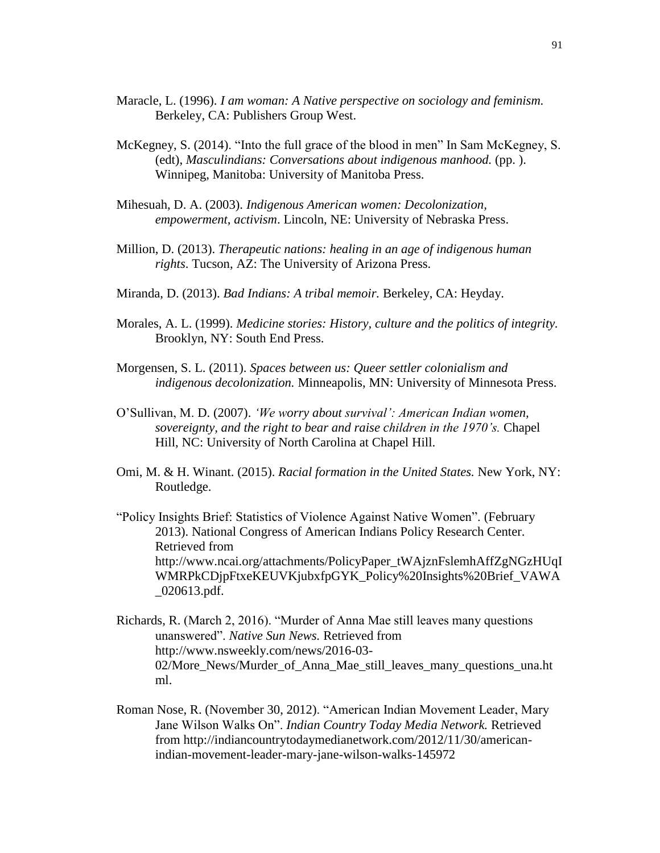- Maracle, L. (1996). *I am woman: A Native perspective on sociology and feminism.* Berkeley, CA: Publishers Group West.
- McKegney, S. (2014). "Into the full grace of the blood in men" In Sam McKegney, S. (edt), *Masculindians: Conversations about indigenous manhood.* (pp. ). Winnipeg, Manitoba: University of Manitoba Press.
- Mihesuah, D. A. (2003). *Indigenous American women: Decolonization, empowerment, activism*. Lincoln, NE: University of Nebraska Press.
- Million, D. (2013). *Therapeutic nations: healing in an age of indigenous human rights*. Tucson, AZ: The University of Arizona Press.
- Miranda, D. (2013). *Bad Indians: A tribal memoir.* Berkeley, CA: Heyday.
- Morales, A. L. (1999). *Medicine stories: History, culture and the politics of integrity.*  Brooklyn, NY: South End Press.
- Morgensen, S. L. (2011). *Spaces between us: Queer settler colonialism and indigenous decolonization.* Minneapolis, MN: University of Minnesota Press.
- O'Sullivan, M. D. (2007). *'We worry about survival': American Indian women, sovereignty, and the right to bear and raise children in the 1970's.* Chapel Hill, NC: University of North Carolina at Chapel Hill.
- Omi, M. & H. Winant. (2015). *Racial formation in the United States.* New York, NY: Routledge.

"Policy Insights Brief: Statistics of Violence Against Native Women". (February 2013). National Congress of American Indians Policy Research Center. Retrieved from http://www.ncai.org/attachments/PolicyPaper\_tWAjznFslemhAffZgNGzHUqI WMRPkCDjpFtxeKEUVKjubxfpGYK\_Policy%20Insights%20Brief\_VAWA \_020613.pdf.

- Richards, R. (March 2, 2016). "Murder of Anna Mae still leaves many questions unanswered". *Native Sun News.* Retrieved from [http://www.nsweekly.com/news/2016-03-](http://www.nsweekly.com/news/2016-03-02/More_News/Murder_of_Anna_Mae_still_leaves_many_questions_una.html) 02/More News/Murder of Anna Mae still leaves many questions una.ht [ml.](http://www.nsweekly.com/news/2016-03-02/More_News/Murder_of_Anna_Mae_still_leaves_many_questions_una.html)
- Roman Nose, R. (November 30, 2012). "American Indian Movement Leader, Mary Jane Wilson Walks On". *Indian Country Today Media Network.* Retrieved from [http://indiancountrytodaymedianetwork.com/2012/11/30/american](http://indiancountrytodaymedianetwork.com/2012/11/30/american-indian-movement-leader-mary-jane-wilson-walks-145972)[indian-movement-leader-mary-jane-wilson-walks-145972](http://indiancountrytodaymedianetwork.com/2012/11/30/american-indian-movement-leader-mary-jane-wilson-walks-145972)